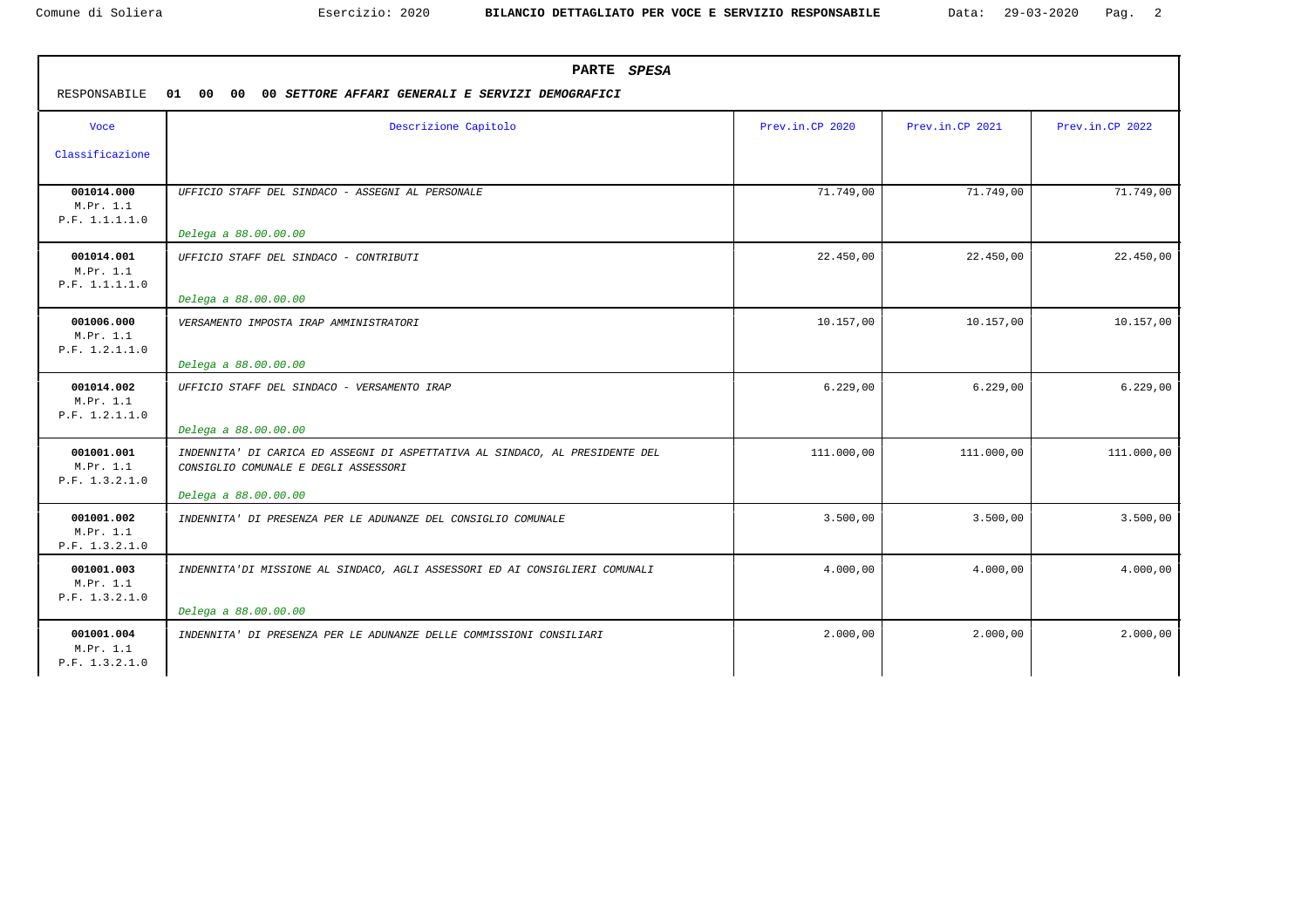| RESPONSABILE                              | PARTE SPESA<br>00 00<br>00 SETTORE AFFARI GENERALI E SERVIZI DEMOGRAFICI<br>01                                                               |                 |                 |                 |  |  |  |  |
|-------------------------------------------|----------------------------------------------------------------------------------------------------------------------------------------------|-----------------|-----------------|-----------------|--|--|--|--|
| Voce                                      | Descrizione Capitolo                                                                                                                         | Prev.in.CP 2020 | Prev.in.CP 2021 | Prev.in.CP 2022 |  |  |  |  |
| Classificazione                           |                                                                                                                                              |                 |                 |                 |  |  |  |  |
| 001014.000<br>M.Pr. 1.1<br>P.F. 1.1.1.1.0 | UFFICIO STAFF DEL SINDACO - ASSEGNI AL PERSONALE                                                                                             | 71.749,00       | 71.749,00       | 71.749,00       |  |  |  |  |
|                                           | Delega a 88.00.00.00                                                                                                                         |                 |                 |                 |  |  |  |  |
| 001014.001<br>M.Pr. 1.1<br>P.F. 1.1.1.1.0 | UFFICIO STAFF DEL SINDACO - CONTRIBUTI                                                                                                       | 22.450,00       | 22.450,00       | 22.450,00       |  |  |  |  |
|                                           | Delega a 88.00.00.00                                                                                                                         |                 |                 |                 |  |  |  |  |
| 001006.000<br>M.Pr. 1.1<br>P.F. 1.2.1.1.0 | VERSAMENTO IMPOSTA IRAP AMMINISTRATORI                                                                                                       | 10.157,00       | 10.157,00       | 10.157,00       |  |  |  |  |
|                                           | Delega a 88.00.00.00                                                                                                                         |                 |                 |                 |  |  |  |  |
| 001014.002<br>M.Pr. 1.1<br>P.F. 1.2.1.1.0 | UFFICIO STAFF DEL SINDACO - VERSAMENTO IRAP<br>Delega a 88.00.00.00                                                                          | 6.229,00        | 6.229,00        | 6.229,00        |  |  |  |  |
| 001001.001<br>M.Pr. 1.1<br>P.F. 1.3.2.1.0 | INDENNITA' DI CARICA ED ASSEGNI DI ASPETTATIVA AL SINDACO, AL PRESIDENTE DEL<br>CONSIGLIO COMUNALE E DEGLI ASSESSORI<br>Delega a 88.00.00.00 | 111.000,00      | 111.000,00      | 111.000,00      |  |  |  |  |
| 001001.002<br>M.Pr. 1.1<br>P.F. 1.3.2.1.0 | INDENNITA' DI PRESENZA PER LE ADUNANZE DEL CONSIGLIO COMUNALE                                                                                | 3.500,00        | 3.500,00        | 3.500,00        |  |  |  |  |
| 001001.003<br>M.Pr. 1.1<br>P.F. 1.3.2.1.0 | INDENNITA'DI MISSIONE AL SINDACO, AGLI ASSESSORI ED AI CONSIGLIERI COMUNALI                                                                  | 4.000,00        | 4.000,00        | 4.000,00        |  |  |  |  |
|                                           | Delega a 88.00.00.00                                                                                                                         |                 |                 |                 |  |  |  |  |
| 001001.004<br>M.Pr. 1.1<br>P.F. 1.3.2.1.0 | INDENNITA' DI PRESENZA PER LE ADUNANZE DELLE COMMISSIONI CONSILIARI                                                                          | 2,000,00        | 2.000,00        | 2.000,00        |  |  |  |  |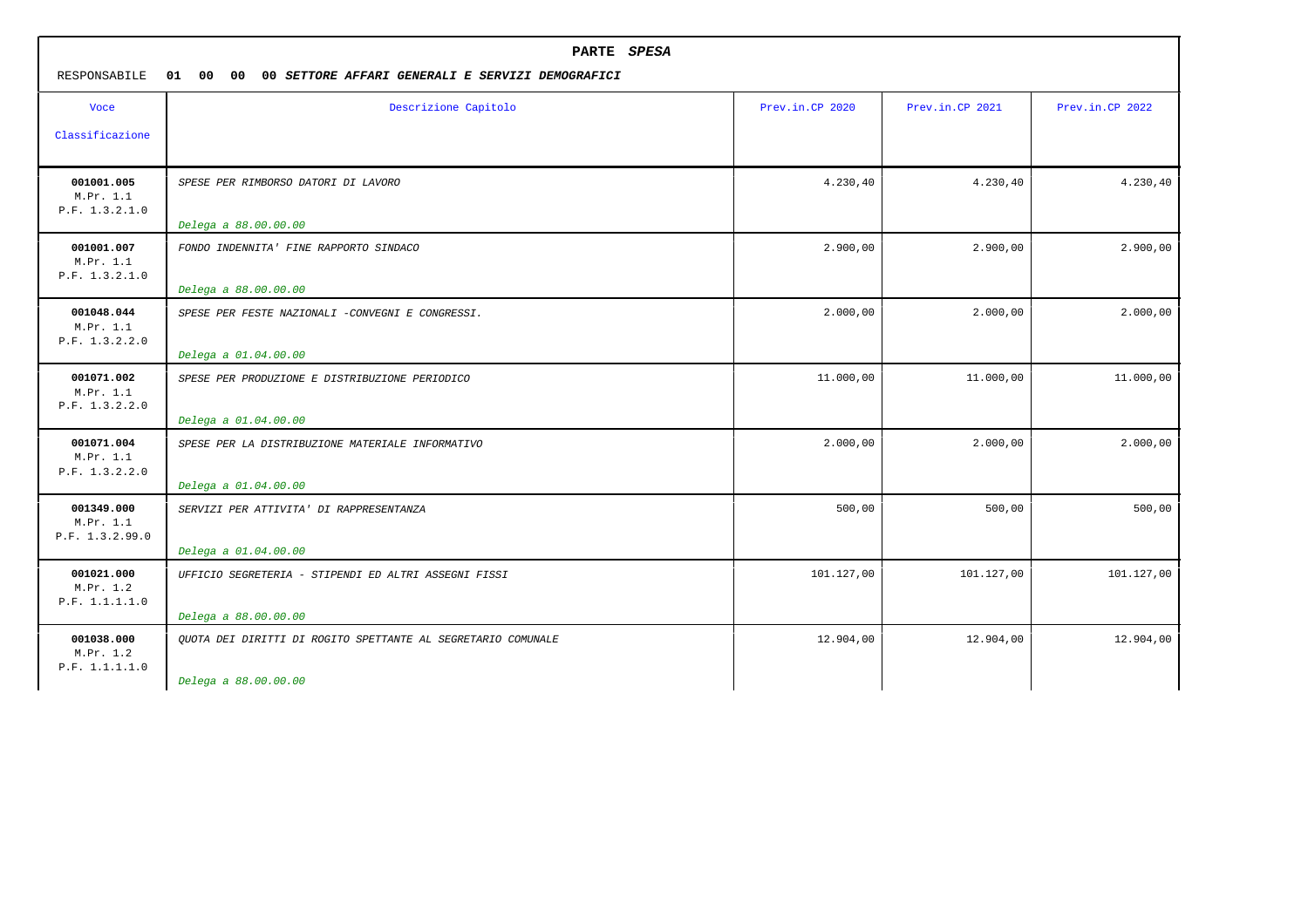| PARTE SPESA<br>RESPONSABILE<br>01 00<br>00<br>00 SETTORE AFFARI GENERALI E SERVIZI DEMOGRAFICI |                                                              |                 |                 |                 |
|------------------------------------------------------------------------------------------------|--------------------------------------------------------------|-----------------|-----------------|-----------------|
| <b>Voce</b>                                                                                    | Descrizione Capitolo                                         | Prev.in.CP 2020 | Prev.in.CP 2021 | Prev.in.CP 2022 |
| Classificazione                                                                                |                                                              |                 |                 |                 |
| 001001.005<br>M.Pr. 1.1<br>P.F. 1.3.2.1.0                                                      | SPESE PER RIMBORSO DATORI DI LAVORO                          | 4.230,40        | 4.230,40        | 4.230,40        |
|                                                                                                | Delega a 88.00.00.00                                         |                 |                 |                 |
| 001001.007<br>M.Pr. 1.1<br>P.F. 1.3.2.1.0                                                      | FONDO INDENNITA' FINE RAPPORTO SINDACO                       | 2.900,00        | 2.900,00        | 2.900,00        |
|                                                                                                | Delega a 88.00.00.00                                         |                 |                 |                 |
| 001048.044<br>M.Pr. 1.1<br>P.F. 1.3.2.2.0                                                      | SPESE PER FESTE NAZIONALI -CONVEGNI E CONGRESSI.             | 2.000,00        | 2.000,00        | 2.000,00        |
|                                                                                                | Delega a 01.04.00.00                                         |                 |                 |                 |
| 001071.002<br>M.Pr. 1.1<br>P.F. 1.3.2.2.0                                                      | SPESE PER PRODUZIONE E DISTRIBUZIONE PERIODICO               | 11.000,00       | 11.000,00       | 11.000,00       |
|                                                                                                | Delega a 01.04.00.00                                         |                 |                 |                 |
| 001071.004<br>M.Pr. 1.1<br>P.F. 1.3.2.2.0                                                      | SPESE PER LA DISTRIBUZIONE MATERIALE INFORMATIVO             | 2.000,00        | 2.000,00        | 2.000,00        |
|                                                                                                | Delega a 01.04.00.00                                         |                 |                 |                 |
| 001349.000<br>M.Pr. 1.1<br>P.F. 1.3.2.99.0                                                     | SERVIZI PER ATTIVITA' DI RAPPRESENTANZA                      | 500,00          | 500,00          | 500,00          |
|                                                                                                | Delega a 01.04.00.00                                         |                 |                 |                 |
| 001021.000<br>M.Pr. 1.2<br>P.F. 1.1.1.1.0                                                      | UFFICIO SEGRETERIA - STIPENDI ED ALTRI ASSEGNI FISSI         | 101.127,00      | 101.127,00      | 101.127,00      |
|                                                                                                | Delega a 88.00.00.00                                         |                 |                 |                 |
| 001038.000<br>M.Pr. 1.2<br>P.F. 1.1.1.1.0                                                      | OUOTA DEI DIRITTI DI ROGITO SPETTANTE AL SEGRETARIO COMUNALE | 12.904,00       | 12.904,00       | 12.904,00       |
|                                                                                                | Delega a 88.00.00.00                                         |                 |                 |                 |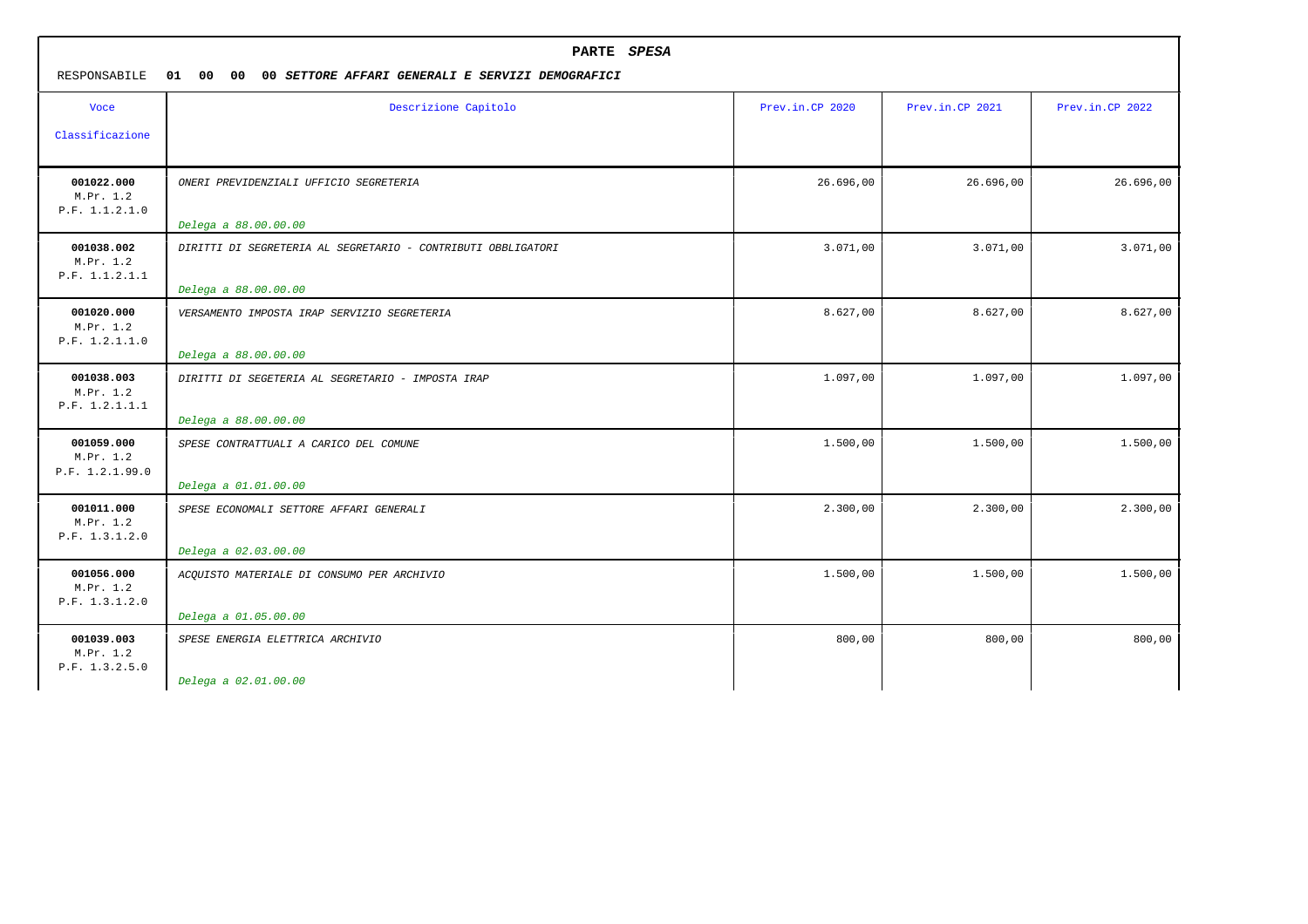| PARTE SPESA<br>RESPONSABILE<br>01 00 00<br>00 SETTORE AFFARI GENERALI E SERVIZI DEMOGRAFICI |                                                              |                 |                 |                 |
|---------------------------------------------------------------------------------------------|--------------------------------------------------------------|-----------------|-----------------|-----------------|
| <b>Voce</b>                                                                                 | Descrizione Capitolo                                         | Prev.in.CP 2020 | Prev.in.CP 2021 | Prev.in.CP 2022 |
| Classificazione                                                                             |                                                              |                 |                 |                 |
| 001022.000<br>M.Pr. 1.2<br>P.F. 1.1.2.1.0                                                   | ONERI PREVIDENZIALI UFFICIO SEGRETERIA                       | 26.696,00       | 26.696,00       | 26.696,00       |
|                                                                                             | Delega a 88.00.00.00                                         |                 |                 |                 |
| 001038.002<br>M.Pr. 1.2<br>P.F. 1.1.2.1.1                                                   | DIRITTI DI SEGRETERIA AL SEGRETARIO - CONTRIBUTI OBBLIGATORI | 3.071,00        | 3.071,00        | 3.071,00        |
|                                                                                             | Delega a 88.00.00.00                                         |                 |                 |                 |
| 001020.000<br>M.Pr. 1.2<br>P.F. 1.2.1.1.0                                                   | VERSAMENTO IMPOSTA IRAP SERVIZIO SEGRETERIA                  | 8.627,00        | 8.627,00        | 8.627,00        |
|                                                                                             | Delega a 88.00.00.00                                         |                 |                 |                 |
| 001038.003<br>M.Pr. 1.2<br>P.F. 1.2.1.1.1                                                   | DIRITTI DI SEGETERIA AL SEGRETARIO - IMPOSTA IRAP            | 1.097,00        | 1.097,00        | 1.097,00        |
|                                                                                             | Delega a 88.00.00.00                                         |                 |                 |                 |
| 001059.000<br>M.Pr. 1.2<br>P.F. 1.2.1.99.0                                                  | SPESE CONTRATTUALI A CARICO DEL COMUNE                       | 1.500,00        | 1.500,00        | 1.500,00        |
|                                                                                             | Delega a 01.01.00.00                                         |                 |                 |                 |
| 001011.000<br>M.Pr. 1.2<br>P.F. 1.3.1.2.0                                                   | SPESE ECONOMALI SETTORE AFFARI GENERALI                      | 2.300,00        | 2.300,00        | 2.300,00        |
|                                                                                             | Delega a 02.03.00.00                                         |                 |                 |                 |
| 001056.000<br>M.Pr. 1.2<br>P.F. 1.3.1.2.0                                                   | ACQUISTO MATERIALE DI CONSUMO PER ARCHIVIO                   | 1.500,00        | 1.500,00        | 1.500,00        |
|                                                                                             | Delega a 01.05.00.00                                         |                 |                 |                 |
| 001039.003<br>M.Pr. 1.2<br>P.F. 1.3.2.5.0                                                   | SPESE ENERGIA ELETTRICA ARCHIVIO                             | 800,00          | 800,00          | 800,00          |
|                                                                                             | Delega a 02.01.00.00                                         |                 |                 |                 |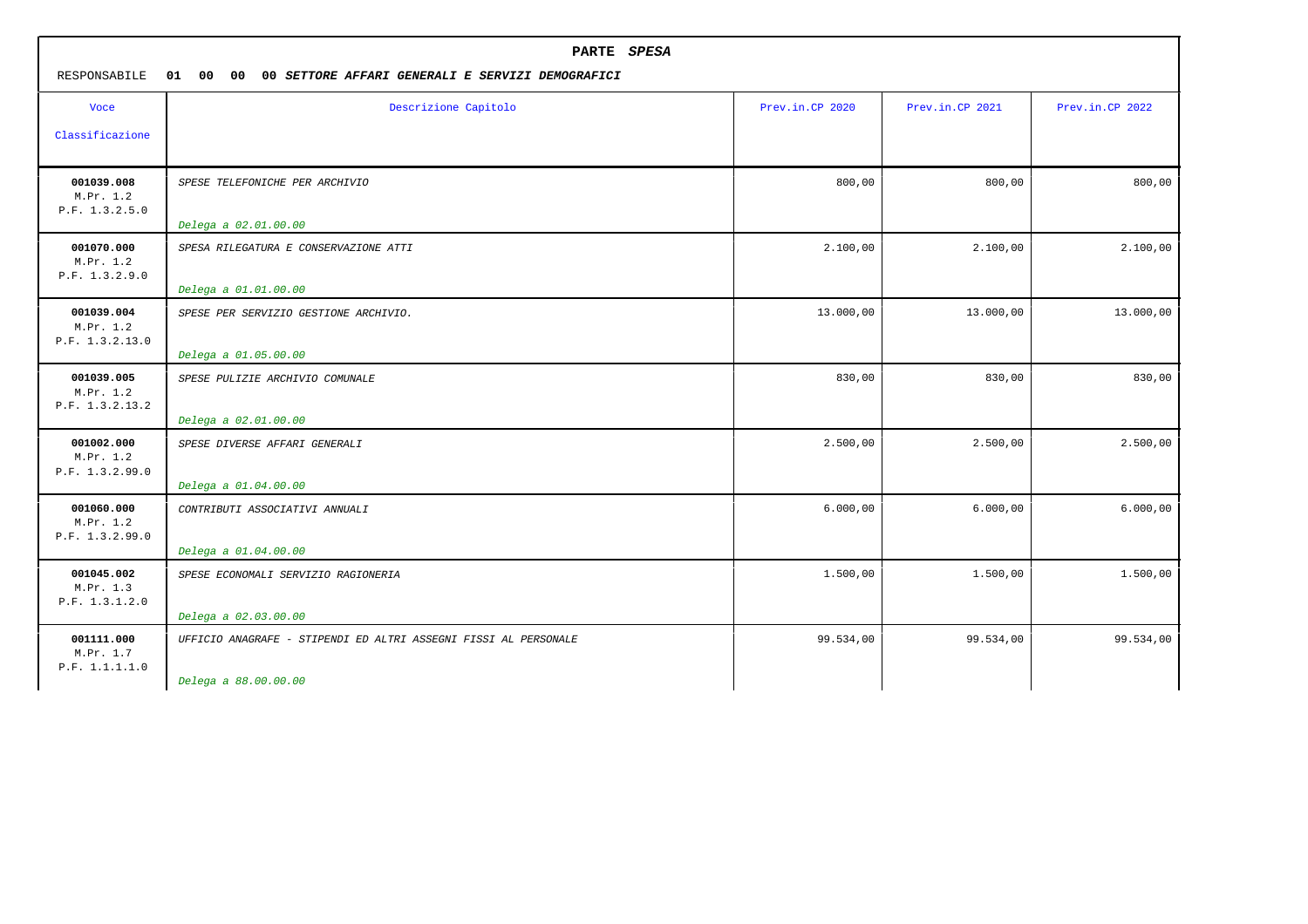| PARTE SPESA<br>RESPONSABILE<br>01<br>00<br>00<br>00 SETTORE AFFARI GENERALI E SERVIZI DEMOGRAFICI |                                                                 |                 |                 |                 |  |  |  |
|---------------------------------------------------------------------------------------------------|-----------------------------------------------------------------|-----------------|-----------------|-----------------|--|--|--|
| <b>Voce</b>                                                                                       | Descrizione Capitolo                                            | Prev.in.CP 2020 | Prev.in.CP 2021 | Prev.in.CP 2022 |  |  |  |
| Classificazione                                                                                   |                                                                 |                 |                 |                 |  |  |  |
| 001039.008<br>M.Pr. 1.2<br>P.F. 1.3.2.5.0                                                         | SPESE TELEFONICHE PER ARCHIVIO                                  | 800,00          | 800,00          | 800,00          |  |  |  |
|                                                                                                   | Delega a 02.01.00.00                                            |                 |                 |                 |  |  |  |
| 001070.000<br>M.Pr. 1.2<br>P.F. 1.3.2.9.0                                                         | SPESA RILEGATURA E CONSERVAZIONE ATTI                           | 2.100,00        | 2.100,00        | 2.100,00        |  |  |  |
|                                                                                                   | Delega a 01.01.00.00                                            |                 |                 |                 |  |  |  |
| 001039.004<br>M.Pr. 1.2<br>P.F. 1.3.2.13.0                                                        | SPESE PER SERVIZIO GESTIONE ARCHIVIO.<br>Delega a 01.05.00.00   | 13.000,00       | 13.000,00       | 13.000,00       |  |  |  |
| 001039.005<br>M.Pr. 1.2<br>P.F. 1.3.2.13.2                                                        | SPESE PULIZIE ARCHIVIO COMUNALE                                 | 830,00          | 830,00          | 830,00          |  |  |  |
|                                                                                                   | Delega a 02.01.00.00                                            |                 |                 |                 |  |  |  |
| 001002.000<br>M.Pr. 1.2<br>P.F. 1.3.2.99.0                                                        | SPESE DIVERSE AFFARI GENERALI<br>Delega a 01.04.00.00           | 2.500,00        | 2.500,00        | 2.500,00        |  |  |  |
| 001060.000<br>M.Pr. 1.2<br>P.F. 1.3.2.99.0                                                        | CONTRIBUTI ASSOCIATIVI ANNUALI                                  | 6.000,00        | 6.000,00        | 6.000,00        |  |  |  |
|                                                                                                   | Delega a 01.04.00.00                                            |                 |                 |                 |  |  |  |
| 001045.002<br>M.Pr. 1.3<br>P.F. 1.3.1.2.0                                                         | SPESE ECONOMALI SERVIZIO RAGIONERIA                             | 1.500,00        | 1.500,00        | 1.500,00        |  |  |  |
|                                                                                                   | Delega a 02.03.00.00                                            |                 |                 |                 |  |  |  |
| 001111.000<br>M.Pr. 1.7<br>P.F. 1.1.1.1.0                                                         | UFFICIO ANAGRAFE - STIPENDI ED ALTRI ASSEGNI FISSI AL PERSONALE | 99.534,00       | 99.534,00       | 99.534,00       |  |  |  |
|                                                                                                   | Delega a 88.00.00.00                                            |                 |                 |                 |  |  |  |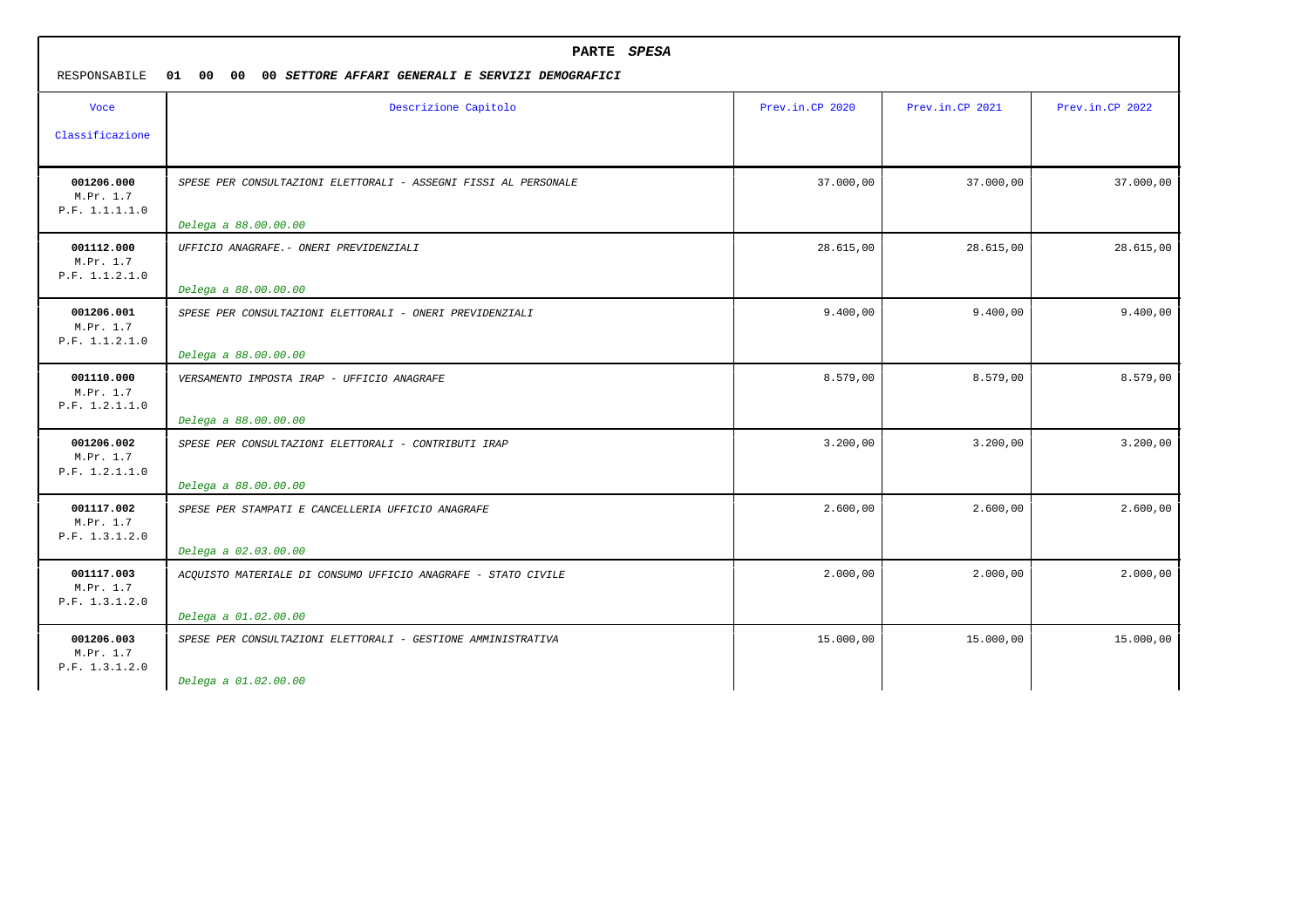| PARTE SPESA<br>RESPONSABILE<br>01<br>00<br>00<br>00 SETTORE AFFARI GENERALI E SERVIZI DEMOGRAFICI |                                                                                         |                 |                 |                 |
|---------------------------------------------------------------------------------------------------|-----------------------------------------------------------------------------------------|-----------------|-----------------|-----------------|
| <b>Voce</b><br>Classificazione                                                                    | Descrizione Capitolo                                                                    | Prev.in.CP 2020 | Prev.in.CP 2021 | Prev.in.CP 2022 |
| 001206.000<br>M.Pr. 1.7<br>P.F. 1.1.1.1.0                                                         | SPESE PER CONSULTAZIONI ELETTORALI - ASSEGNI FISSI AL PERSONALE<br>Delega a 88.00.00.00 | 37.000,00       | 37.000,00       | 37.000,00       |
| 001112.000<br>M.Pr. 1.7<br>P.F. 1.1.2.1.0                                                         | UFFICIO ANAGRAFE.- ONERI PREVIDENZIALI<br>Delega a 88.00.00.00                          | 28.615,00       | 28.615,00       | 28.615,00       |
| 001206.001<br>M.Pr. 1.7<br>P.F. 1.1.2.1.0                                                         | SPESE PER CONSULTAZIONI ELETTORALI - ONERI PREVIDENZIALI<br>Delega a 88.00.00.00        | 9.400,00        | 9.400,00        | 9.400,00        |
| 001110.000<br>M.Pr. 1.7<br>P.F. 1.2.1.1.0                                                         | VERSAMENTO IMPOSTA IRAP - UFFICIO ANAGRAFE<br>Delega a 88.00.00.00                      | 8.579,00        | 8.579,00        | 8.579,00        |
| 001206.002<br>M.Pr. 1.7<br>P.F. 1.2.1.1.0                                                         | SPESE PER CONSULTAZIONI ELETTORALI - CONTRIBUTI IRAP<br>Delega a 88.00.00.00            | 3.200,00        | 3.200,00        | 3.200,00        |
| 001117.002<br>M.Pr. 1.7<br>P.F. 1.3.1.2.0                                                         | SPESE PER STAMPATI E CANCELLERIA UFFICIO ANAGRAFE<br>Delega a 02.03.00.00               | 2.600,00        | 2.600,00        | 2.600,00        |
| 001117.003<br>M.Pr. 1.7<br>P.F. 1.3.1.2.0                                                         | ACQUISTO MATERIALE DI CONSUMO UFFICIO ANAGRAFE - STATO CIVILE<br>Delega a 01.02.00.00   | 2.000,00        | 2.000,00        | 2.000,00        |
| 001206.003<br>M.Pr. 1.7<br>P.F. 1.3.1.2.0                                                         | SPESE PER CONSULTAZIONI ELETTORALI - GESTIONE AMMINISTRATIVA<br>Delega a 01.02.00.00    | 15.000,00       | 15.000,00       | 15.000,00       |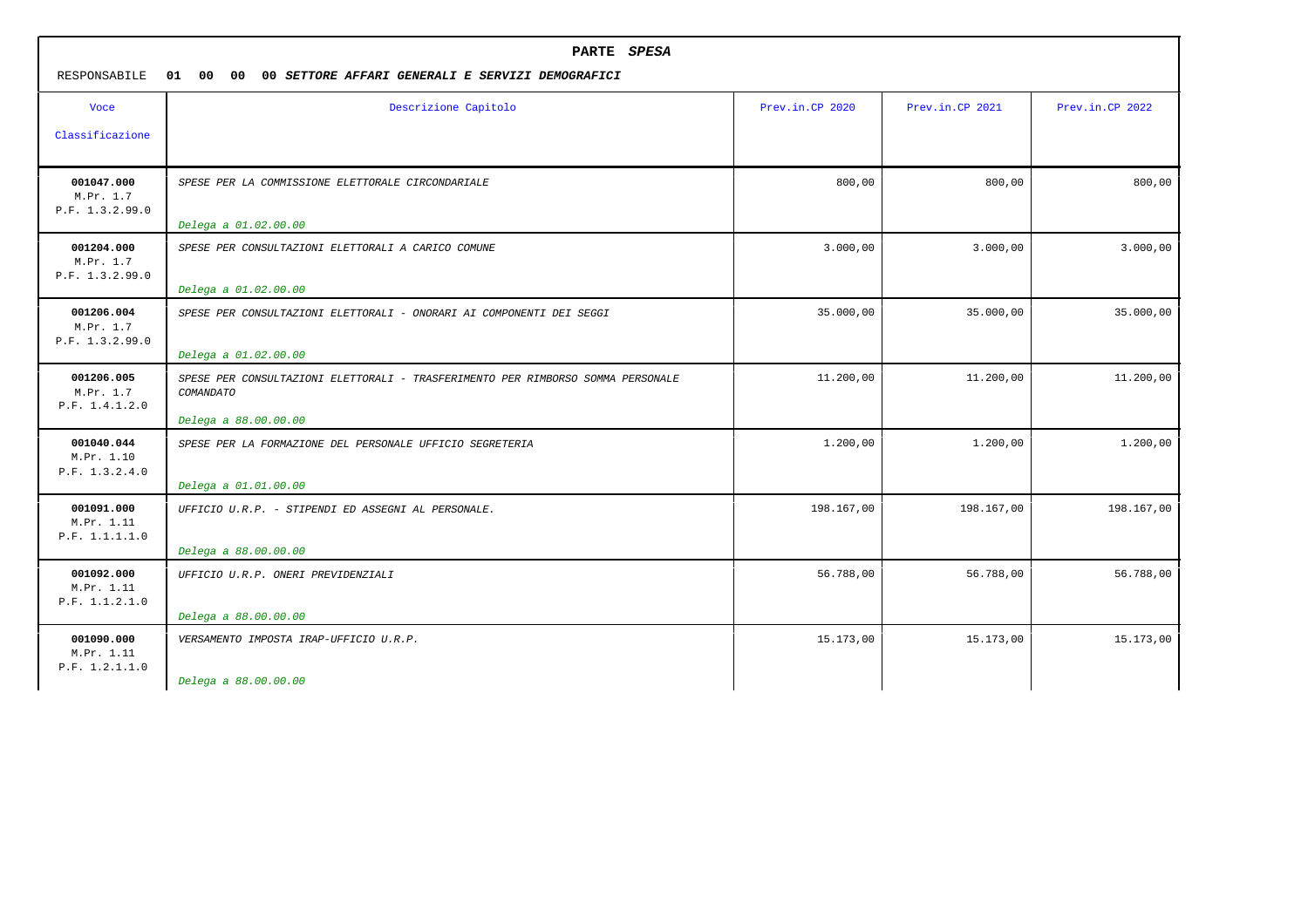| PARTE SPESA<br>01 00 00<br>RESPONSABILE<br>00 SETTORE AFFARI GENERALI E SERVIZI DEMOGRAFICI |                                                                                              |                 |                 |                 |  |  |  |  |
|---------------------------------------------------------------------------------------------|----------------------------------------------------------------------------------------------|-----------------|-----------------|-----------------|--|--|--|--|
| <b>Voce</b>                                                                                 | Descrizione Capitolo                                                                         | Prev.in.CP 2020 | Prev.in.CP 2021 | Prev.in.CP 2022 |  |  |  |  |
| Classificazione                                                                             |                                                                                              |                 |                 |                 |  |  |  |  |
| 001047.000<br>M.Pr. 1.7<br>P.F. 1.3.2.99.0                                                  | SPESE PER LA COMMISSIONE ELETTORALE CIRCONDARIALE                                            | 800,00          | 800,00          | 800,00          |  |  |  |  |
|                                                                                             | Delega a 01.02.00.00                                                                         |                 |                 |                 |  |  |  |  |
| 001204.000<br>M.Pr. 1.7<br>P.F. 1.3.2.99.0                                                  | SPESE PER CONSULTAZIONI ELETTORALI A CARICO COMUNE                                           | 3.000,00        | 3.000,00        | 3.000,00        |  |  |  |  |
|                                                                                             | Delega a 01.02.00.00                                                                         |                 |                 |                 |  |  |  |  |
| 001206.004<br>M.Pr. 1.7<br>P.F. 1.3.2.99.0                                                  | SPESE PER CONSULTAZIONI ELETTORALI - ONORARI AI COMPONENTI DEI SEGGI                         | 35.000,00       | 35.000,00       | 35.000,00       |  |  |  |  |
|                                                                                             | Delega a 01.02.00.00                                                                         |                 |                 |                 |  |  |  |  |
| 001206.005<br>M.Pr. 1.7<br>P.F. 1.4.1.2.0                                                   | SPESE PER CONSULTAZIONI ELETTORALI - TRASFERIMENTO PER RIMBORSO SOMMA PERSONALE<br>COMANDATO | 11.200,00       | 11.200,00       | 11.200,00       |  |  |  |  |
|                                                                                             | Delega a 88.00.00.00                                                                         |                 |                 |                 |  |  |  |  |
| 001040.044<br>M.Pr. 1.10<br>P.F. 1.3.2.4.0                                                  | SPESE PER LA FORMAZIONE DEL PERSONALE UFFICIO SEGRETERIA                                     | 1.200,00        | 1.200,00        | 1.200,00        |  |  |  |  |
|                                                                                             | Delega a 01.01.00.00                                                                         |                 |                 |                 |  |  |  |  |
| 001091.000<br>M.Pr. 1.11<br>P.F. 1.1.1.1.0                                                  | UFFICIO U.R.P. - STIPENDI ED ASSEGNI AL PERSONALE.                                           | 198.167,00      | 198.167,00      | 198.167,00      |  |  |  |  |
|                                                                                             | Delega a 88.00.00.00                                                                         |                 |                 |                 |  |  |  |  |
| 001092.000<br>M.Pr. 1.11<br>P.F. 1.1.2.1.0                                                  | UFFICIO U.R.P. ONERI PREVIDENZIALI                                                           | 56.788,00       | 56.788,00       | 56.788,00       |  |  |  |  |
|                                                                                             | Delega a 88.00.00.00                                                                         |                 |                 |                 |  |  |  |  |
| 001090.000<br>M.Pr. 1.11<br>P.F. 1.2.1.1.0                                                  | VERSAMENTO IMPOSTA IRAP-UFFICIO U.R.P.                                                       | 15.173,00       | 15.173,00       | 15.173,00       |  |  |  |  |
|                                                                                             | Delega a 88.00.00.00                                                                         |                 |                 |                 |  |  |  |  |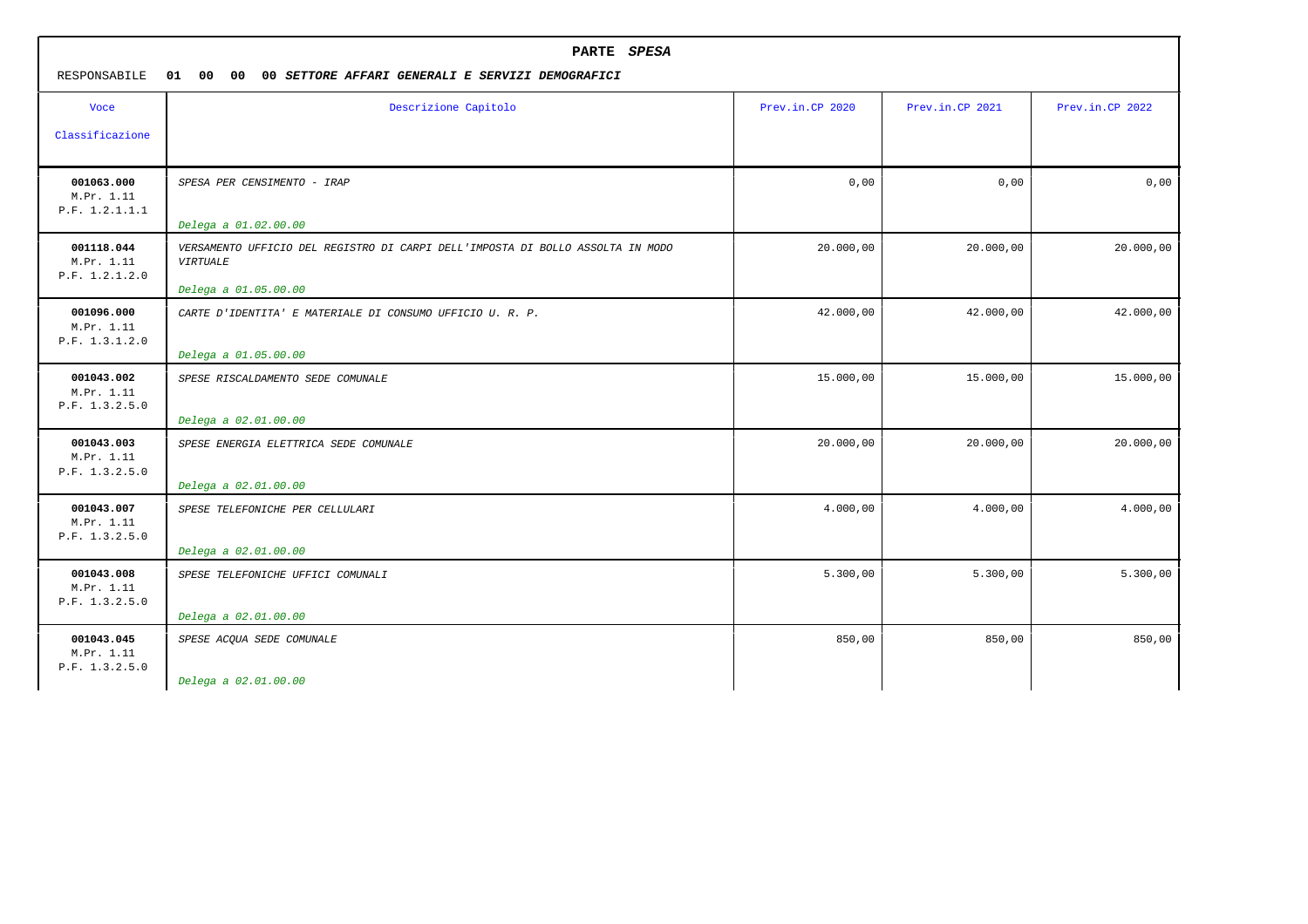| Descrizione Capitolo                                                                              | Prev.in.CP 2020                                                                                                      | Prev.in.CP 2021 |                 |
|---------------------------------------------------------------------------------------------------|----------------------------------------------------------------------------------------------------------------------|-----------------|-----------------|
|                                                                                                   |                                                                                                                      |                 | Prev.in.CP 2022 |
|                                                                                                   |                                                                                                                      |                 |                 |
| SPESA PER CENSIMENTO - IRAP                                                                       | 0,00                                                                                                                 | 0,00            | 0,00            |
| Delega a 01.02.00.00                                                                              |                                                                                                                      |                 |                 |
| VERSAMENTO UFFICIO DEL REGISTRO DI CARPI DELL'IMPOSTA DI BOLLO ASSOLTA IN MODO<br><b>VIRTUALE</b> | 20.000,00                                                                                                            | 20.000,00       | 20.000,00       |
| Delega a 01.05.00.00                                                                              |                                                                                                                      |                 |                 |
| CARTE D'IDENTITA' E MATERIALE DI CONSUMO UFFICIO U.R.P.                                           | 42.000,00                                                                                                            | 42.000,00       | 42.000,00       |
| SPESE RISCALDAMENTO SEDE COMUNALE                                                                 | 15.000,00                                                                                                            | 15.000,00       | 15.000,00       |
| SPESE ENERGIA ELETTRICA SEDE COMUNALE<br>Delega a 02.01.00.00                                     | 20.000,00                                                                                                            | 20.000,00       | 20.000,00       |
| SPESE TELEFONICHE PER CELLULARI                                                                   | 4.000,00                                                                                                             | 4.000,00        | 4.000,00        |
| SPESE TELEFONICHE UFFICI COMUNALI                                                                 | 5.300,00                                                                                                             | 5.300,00        | 5.300,00        |
| SPESE ACQUA SEDE COMUNALE                                                                         | 850,00                                                                                                               | 850,00          | 850,00          |
|                                                                                                   | Delega a 01.05.00.00<br>Delega a 02.01.00.00<br>Delega a 02.01.00.00<br>Delega a 02.01.00.00<br>Delega a 02.01.00.00 |                 |                 |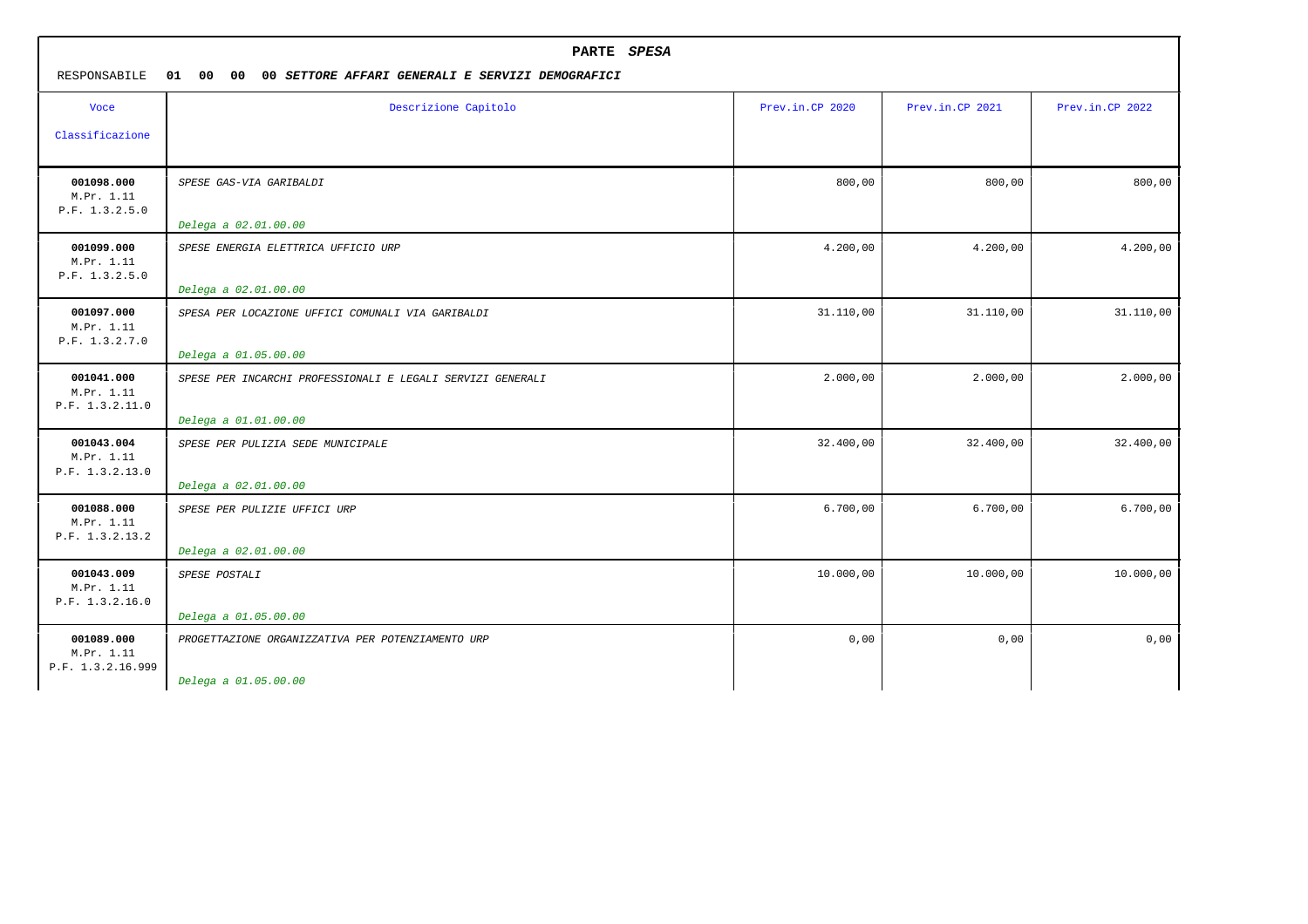| PARTE SPESA<br>RESPONSABILE<br>01<br>00<br>00 <sub>o</sub><br>00 SETTORE AFFARI GENERALI E SERVIZI DEMOGRAFICI |                                                            |                 |                 |                 |  |
|----------------------------------------------------------------------------------------------------------------|------------------------------------------------------------|-----------------|-----------------|-----------------|--|
| <b>Voce</b>                                                                                                    | Descrizione Capitolo                                       | Prev.in.CP 2020 | Prev.in.CP 2021 | Prev.in.CP 2022 |  |
| Classificazione                                                                                                |                                                            |                 |                 |                 |  |
| 001098.000<br>M.Pr. 1.11<br>P.F. 1.3.2.5.0                                                                     | SPESE GAS-VIA GARIBALDI                                    | 800,00          | 800,00          | 800,00          |  |
|                                                                                                                | Delega a 02.01.00.00                                       |                 |                 |                 |  |
| 001099.000<br>M.Pr. 1.11<br>P.F. 1.3.2.5.0                                                                     | SPESE ENERGIA ELETTRICA UFFICIO URP                        | 4.200,00        | 4.200,00        | 4.200,00        |  |
|                                                                                                                | Delega a 02.01.00.00                                       |                 |                 |                 |  |
| 001097.000<br>M.Pr. 1.11<br>P.F. 1.3.2.7.0                                                                     | SPESA PER LOCAZIONE UFFICI COMUNALI VIA GARIBALDI          | 31.110,00       | 31.110,00       | 31.110,00       |  |
|                                                                                                                | Delega a 01.05.00.00                                       |                 |                 |                 |  |
| 001041.000<br>M.Pr. 1.11<br>P.F. 1.3.2.11.0                                                                    | SPESE PER INCARCHI PROFESSIONALI E LEGALI SERVIZI GENERALI | 2.000,00        | 2.000,00        | 2.000,00        |  |
|                                                                                                                | Delega a 01.01.00.00                                       |                 |                 |                 |  |
| 001043.004<br>M.Pr. 1.11<br>P.F. 1.3.2.13.0                                                                    | SPESE PER PULIZIA SEDE MUNICIPALE                          | 32.400,00       | 32.400,00       | 32.400,00       |  |
|                                                                                                                | Delega a 02.01.00.00                                       |                 |                 |                 |  |
| 001088.000<br>M.Pr. 1.11<br>P.F. 1.3.2.13.2                                                                    | SPESE PER PULIZIE UFFICI URP                               | 6.700,00        | 6.700,00        | 6.700,00        |  |
|                                                                                                                | Delega a 02.01.00.00                                       |                 |                 |                 |  |
| 001043.009<br>M.Pr. 1.11<br>P.F. 1.3.2.16.0                                                                    | SPESE POSTALI                                              | 10.000,00       | 10.000,00       | 10.000,00       |  |
|                                                                                                                | Delega a 01.05.00.00                                       |                 |                 |                 |  |
| 001089.000<br>M.Pr. 1.11<br>P.F. 1.3.2.16.999                                                                  | PROGETTAZIONE ORGANIZZATIVA PER POTENZIAMENTO URP          | 0,00            | 0,00            | 0,00            |  |
|                                                                                                                | Delega a 01.05.00.00                                       |                 |                 |                 |  |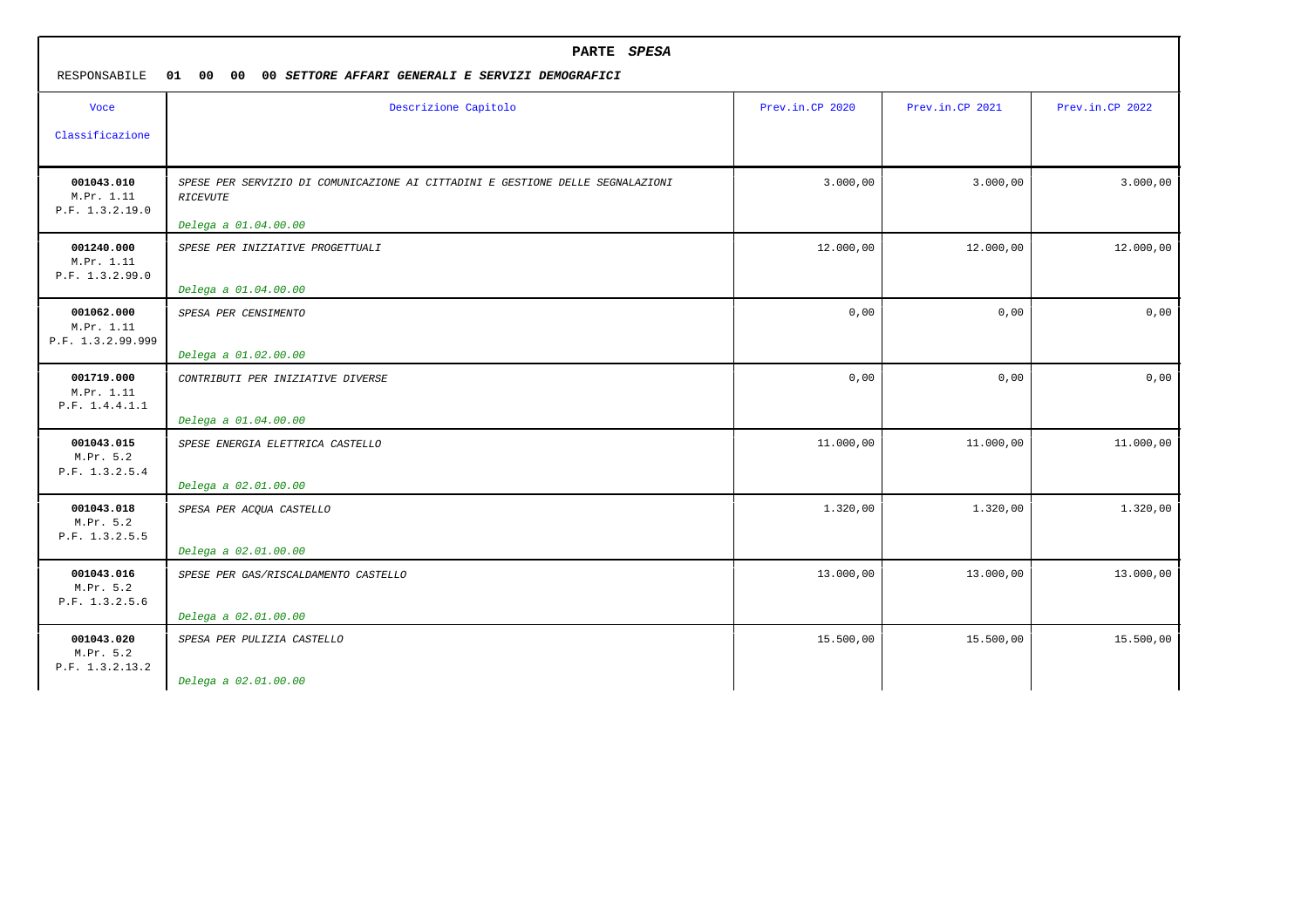| PARTE SPESA<br>RESPONSABILE<br>01<br>00<br>00<br>00 SETTORE AFFARI GENERALI E SERVIZI DEMOGRAFICI |                                                                                                   |                 |                 |                 |  |
|---------------------------------------------------------------------------------------------------|---------------------------------------------------------------------------------------------------|-----------------|-----------------|-----------------|--|
| <b>Voce</b>                                                                                       | Descrizione Capitolo                                                                              | Prev.in.CP 2020 | Prev.in.CP 2021 | Prev.in.CP 2022 |  |
| Classificazione                                                                                   |                                                                                                   |                 |                 |                 |  |
| 001043.010<br>M.Pr. 1.11<br>P.F. 1.3.2.19.0                                                       | SPESE PER SERVIZIO DI COMUNICAZIONE AI CITTADINI E GESTIONE DELLE SEGNALAZIONI<br><b>RICEVUTE</b> | 3.000,00        | 3.000,00        | 3.000,00        |  |
| 001240.000<br>M.Pr. 1.11<br>P.F. 1.3.2.99.0                                                       | Delega a 01.04.00.00<br>SPESE PER INIZIATIVE PROGETTUALI                                          | 12.000,00       | 12.000,00       | 12.000,00       |  |
|                                                                                                   | Delega a 01.04.00.00                                                                              |                 |                 |                 |  |
| 001062.000<br>M.Pr. 1.11<br>P.F. 1.3.2.99.999                                                     | SPESA PER CENSIMENTO                                                                              | 0,00            | 0,00            | 0,00            |  |
| 001719.000<br>M.Pr. 1.11<br>P.F. 1.4.4.1.1                                                        | Delega a 01.02.00.00<br>CONTRIBUTI PER INIZIATIVE DIVERSE                                         | 0,00            | 0,00            | 0,00            |  |
| 001043.015                                                                                        | Delega a 01.04.00.00<br>SPESE ENERGIA ELETTRICA CASTELLO                                          | 11.000,00       | 11.000,00       | 11.000,00       |  |
| M.Pr. 5.2<br>P.F. 1.3.2.5.4                                                                       | Delega a 02.01.00.00                                                                              |                 |                 |                 |  |
| 001043.018<br>M.Pr. 5.2<br>P.F. 1.3.2.5.5                                                         | SPESA PER ACQUA CASTELLO                                                                          | 1.320,00        | 1.320,00        | 1.320,00        |  |
|                                                                                                   | Delega a 02.01.00.00                                                                              |                 |                 |                 |  |
| 001043.016<br>M.Pr. 5.2<br>P.F. 1.3.2.5.6                                                         | SPESE PER GAS/RISCALDAMENTO CASTELLO                                                              | 13.000,00       | 13.000,00       | 13.000,00       |  |
|                                                                                                   | Delega a 02.01.00.00                                                                              |                 |                 |                 |  |
| 001043.020<br>M.Pr. 5.2<br>P.F. 1.3.2.13.2                                                        | SPESA PER PULIZIA CASTELLO                                                                        | 15.500,00       | 15.500,00       | 15.500,00       |  |
|                                                                                                   | Delega a 02.01.00.00                                                                              |                 |                 |                 |  |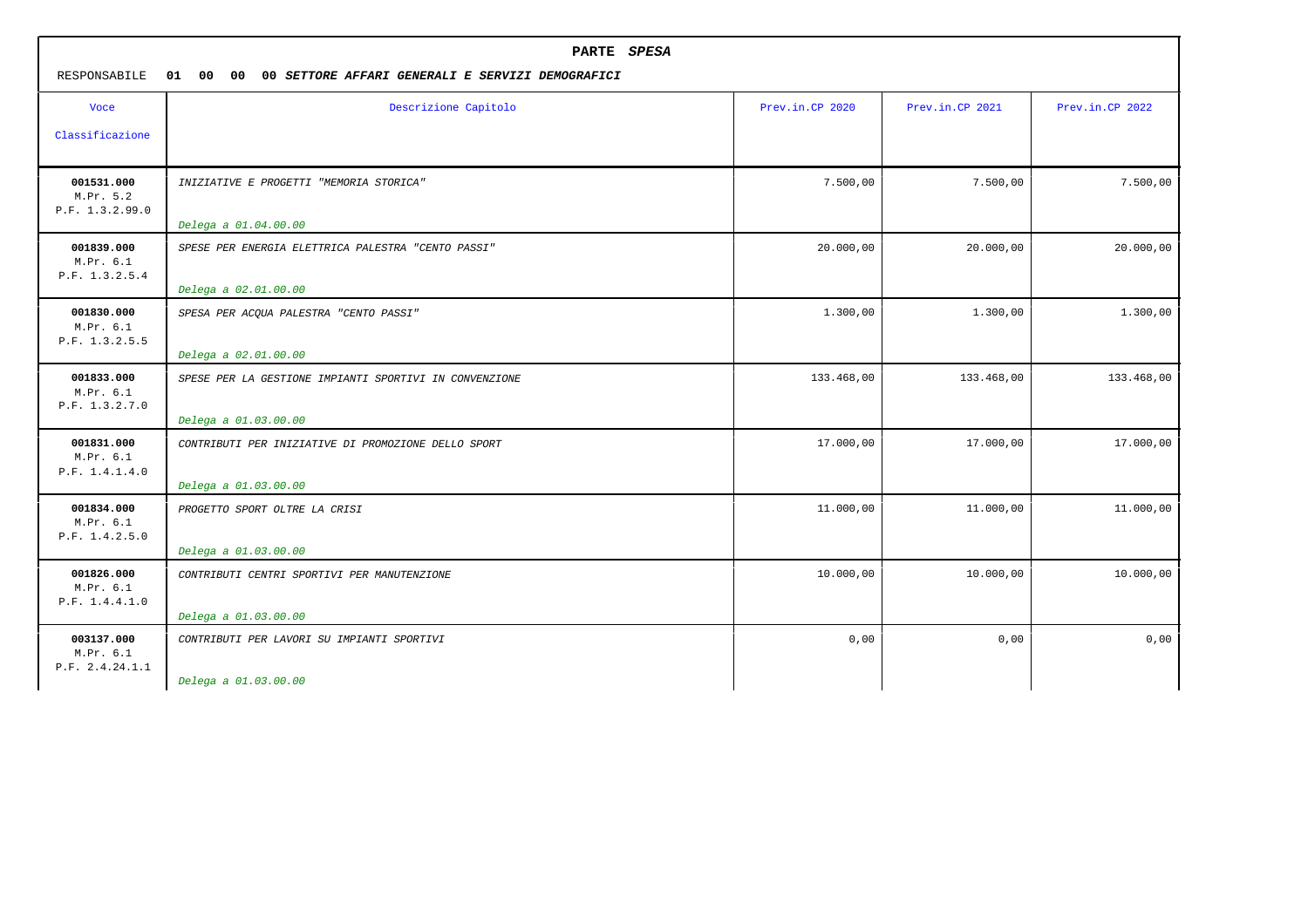| PARTE SPESA<br>RESPONSABILE<br>01<br>00<br>00<br>00 SETTORE AFFARI GENERALI E SERVIZI DEMOGRAFICI |                                                        |                 |                 |                 |  |
|---------------------------------------------------------------------------------------------------|--------------------------------------------------------|-----------------|-----------------|-----------------|--|
| <b>Voce</b>                                                                                       | Descrizione Capitolo                                   | Prev.in.CP 2020 | Prev.in.CP 2021 | Prev.in.CP 2022 |  |
| Classificazione                                                                                   |                                                        |                 |                 |                 |  |
| 001531.000<br>M.Pr. 5.2<br>P.F. 1.3.2.99.0                                                        | INIZIATIVE E PROGETTI "MEMORIA STORICA"                | 7.500,00        | 7.500,00        | 7.500,00        |  |
|                                                                                                   | Delega a 01.04.00.00                                   |                 |                 |                 |  |
| 001839.000<br>M.Pr. 6.1<br>P.F. 1.3.2.5.4                                                         | SPESE PER ENERGIA ELETTRICA PALESTRA "CENTO PASSI"     | 20.000,00       | 20.000,00       | 20.000,00       |  |
|                                                                                                   | Delega a 02.01.00.00                                   |                 |                 |                 |  |
| 001830.000<br>M.Pr. 6.1<br>P.F. 1.3.2.5.5                                                         | SPESA PER ACQUA PALESTRA "CENTO PASSI"                 | 1.300,00        | 1.300,00        | 1.300,00        |  |
|                                                                                                   | Delega a 02.01.00.00                                   |                 |                 |                 |  |
| 001833.000<br>M.Pr. 6.1<br>P.F. 1.3.2.7.0                                                         | SPESE PER LA GESTIONE IMPIANTI SPORTIVI IN CONVENZIONE | 133.468,00      | 133.468,00      | 133.468,00      |  |
|                                                                                                   | Delega a 01.03.00.00                                   |                 |                 |                 |  |
| 001831.000<br>M.Pr. 6.1<br>P.F. 1.4.1.4.0                                                         | CONTRIBUTI PER INIZIATIVE DI PROMOZIONE DELLO SPORT    | 17.000,00       | 17.000,00       | 17.000,00       |  |
|                                                                                                   | Delega a 01.03.00.00                                   |                 |                 |                 |  |
| 001834.000<br>M.Pr. 6.1<br>P.F. 1.4.2.5.0                                                         | PROGETTO SPORT OLTRE LA CRISI                          | 11.000,00       | 11.000,00       | 11.000,00       |  |
|                                                                                                   | Delega a 01.03.00.00                                   |                 |                 |                 |  |
| 001826.000<br>M.Pr. 6.1<br>P.F. 1.4.4.1.0                                                         | CONTRIBUTI CENTRI SPORTIVI PER MANUTENZIONE            | 10.000,00       | 10.000,00       | 10.000,00       |  |
|                                                                                                   | Delega a 01.03.00.00                                   |                 |                 |                 |  |
| 003137.000<br>M.Pr. 6.1<br>P.F. 2.4.24.1.1                                                        | CONTRIBUTI PER LAVORI SU IMPIANTI SPORTIVI             | 0,00            | 0,00            | 0,00            |  |
|                                                                                                   | Delega a 01.03.00.00                                   |                 |                 |                 |  |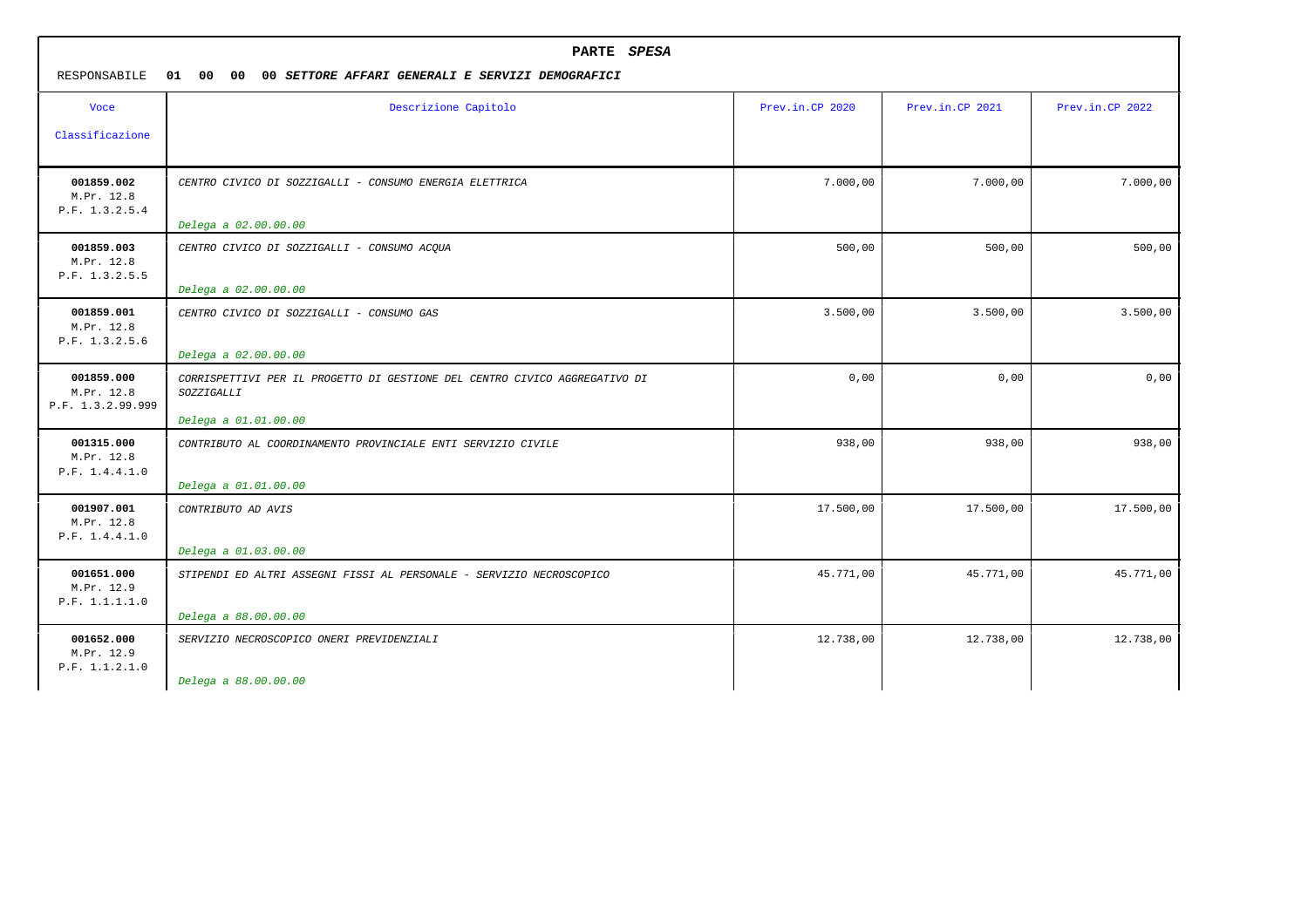| PARTE SPESA<br>RESPONSABILE<br>01 00<br>00 <sup>1</sup><br>00 SETTORE AFFARI GENERALI E SERVIZI DEMOGRAFICI |                                                                                                                  |                 |                 |                 |
|-------------------------------------------------------------------------------------------------------------|------------------------------------------------------------------------------------------------------------------|-----------------|-----------------|-----------------|
| <b>Voce</b><br>Classificazione                                                                              | Descrizione Capitolo                                                                                             | Prev.in.CP 2020 | Prev.in.CP 2021 | Prev.in.CP 2022 |
| 001859.002<br>M.Pr. 12.8<br>P.F. 1.3.2.5.4                                                                  | CENTRO CIVICO DI SOZZIGALLI - CONSUMO ENERGIA ELETTRICA<br>Delega a 02.00.00.00                                  | 7.000,00        | 7.000,00        | 7.000,00        |
| 001859.003<br>M.Pr. 12.8<br>P.F. 1.3.2.5.5                                                                  | CENTRO CIVICO DI SOZZIGALLI - CONSUMO ACQUA<br>Delega a 02.00.00.00                                              | 500,00          | 500,00          | 500,00          |
| 001859.001<br>M.Pr. 12.8<br>P.F. 1.3.2.5.6                                                                  | CENTRO CIVICO DI SOZZIGALLI - CONSUMO GAS<br>Delega a 02.00.00.00                                                | 3.500,00        | 3.500,00        | 3.500,00        |
| 001859.000<br>M.Pr. 12.8<br>P.F. 1.3.2.99.999                                                               | CORRISPETTIVI PER IL PROGETTO DI GESTIONE DEL CENTRO CIVICO AGGREGATIVO DI<br>SOZZIGALLI<br>Delega a 01.01.00.00 | 0,00            | 0,00            | 0,00            |
| 001315.000<br>M.Pr. 12.8<br>P.F. 1.4.4.1.0                                                                  | CONTRIBUTO AL COORDINAMENTO PROVINCIALE ENTI SERVIZIO CIVILE<br>Delega a 01.01.00.00                             | 938,00          | 938,00          | 938,00          |
| 001907.001<br>M.Pr. 12.8<br>P.F. 1.4.4.1.0                                                                  | CONTRIBUTO AD AVIS<br>Delega a 01.03.00.00                                                                       | 17.500,00       | 17.500,00       | 17.500,00       |
| 001651.000<br>M.Pr. 12.9<br>P.F. 1.1.1.1.0                                                                  | STIPENDI ED ALTRI ASSEGNI FISSI AL PERSONALE - SERVIZIO NECROSCOPICO<br>Delega a 88.00.00.00                     | 45.771,00       | 45.771,00       | 45.771,00       |
| 001652.000<br>M.Pr. 12.9<br>P.F. 1.1.2.1.0                                                                  | SERVIZIO NECROSCOPICO ONERI PREVIDENZIALI<br>Delega a 88.00.00.00                                                | 12.738,00       | 12.738,00       | 12.738,00       |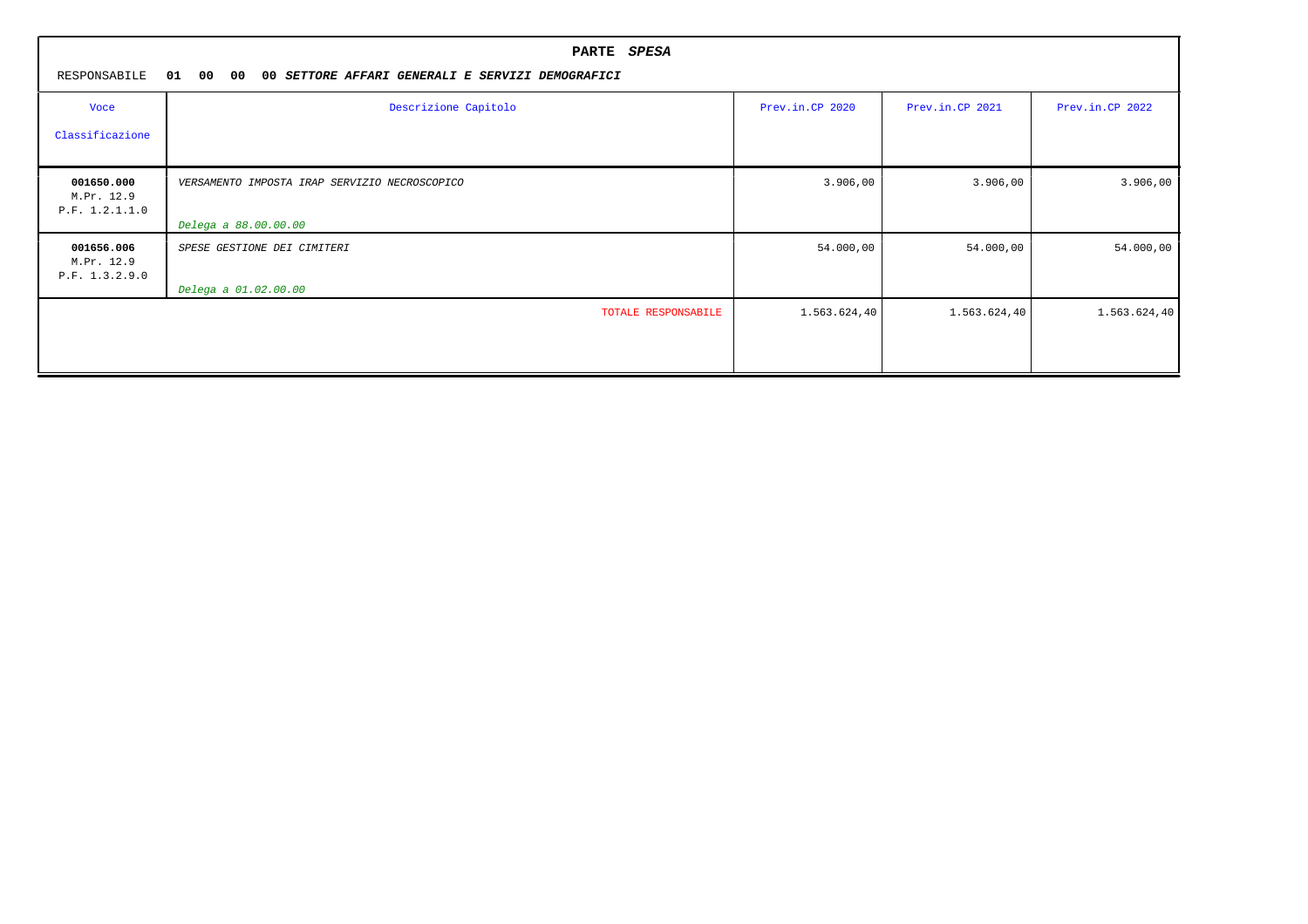| RESPONSABILE                               | PARTE SPESA<br>01 00 00<br>00 SETTORE AFFARI GENERALI E SERVIZI DEMOGRAFICI |                 |                 |                 |  |  |  |  |
|--------------------------------------------|-----------------------------------------------------------------------------|-----------------|-----------------|-----------------|--|--|--|--|
| Voce                                       | Descrizione Capitolo                                                        | Prev.in.CP 2020 | Prev.in.CP 2021 | Prev.in.CP 2022 |  |  |  |  |
| Classificazione                            |                                                                             |                 |                 |                 |  |  |  |  |
| 001650.000<br>M.Pr. 12.9<br>P.F. 1.2.1.1.0 | VERSAMENTO IMPOSTA IRAP SERVIZIO NECROSCOPICO                               | 3.906,00        | 3.906,00        | 3.906,00        |  |  |  |  |
|                                            | Delega a 88.00.00.00                                                        |                 |                 |                 |  |  |  |  |
| 001656.006<br>M.Pr. 12.9<br>P.F. 1.3.2.9.0 | SPESE GESTIONE DEI CIMITERI                                                 | 54.000,00       | 54.000,00       | 54.000,00       |  |  |  |  |
|                                            | Delega a 01.02.00.00                                                        |                 |                 |                 |  |  |  |  |
|                                            | TOTALE RESPONSABILE                                                         | 1.563.624,40    | 1.563.624,40    | 1.563.624,40    |  |  |  |  |
|                                            |                                                                             |                 |                 |                 |  |  |  |  |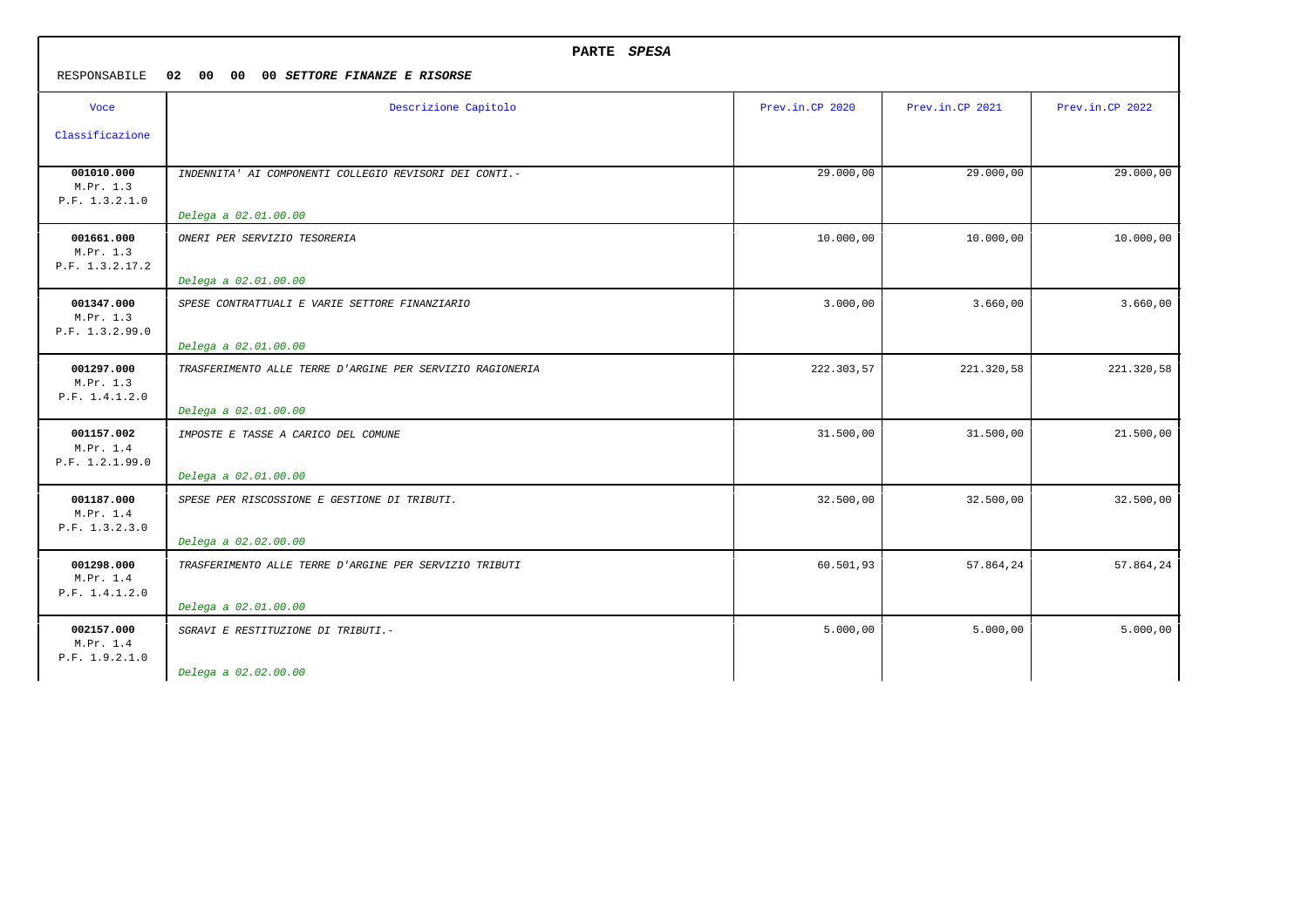|                                            | PARTE SPESA                                               |                 |                 |                 |  |
|--------------------------------------------|-----------------------------------------------------------|-----------------|-----------------|-----------------|--|
| RESPONSABILE                               | 02 00 00<br>00 SETTORE FINANZE E RISORSE                  |                 |                 |                 |  |
| <b>Voce</b>                                | Descrizione Capitolo                                      | Prev.in.CP 2020 | Prev.in.CP 2021 | Prev.in.CP 2022 |  |
| Classificazione                            |                                                           |                 |                 |                 |  |
| 001010.000<br>M.Pr. 1.3<br>P.F. 1.3.2.1.0  | INDENNITA' AI COMPONENTI COLLEGIO REVISORI DEI CONTI.-    | 29.000,00       | 29.000,00       | 29.000,00       |  |
|                                            | Delega a 02.01.00.00                                      |                 |                 |                 |  |
| 001661.000<br>M.Pr. 1.3<br>P.F. 1.3.2.17.2 | ONERI PER SERVIZIO TESORERIA                              | 10.000,00       | 10.000,00       | 10.000,00       |  |
|                                            | Delega a 02.01.00.00                                      |                 |                 |                 |  |
| 001347.000<br>M.Pr. 1.3<br>P.F. 1.3.2.99.0 | SPESE CONTRATTUALI E VARIE SETTORE FINANZIARIO            | 3.000,00        | 3.660,00        | 3.660,00        |  |
|                                            | Delega a 02.01.00.00                                      |                 |                 |                 |  |
| 001297.000<br>M.Pr. 1.3<br>P.F. 1.4.1.2.0  | TRASFERIMENTO ALLE TERRE D'ARGINE PER SERVIZIO RAGIONERIA | 222.303,57      | 221.320,58      | 221.320,58      |  |
|                                            | Delega a 02.01.00.00                                      |                 |                 |                 |  |
| 001157.002<br>M.Pr. 1.4<br>P.F. 1.2.1.99.0 | IMPOSTE E TASSE A CARICO DEL COMUNE                       | 31.500,00       | 31.500,00       | 21.500,00       |  |
|                                            | Delega a 02.01.00.00                                      |                 |                 |                 |  |
| 001187.000<br>M.Pr. 1.4<br>P.F. 1.3.2.3.0  | SPESE PER RISCOSSIONE E GESTIONE DI TRIBUTI.              | 32.500,00       | 32.500,00       | 32.500,00       |  |
|                                            | Delega a 02.02.00.00                                      |                 |                 |                 |  |
| 001298.000<br>M.Pr. 1.4<br>P.F. 1.4.1.2.0  | TRASFERIMENTO ALLE TERRE D'ARGINE PER SERVIZIO TRIBUTI    | 60.501,93       | 57.864,24       | 57.864,24       |  |
|                                            | Delega a 02.01.00.00                                      |                 |                 |                 |  |
| 002157.000<br>M.Pr. 1.4<br>P.F. 1.9.2.1.0  | SGRAVI E RESTITUZIONE DI TRIBUTI.-                        | 5.000,00        | 5.000,00        | 5.000,00        |  |
|                                            | Delega a 02.02.00.00                                      |                 |                 |                 |  |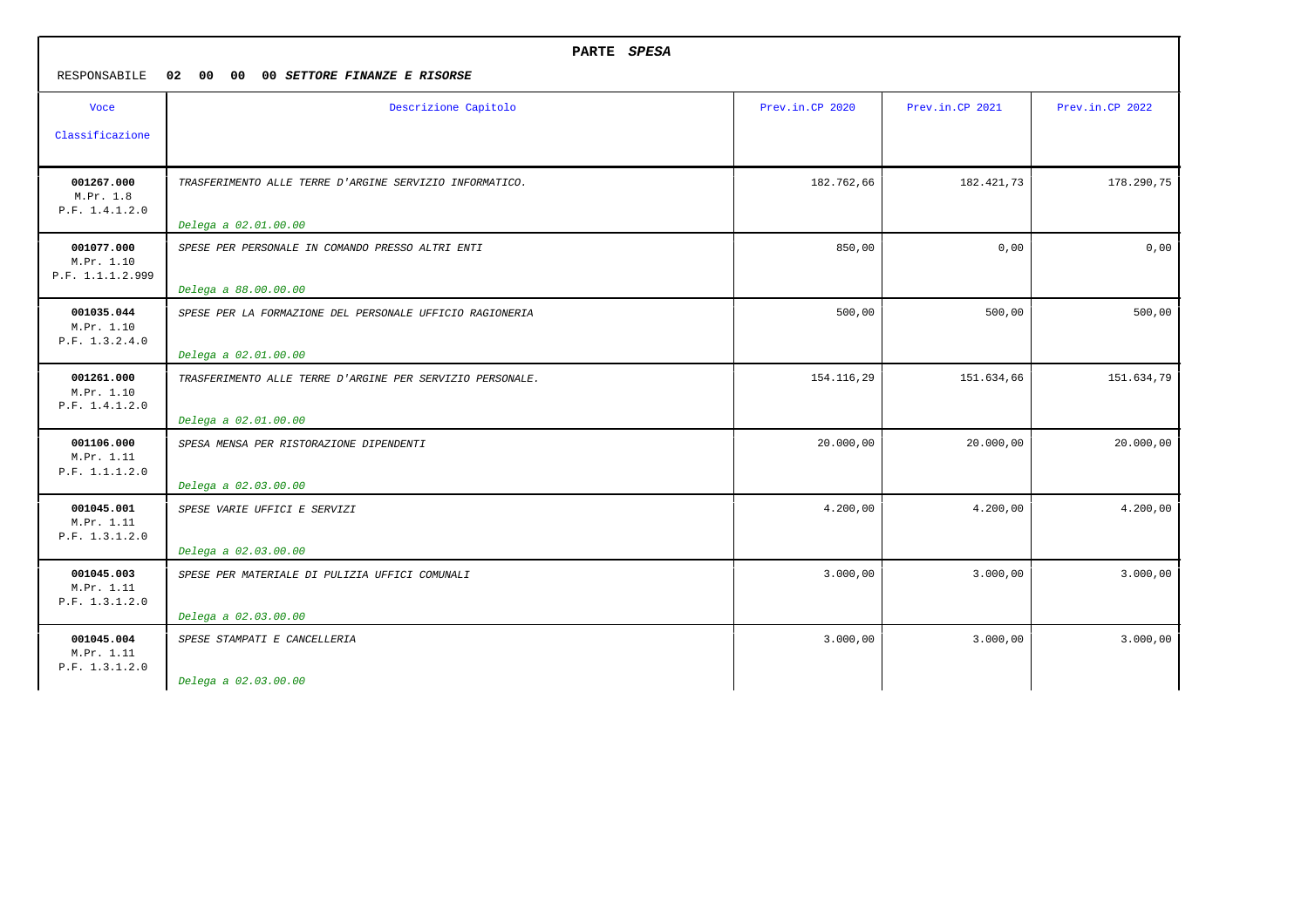| PARTE SPESA                                  |                                                                                   |                 |                 |                 |
|----------------------------------------------|-----------------------------------------------------------------------------------|-----------------|-----------------|-----------------|
| RESPONSABILE                                 | 02<br>00<br>00<br>00 SETTORE FINANZE E RISORSE                                    |                 |                 |                 |
| <b>Voce</b>                                  | Descrizione Capitolo                                                              | Prev.in.CP 2020 | Prev.in.CP 2021 | Prev.in.CP 2022 |
| Classificazione                              |                                                                                   |                 |                 |                 |
| 001267.000<br>M.Pr. 1.8<br>P.F. 1.4.1.2.0    | TRASFERIMENTO ALLE TERRE D'ARGINE SERVIZIO INFORMATICO.                           | 182.762,66      | 182.421,73      | 178.290,75      |
|                                              | Delega a 02.01.00.00                                                              |                 |                 |                 |
| 001077.000<br>M.Pr. 1.10<br>P.F. 1.1.1.2.999 | SPESE PER PERSONALE IN COMANDO PRESSO ALTRI ENTI                                  | 850,00          | 0,00            | 0,00            |
|                                              | Delega a 88.00.00.00                                                              |                 |                 |                 |
| 001035.044<br>M.Pr. 1.10<br>P.F. 1.3.2.4.0   | SPESE PER LA FORMAZIONE DEL PERSONALE UFFICIO RAGIONERIA<br>Delega a 02.01.00.00  | 500,00          | 500,00          | 500,00          |
| 001261.000<br>M.Pr. 1.10<br>P.F. 1.4.1.2.0   | TRASFERIMENTO ALLE TERRE D'ARGINE PER SERVIZIO PERSONALE.<br>Delega a 02.01.00.00 | 154.116,29      | 151.634,66      | 151.634,79      |
|                                              |                                                                                   |                 |                 |                 |
| 001106.000<br>M.Pr. 1.11<br>P.F. 1.1.1.2.0   | SPESA MENSA PER RISTORAZIONE DIPENDENTI<br>Delega a 02.03.00.00                   | 20.000,00       | 20.000,00       | 20.000,00       |
| 001045.001<br>M.Pr. 1.11<br>P.F. 1.3.1.2.0   | SPESE VARIE UFFICI E SERVIZI                                                      | 4.200,00        | 4.200,00        | 4.200,00        |
|                                              | Delega a 02.03.00.00                                                              |                 |                 |                 |
| 001045.003<br>M.Pr. 1.11<br>P.F. 1.3.1.2.0   | SPESE PER MATERIALE DI PULIZIA UFFICI COMUNALI                                    | 3.000,00        | 3.000,00        | 3.000,00        |
|                                              | Delega a 02.03.00.00                                                              |                 |                 |                 |
| 001045.004<br>M.Pr. 1.11<br>P.F. 1.3.1.2.0   | SPESE STAMPATI E CANCELLERIA                                                      | 3.000,00        | 3.000,00        | 3.000,00        |
|                                              | Delega a 02.03.00.00                                                              |                 |                 |                 |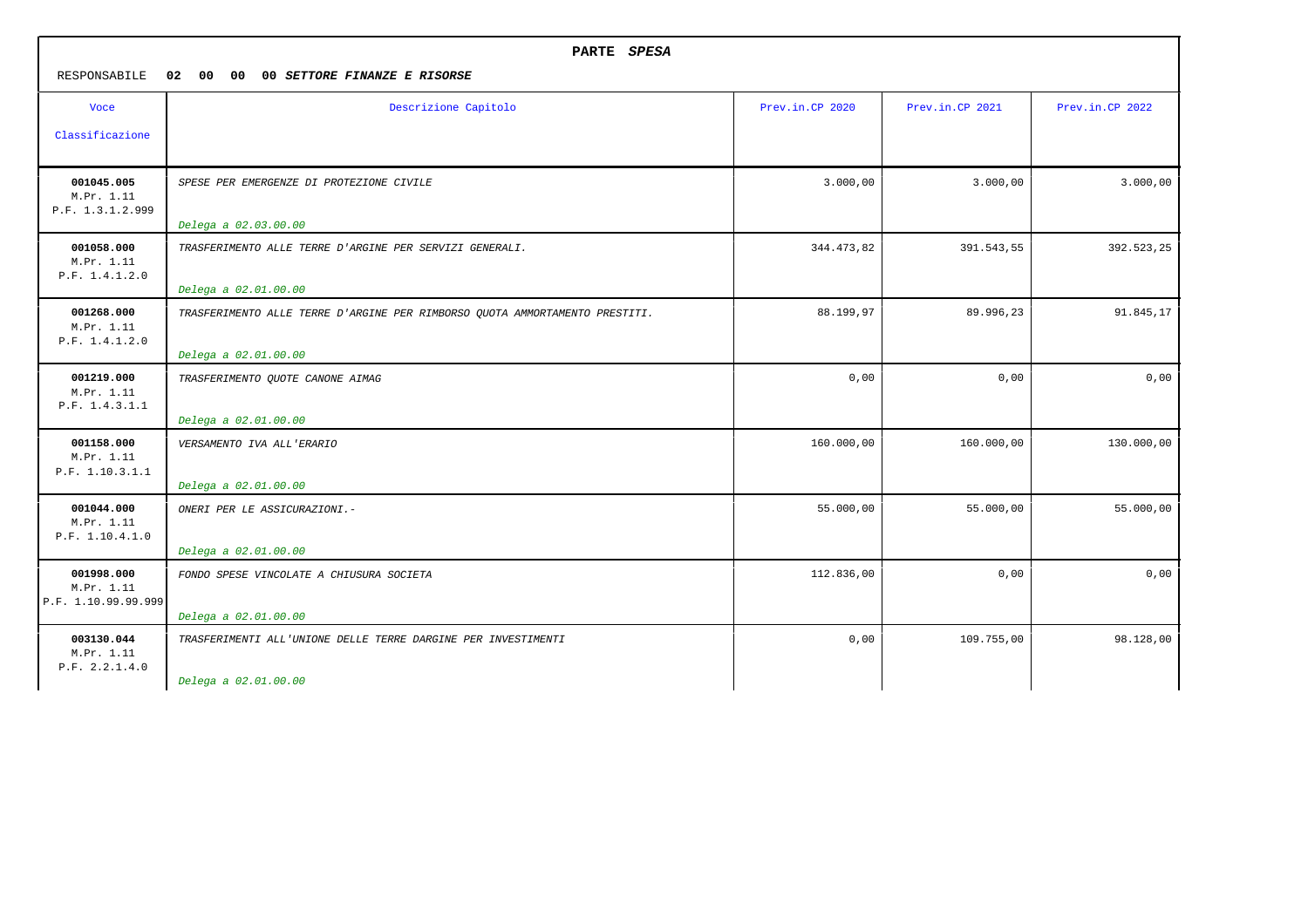| PARTE SPESA<br>RESPONSABILE<br>02 00<br>00<br>00 SETTORE FINANZE E RISORSE |                                                                                                     |                 |                 |                 |
|----------------------------------------------------------------------------|-----------------------------------------------------------------------------------------------------|-----------------|-----------------|-----------------|
| <b>Voce</b><br>Classificazione                                             | Descrizione Capitolo                                                                                | Prev.in.CP 2020 | Prev.in.CP 2021 | Prev.in.CP 2022 |
| 001045.005<br>M.Pr. 1.11<br>P.F. 1.3.1.2.999                               | SPESE PER EMERGENZE DI PROTEZIONE CIVILE<br>Delega a 02.03.00.00                                    | 3.000,00        | 3.000,00        | 3.000,00        |
| 001058.000<br>M.Pr. 1.11<br>P.F. 1.4.1.2.0                                 | TRASFERIMENTO ALLE TERRE D'ARGINE PER SERVIZI GENERALI.<br>Delega a 02.01.00.00                     | 344.473,82      | 391.543,55      | 392.523,25      |
| 001268.000<br>M.Pr. 1.11<br>P.F. 1.4.1.2.0                                 | TRASFERIMENTO ALLE TERRE D'ARGINE PER RIMBORSO QUOTA AMMORTAMENTO PRESTITI.<br>Delega a 02.01.00.00 | 88.199,97       | 89.996,23       | 91.845,17       |
| 001219.000<br>M.Pr. 1.11<br>P.F. 1.4.3.1.1                                 | TRASFERIMENTO QUOTE CANONE AIMAG<br>Delega a 02.01.00.00                                            | 0,00            | 0,00            | 0,00            |
| 001158.000<br>M.Pr. 1.11<br>P.F. 1.10.3.1.1                                | VERSAMENTO IVA ALL'ERARIO<br>Delega a 02.01.00.00                                                   | 160.000,00      | 160.000,00      | 130.000,00      |
| 001044.000<br>M.Pr. 1.11<br>P.F. 1.10.4.1.0                                | ONERI PER LE ASSICURAZIONI.-<br>Delega a 02.01.00.00                                                | 55.000,00       | 55.000,00       | 55.000,00       |
| 001998.000<br>M.Pr. 1.11<br>P.F. 1.10.99.99.999                            | FONDO SPESE VINCOLATE A CHIUSURA SOCIETA<br>Delega a 02.01.00.00                                    | 112.836,00      | 0,00            | 0,00            |
| 003130.044<br>M.Pr. 1.11<br>P.F. 2.2.1.4.0                                 | TRASFERIMENTI ALL'UNIONE DELLE TERRE DARGINE PER INVESTIMENTI<br>Delega a 02.01.00.00               | 0,00            | 109.755,00      | 98.128,00       |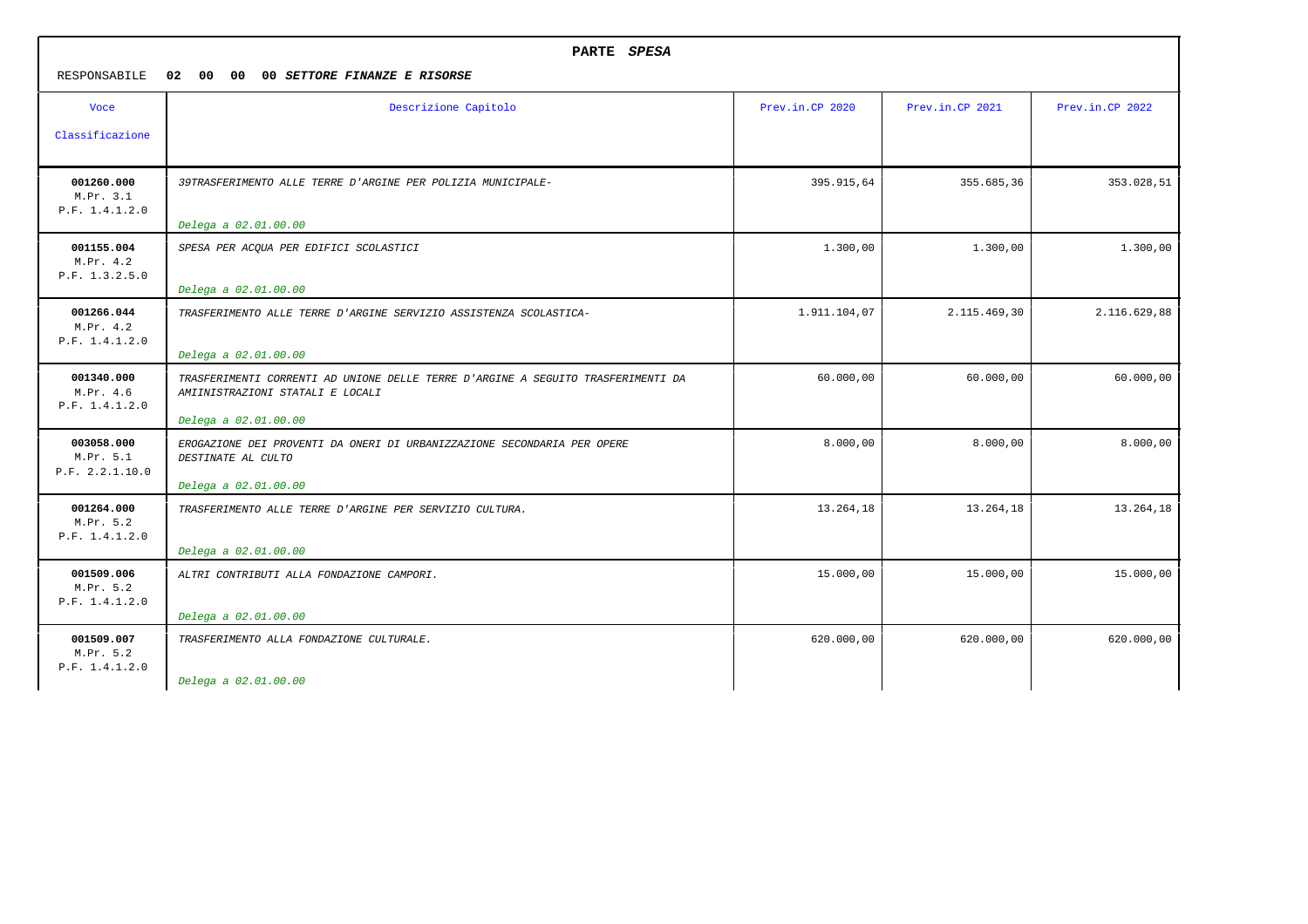| RESPONSABILE                               | PARTE SPESA<br>02<br>00 00<br>00 SETTORE FINANZE E RISORSE                                                                                   |                 |                 |                 |  |
|--------------------------------------------|----------------------------------------------------------------------------------------------------------------------------------------------|-----------------|-----------------|-----------------|--|
| <b>Voce</b><br>Classificazione             | Descrizione Capitolo                                                                                                                         | Prev.in.CP 2020 | Prev.in.CP 2021 | Prev.in.CP 2022 |  |
| 001260.000<br>M.Pr. 3.1<br>P.F. 1.4.1.2.0  | 39TRASFERIMENTO ALLE TERRE D'ARGINE PER POLIZIA MUNICIPALE-<br>Delega a 02.01.00.00                                                          | 395.915,64      | 355.685,36      | 353.028,51      |  |
| 001155.004<br>M.Pr. 4.2<br>P.F. 1.3.2.5.0  | SPESA PER ACQUA PER EDIFICI SCOLASTICI<br>Delega a 02.01.00.00                                                                               | 1.300,00        | 1.300,00        | 1,300,00        |  |
| 001266.044<br>M.Pr. 4.2<br>P.F. 1.4.1.2.0  | TRASFERIMENTO ALLE TERRE D'ARGINE SERVIZIO ASSISTENZA SCOLASTICA-<br>Delega a 02.01.00.00                                                    | 1.911.104,07    | 2.115.469,30    | 2.116.629,88    |  |
| 001340.000<br>M.Pr. 4.6<br>P.F. 1.4.1.2.0  | TRASFERIMENTI CORRENTI AD UNIONE DELLE TERRE D'ARGINE A SEGUITO TRASFERIMENTI DA<br>AMIINISTRAZIONI STATALI E LOCALI<br>Delega a 02.01.00.00 | 60.000,00       | 60.000,00       | 60.000,00       |  |
| 003058.000<br>M.Pr. 5.1<br>P.F. 2.2.1.10.0 | EROGAZIONE DEI PROVENTI DA ONERI DI URBANIZZAZIONE SECONDARIA PER OPERE<br>DESTINATE AL CULTO<br>Delega a 02.01.00.00                        | 8.000,00        | 8.000,00        | 8.000,00        |  |
| 001264.000<br>M.Pr. 5.2<br>P.F. 1.4.1.2.0  | TRASFERIMENTO ALLE TERRE D'ARGINE PER SERVIZIO CULTURA.<br>Delega a 02.01.00.00                                                              | 13.264,18       | 13.264,18       | 13.264,18       |  |
| 001509.006<br>M.Pr. 5.2<br>P.F. 1.4.1.2.0  | ALTRI CONTRIBUTI ALLA FONDAZIONE CAMPORI.<br>Delega a 02.01.00.00                                                                            | 15.000,00       | 15.000,00       | 15.000,00       |  |
| 001509.007<br>M.Pr. 5.2<br>P.F. 1.4.1.2.0  | TRASFERIMENTO ALLA FONDAZIONE CULTURALE.<br>Delega a 02.01.00.00                                                                             | 620.000,00      | 620.000,00      | 620.000,00      |  |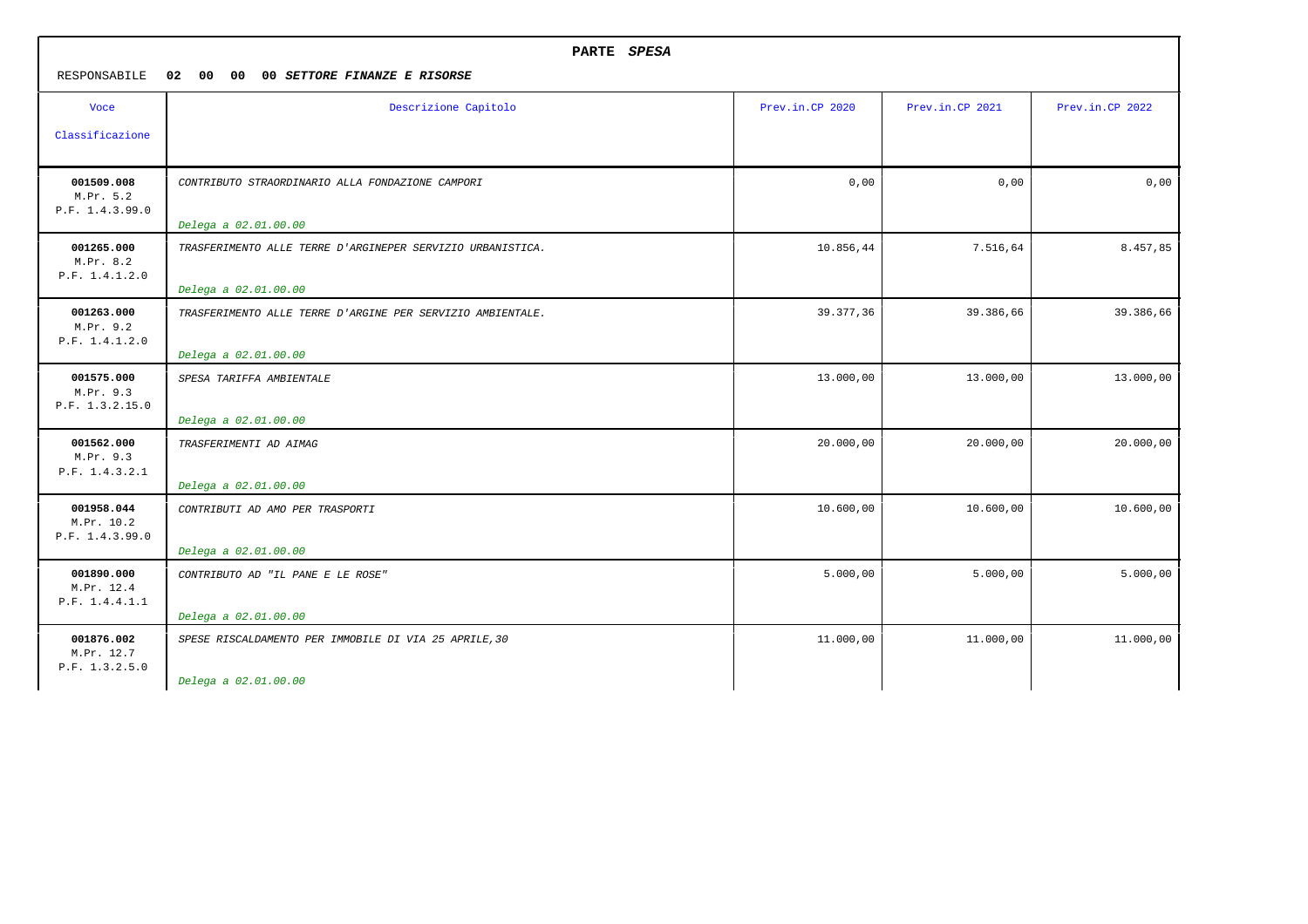| PARTE SPESA<br>RESPONSABILE<br>02 00<br>00<br>00 SETTORE FINANZE E RISORSE |                                                                                    |                 |                 |                 |
|----------------------------------------------------------------------------|------------------------------------------------------------------------------------|-----------------|-----------------|-----------------|
| <b>Voce</b>                                                                | Descrizione Capitolo                                                               | Prev.in.CP 2020 | Prev.in.CP 2021 | Prev.in.CP 2022 |
| Classificazione                                                            |                                                                                    |                 |                 |                 |
| 001509.008<br>M.Pr. 5.2<br>P.F. 1.4.3.99.0                                 | CONTRIBUTO STRAORDINARIO ALLA FONDAZIONE CAMPORI<br>Delega a 02.01.00.00           | 0,00            | 0,00            | 0,00            |
| 001265.000<br>M.Pr. 8.2<br>P.F. 1.4.1.2.0                                  | TRASFERIMENTO ALLE TERRE D'ARGINEPER SERVIZIO URBANISTICA.<br>Delega a 02.01.00.00 | 10.856,44       | 7.516,64        | 8.457,85        |
| 001263.000<br>M.Pr. 9.2<br>P.F. 1.4.1.2.0                                  | TRASFERIMENTO ALLE TERRE D'ARGINE PER SERVIZIO AMBIENTALE.<br>Delega a 02.01.00.00 | 39.377,36       | 39.386,66       | 39.386,66       |
| 001575.000<br>M.Pr. 9.3<br>P.F. 1.3.2.15.0                                 | SPESA TARIFFA AMBIENTALE<br>Delega a 02.01.00.00                                   | 13.000,00       | 13.000,00       | 13.000,00       |
| 001562.000<br>M.Pr. 9.3<br>P.F. 1.4.3.2.1                                  | TRASFERIMENTI AD AIMAG<br>Delega a 02.01.00.00                                     | 20.000,00       | 20.000,00       | 20.000,00       |
| 001958.044<br>M.Pr. 10.2<br>P.F. 1.4.3.99.0                                | CONTRIBUTI AD AMO PER TRASPORTI<br>Delega a 02.01.00.00                            | 10.600,00       | 10.600,00       | 10.600,00       |
| 001890.000<br>M.Pr. 12.4<br>P.F. 1.4.4.1.1                                 | CONTRIBUTO AD "IL PANE E LE ROSE"<br>Delega a 02.01.00.00                          | 5.000,00        | 5.000,00        | 5.000,00        |
| 001876.002<br>M.Pr. 12.7<br>P.F. 1.3.2.5.0                                 | SPESE RISCALDAMENTO PER IMMOBILE DI VIA 25 APRILE, 30<br>Delega a 02.01.00.00      | 11.000,00       | 11.000,00       | 11.000,00       |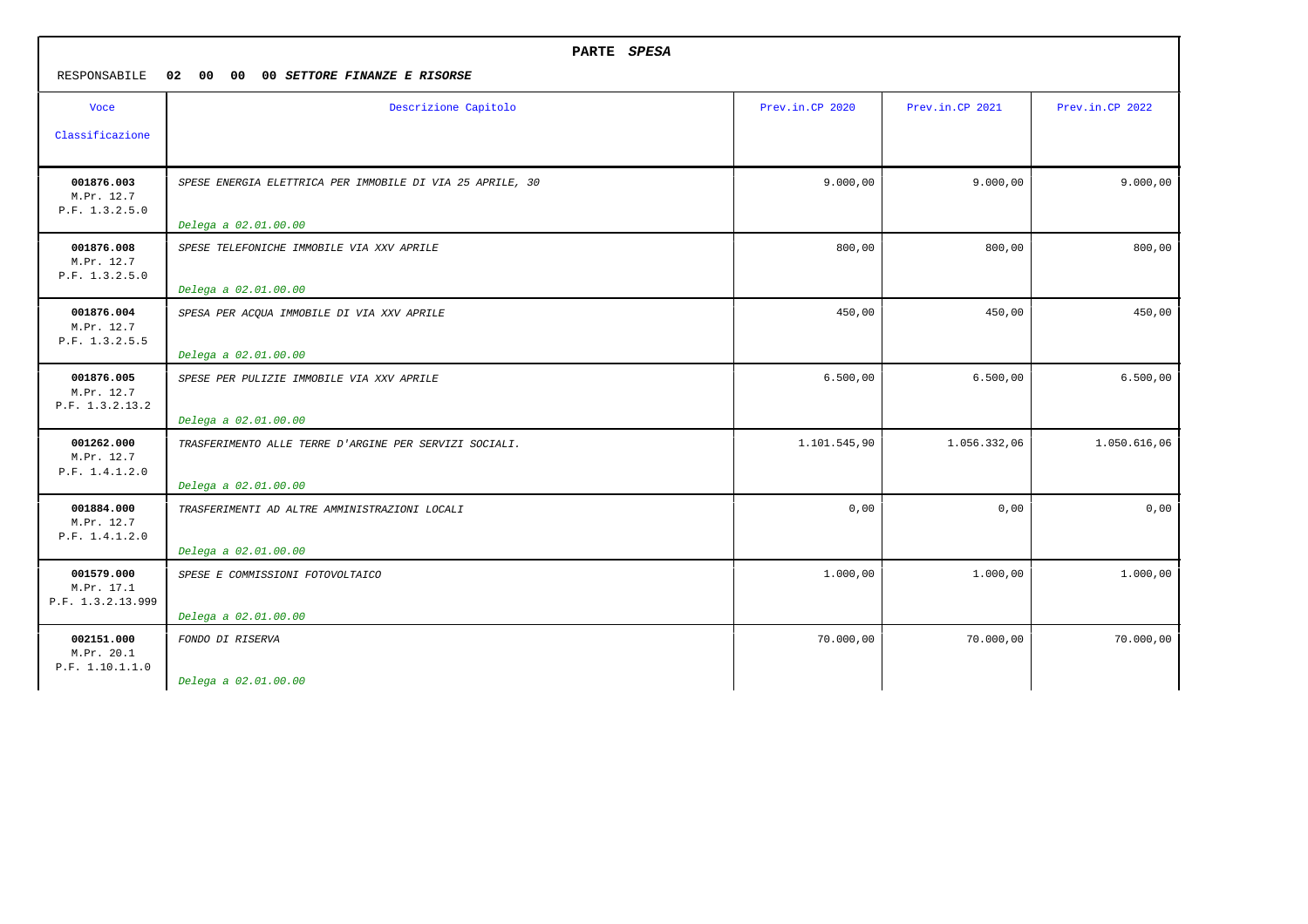| PARTE SPESA                                   |                                                           |                 |                 |                 |
|-----------------------------------------------|-----------------------------------------------------------|-----------------|-----------------|-----------------|
| RESPONSABILE                                  | 02 00<br>00<br>00 SETTORE FINANZE E RISORSE               |                 |                 |                 |
| <b>Voce</b>                                   | Descrizione Capitolo                                      | Prev.in.CP 2020 | Prev.in.CP 2021 | Prev.in.CP 2022 |
| Classificazione                               |                                                           |                 |                 |                 |
| 001876.003<br>M.Pr. 12.7<br>P.F. 1.3.2.5.0    | SPESE ENERGIA ELETTRICA PER IMMOBILE DI VIA 25 APRILE, 30 | 9.000,00        | 9.000,00        | 9.000,00        |
|                                               | Delega a 02.01.00.00                                      |                 |                 |                 |
| 001876.008<br>M.Pr. 12.7<br>P.F. 1.3.2.5.0    | SPESE TELEFONICHE IMMOBILE VIA XXV APRILE                 | 800,00          | 800,00          | 800,00          |
|                                               | Delega a 02.01.00.00                                      |                 |                 |                 |
| 001876.004<br>M.Pr. 12.7<br>P.F. 1.3.2.5.5    | SPESA PER ACQUA IMMOBILE DI VIA XXV APRILE                | 450,00          | 450,00          | 450,00          |
|                                               | Delega a 02.01.00.00                                      |                 |                 |                 |
| 001876.005<br>M.Pr. 12.7<br>P.F. 1.3.2.13.2   | SPESE PER PULIZIE IMMOBILE VIA XXV APRILE                 | 6.500,00        | 6.500,00        | 6.500,00        |
|                                               | Delega a 02.01.00.00                                      |                 |                 |                 |
| 001262.000<br>M.Pr. 12.7<br>P.F. 1.4.1.2.0    | TRASFERIMENTO ALLE TERRE D'ARGINE PER SERVIZI SOCIALI.    | 1.101.545,90    | 1.056.332,06    | 1.050.616,06    |
|                                               | Delega a 02.01.00.00                                      |                 |                 |                 |
| 001884.000<br>M.Pr. 12.7<br>P.F. 1.4.1.2.0    | TRASFERIMENTI AD ALTRE AMMINISTRAZIONI LOCALI             | 0,00            | 0,00            | 0,00            |
|                                               | Delega a 02.01.00.00                                      |                 |                 |                 |
| 001579.000<br>M.Pr. 17.1<br>P.F. 1.3.2.13.999 | SPESE E COMMISSIONI FOTOVOLTAICO                          | 1.000,00        | 1.000,00        | 1.000,00        |
|                                               | Delega a 02.01.00.00                                      |                 |                 |                 |
| 002151.000<br>M.Pr. 20.1<br>P.F. 1.10.1.1.0   | FONDO DI RISERVA                                          | 70.000,00       | 70.000,00       | 70.000,00       |
|                                               | Delega a 02.01.00.00                                      |                 |                 |                 |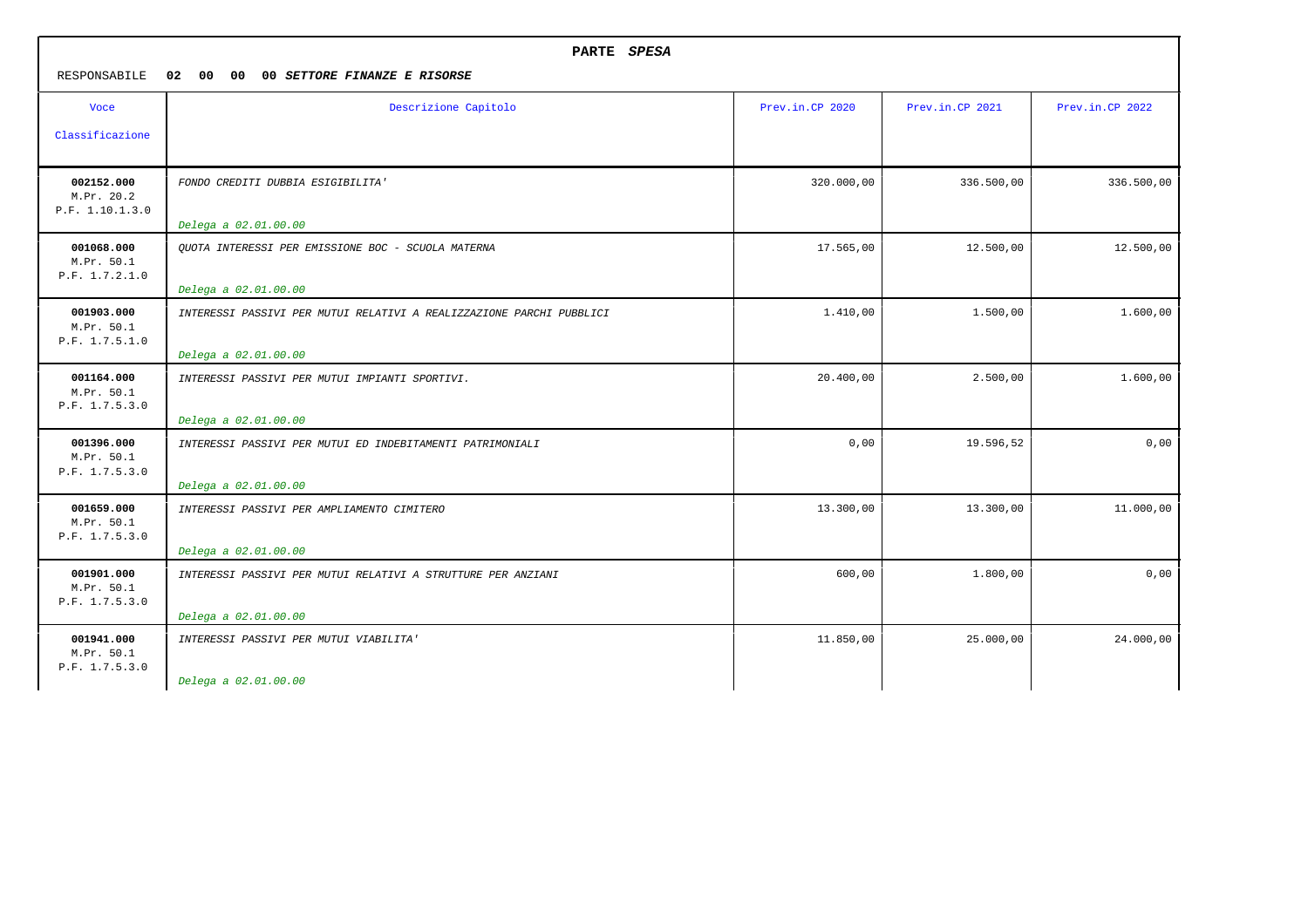| PARTE SPESA<br>RESPONSABILE<br>02 00<br>00<br>00 SETTORE FINANZE E RISORSE |                                                                                              |                 |                 |                 |
|----------------------------------------------------------------------------|----------------------------------------------------------------------------------------------|-----------------|-----------------|-----------------|
| <b>Voce</b><br>Classificazione                                             | Descrizione Capitolo                                                                         | Prev.in.CP 2020 | Prev.in.CP 2021 | Prev.in.CP 2022 |
| 002152.000<br>M.Pr. 20.2<br>P.F. 1.10.1.3.0                                | FONDO CREDITI DUBBIA ESIGIBILITA'<br>Delega a 02.01.00.00                                    | 320.000,00      | 336.500,00      | 336.500,00      |
| 001068.000<br>M.Pr. 50.1<br>P.F. 1.7.2.1.0                                 | QUOTA INTERESSI PER EMISSIONE BOC - SCUOLA MATERNA<br>Delega a 02.01.00.00                   | 17.565,00       | 12.500,00       | 12.500,00       |
| 001903.000<br>M.Pr. 50.1<br>P.F. 1.7.5.1.0                                 | INTERESSI PASSIVI PER MUTUI RELATIVI A REALIZZAZIONE PARCHI PUBBLICI<br>Delega a 02.01.00.00 | 1.410,00        | 1,500,00        | 1,600,00        |
| 001164.000<br>M.Pr. 50.1<br>P.F. 1.7.5.3.0                                 | INTERESSI PASSIVI PER MUTUI IMPIANTI SPORTIVI.<br>Delega a 02.01.00.00                       | 20.400,00       | 2.500,00        | 1.600,00        |
| 001396.000<br>M.Pr. 50.1<br>P.F. 1.7.5.3.0                                 | INTERESSI PASSIVI PER MUTUI ED INDEBITAMENTI PATRIMONIALI<br>Delega a 02.01.00.00            | 0,00            | 19.596,52       | 0,00            |
| 001659.000<br>M.Pr. 50.1<br>P.F. 1.7.5.3.0                                 | INTERESSI PASSIVI PER AMPLIAMENTO CIMITERO<br>Delega a 02.01.00.00                           | 13.300,00       | 13.300,00       | 11.000,00       |
| 001901.000<br>M.Pr. 50.1<br>P.F. 1.7.5.3.0                                 | INTERESSI PASSIVI PER MUTUI RELATIVI A STRUTTURE PER ANZIANI<br>Delega a 02.01.00.00         | 600,00          | 1.800,00        | 0,00            |
| 001941.000<br>M.Pr. 50.1<br>P.F. 1.7.5.3.0                                 | INTERESSI PASSIVI PER MUTUI VIABILITA'<br>Delega a 02.01.00.00                               | 11.850,00       | 25.000,00       | 24.000,00       |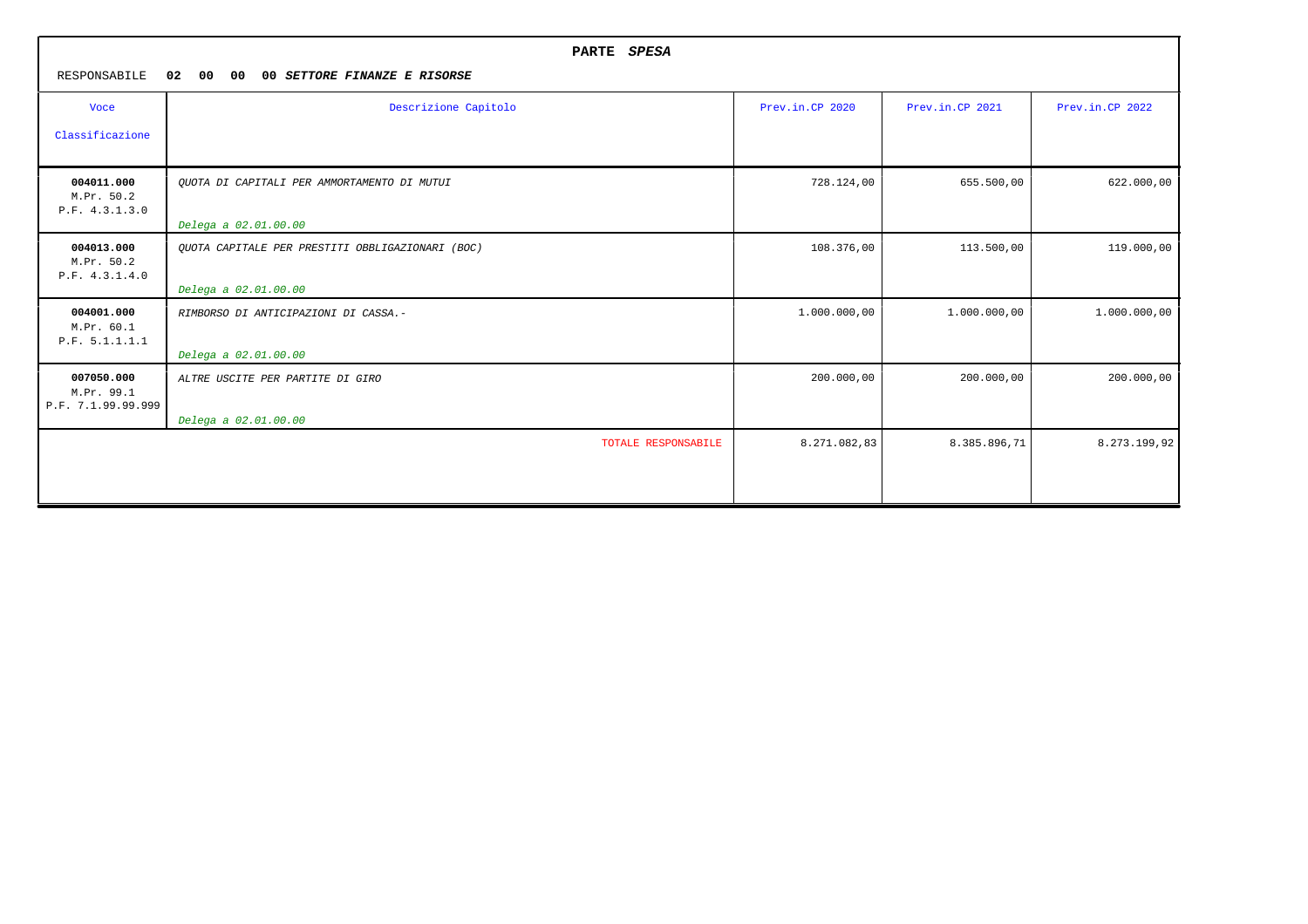|                                                | PARTE SPESA                                      |                 |                 |                 |  |
|------------------------------------------------|--------------------------------------------------|-----------------|-----------------|-----------------|--|
| RESPONSABILE                                   | 02<br>00<br>00<br>00 SETTORE FINANZE E RISORSE   |                 |                 |                 |  |
| <b>Voce</b>                                    | Descrizione Capitolo                             | Prev.in.CP 2020 | Prev.in.CP 2021 | Prev.in.CP 2022 |  |
| Classificazione                                |                                                  |                 |                 |                 |  |
| 004011.000<br>M.Pr. 50.2<br>P.F. 4.3.1.3.0     | QUOTA DI CAPITALI PER AMMORTAMENTO DI MUTUI      | 728.124,00      | 655.500,00      | 622.000,00      |  |
|                                                | Delega a 02.01.00.00                             |                 |                 |                 |  |
| 004013.000<br>M.Pr. 50.2<br>P.F. 4.3.1.4.0     | OUOTA CAPITALE PER PRESTITI OBBLIGAZIONARI (BOC) | 108.376,00      | 113.500,00      | 119.000,00      |  |
|                                                | Delega a 02.01.00.00                             |                 |                 |                 |  |
| 004001.000<br>M.Pr. 60.1<br>P.F. 5.1.1.1.1     | RIMBORSO DI ANTICIPAZIONI DI CASSA.-             | 1.000.000,00    | 1.000.000,00    | 1.000.000,00    |  |
|                                                | Delega a 02.01.00.00                             |                 |                 |                 |  |
| 007050.000<br>M.Pr. 99.1<br>P.F. 7.1.99.99.999 | ALTRE USCITE PER PARTITE DI GIRO                 | 200.000,00      | 200.000,00      | 200.000,00      |  |
|                                                | Delega a 02.01.00.00                             |                 |                 |                 |  |
|                                                | TOTALE RESPONSABILE                              | 8.271.082,83    | 8.385.896,71    | 8.273.199,92    |  |
|                                                |                                                  |                 |                 |                 |  |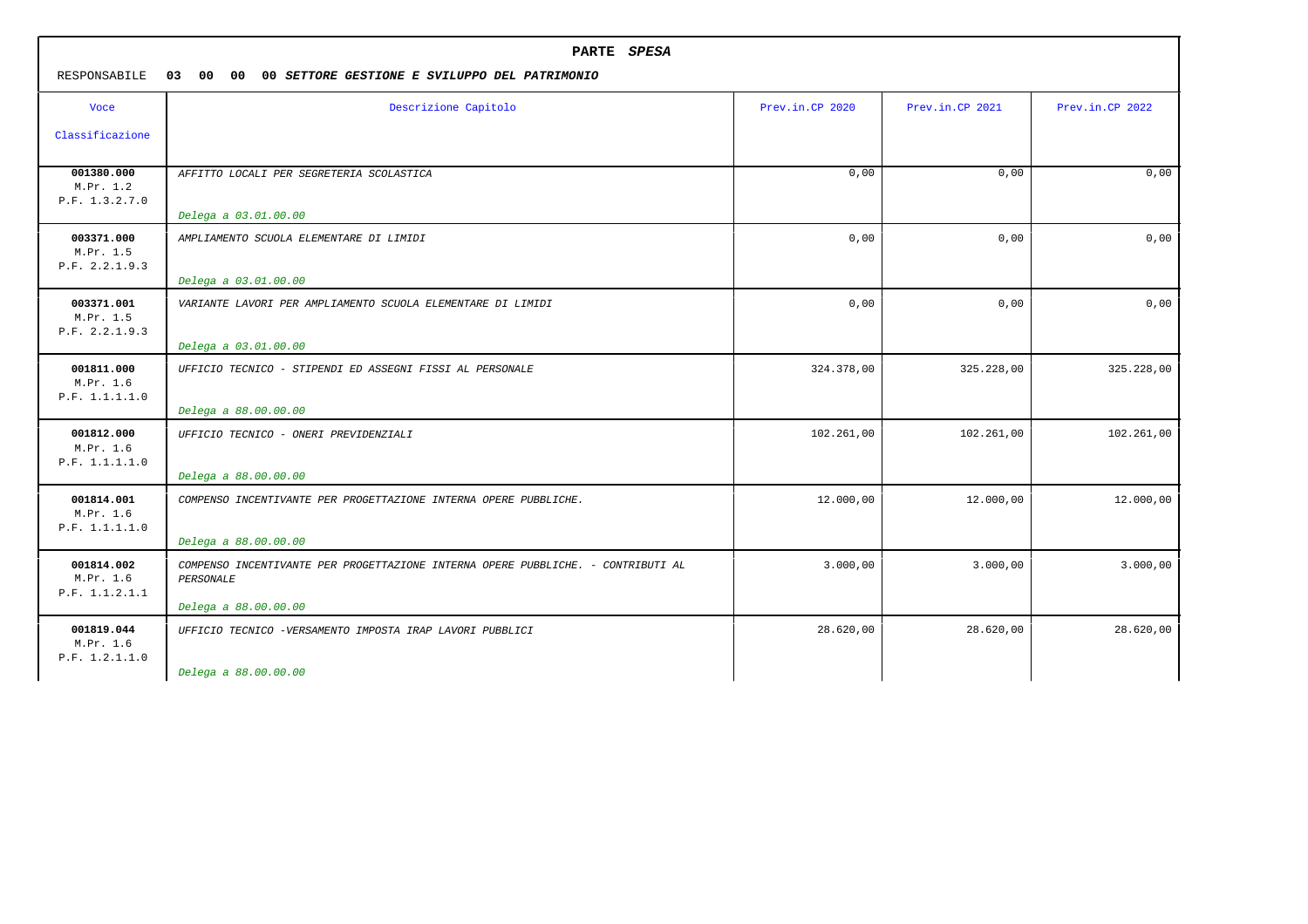|                                           | PARTE SPESA                                                                                   |                 |                 |                 |  |
|-------------------------------------------|-----------------------------------------------------------------------------------------------|-----------------|-----------------|-----------------|--|
| RESPONSABILE                              | 03 00 00<br>00 SETTORE GESTIONE E SVILUPPO DEL PATRIMONIO                                     |                 |                 |                 |  |
| <b>Voce</b>                               | Descrizione Capitolo                                                                          | Prev.in.CP 2020 | Prev.in.CP 2021 | Prev.in.CP 2022 |  |
| Classificazione                           |                                                                                               |                 |                 |                 |  |
| 001380.000<br>M.Pr. 1.2<br>P.F. 1.3.2.7.0 | AFFITTO LOCALI PER SEGRETERIA SCOLASTICA                                                      | 0,00            | 0,00            | 0,00            |  |
|                                           | Delega a 03.01.00.00                                                                          |                 |                 |                 |  |
| 003371.000<br>M.Pr. 1.5<br>P.F. 2.2.1.9.3 | AMPLIAMENTO SCUOLA ELEMENTARE DI LIMIDI                                                       | 0,00            | 0,00            | 0,00            |  |
|                                           | Delega a 03.01.00.00                                                                          |                 |                 |                 |  |
| 003371.001<br>M.Pr. 1.5<br>P.F. 2.2.1.9.3 | VARIANTE LAVORI PER AMPLIAMENTO SCUOLA ELEMENTARE DI LIMIDI                                   | 0,00            | 0,00            | 0,00            |  |
|                                           | Delega a 03.01.00.00                                                                          |                 |                 |                 |  |
| 001811.000<br>M.Pr. 1.6<br>P.F. 1.1.1.1.0 | UFFICIO TECNICO - STIPENDI ED ASSEGNI FISSI AL PERSONALE                                      | 324.378,00      | 325.228,00      | 325.228,00      |  |
|                                           | Delega a 88.00.00.00                                                                          |                 |                 |                 |  |
| 001812.000<br>M.Pr. 1.6<br>P.F. 1.1.1.1.0 | UFFICIO TECNICO - ONERI PREVIDENZIALI                                                         | 102.261,00      | 102.261,00      | 102.261,00      |  |
|                                           | Delega a 88.00.00.00                                                                          |                 |                 |                 |  |
| 001814.001<br>M.Pr. 1.6<br>P.F. 1.1.1.1.0 | COMPENSO INCENTIVANTE PER PROGETTAZIONE INTERNA OPERE PUBBLICHE.                              | 12.000,00       | 12.000,00       | 12.000,00       |  |
|                                           | Delega a 88.00.00.00                                                                          |                 |                 |                 |  |
| 001814.002<br>M.Pr. 1.6<br>P.F. 1.1.2.1.1 | COMPENSO INCENTIVANTE PER PROGETTAZIONE INTERNA OPERE PUBBLICHE. - CONTRIBUTI AL<br>PERSONALE | 3.000,00        | 3.000,00        | 3.000,00        |  |
|                                           | Delega a 88.00.00.00                                                                          |                 |                 |                 |  |
| 001819.044<br>M.Pr. 1.6<br>P.F. 1.2.1.1.0 | UFFICIO TECNICO -VERSAMENTO IMPOSTA IRAP LAVORI PUBBLICI                                      | 28.620,00       | 28.620,00       | 28.620,00       |  |
|                                           | Delega a 88.00.00.00                                                                          |                 |                 |                 |  |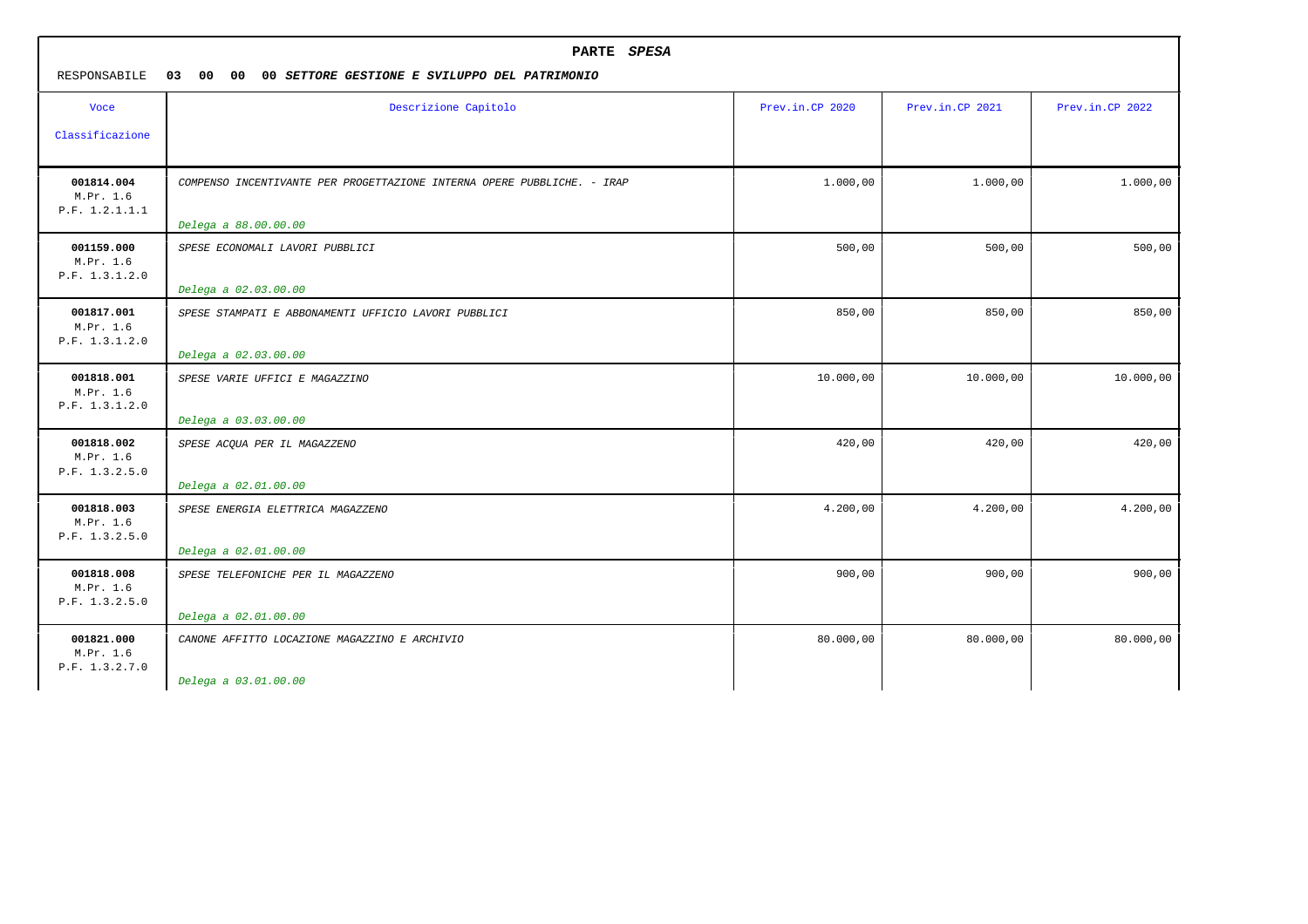| RESPONSABILE                              | PARTE SPESA<br>03 00<br>$00\,$<br>00 SETTORE GESTIONE E SVILUPPO DEL PATRIMONIO |                 |                 |                 |  |
|-------------------------------------------|---------------------------------------------------------------------------------|-----------------|-----------------|-----------------|--|
| <b>Voce</b><br>Classificazione            | Descrizione Capitolo                                                            | Prev.in.CP 2020 | Prev.in.CP 2021 | Prev.in.CP 2022 |  |
| 001814.004                                | COMPENSO INCENTIVANTE PER PROGETTAZIONE INTERNA OPERE PUBBLICHE. - IRAP         | 1.000,00        | 1.000,00        | 1.000,00        |  |
| M.Pr. 1.6<br>P.F. 1.2.1.1.1               | Delega a 88.00.00.00                                                            |                 |                 |                 |  |
| 001159.000<br>M.Pr. 1.6<br>P.F. 1.3.1.2.0 | SPESE ECONOMALI LAVORI PUBBLICI<br>Delega a 02.03.00.00                         | 500,00          | 500,00          | 500,00          |  |
| 001817.001<br>M.Pr. 1.6<br>P.F. 1.3.1.2.0 | SPESE STAMPATI E ABBONAMENTI UFFICIO LAVORI PUBBLICI<br>Delega a 02.03.00.00    | 850,00          | 850,00          | 850,00          |  |
| 001818.001<br>M.Pr. 1.6<br>P.F. 1.3.1.2.0 | SPESE VARIE UFFICI E MAGAZZINO<br>Delega a 03.03.00.00                          | 10.000,00       | 10.000,00       | 10.000,00       |  |
| 001818.002<br>M.Pr. 1.6<br>P.F. 1.3.2.5.0 | SPESE ACQUA PER IL MAGAZZENO<br>Delega a 02.01.00.00                            | 420,00          | 420,00          | 420,00          |  |
| 001818.003<br>M.Pr. 1.6<br>P.F. 1.3.2.5.0 | SPESE ENERGIA ELETTRICA MAGAZZENO<br>Delega a 02.01.00.00                       | 4.200,00        | 4.200,00        | 4.200,00        |  |
| 001818.008<br>M.Pr. 1.6<br>P.F. 1.3.2.5.0 | SPESE TELEFONICHE PER IL MAGAZZENO<br>Delega a 02.01.00.00                      | 900,00          | 900,00          | 900,00          |  |
| 001821.000<br>M.Pr. 1.6<br>P.F. 1.3.2.7.0 | CANONE AFFITTO LOCAZIONE MAGAZZINO E ARCHIVIO<br>Delega a 03.01.00.00           | 80.000,00       | 80.000,00       | 80.000,00       |  |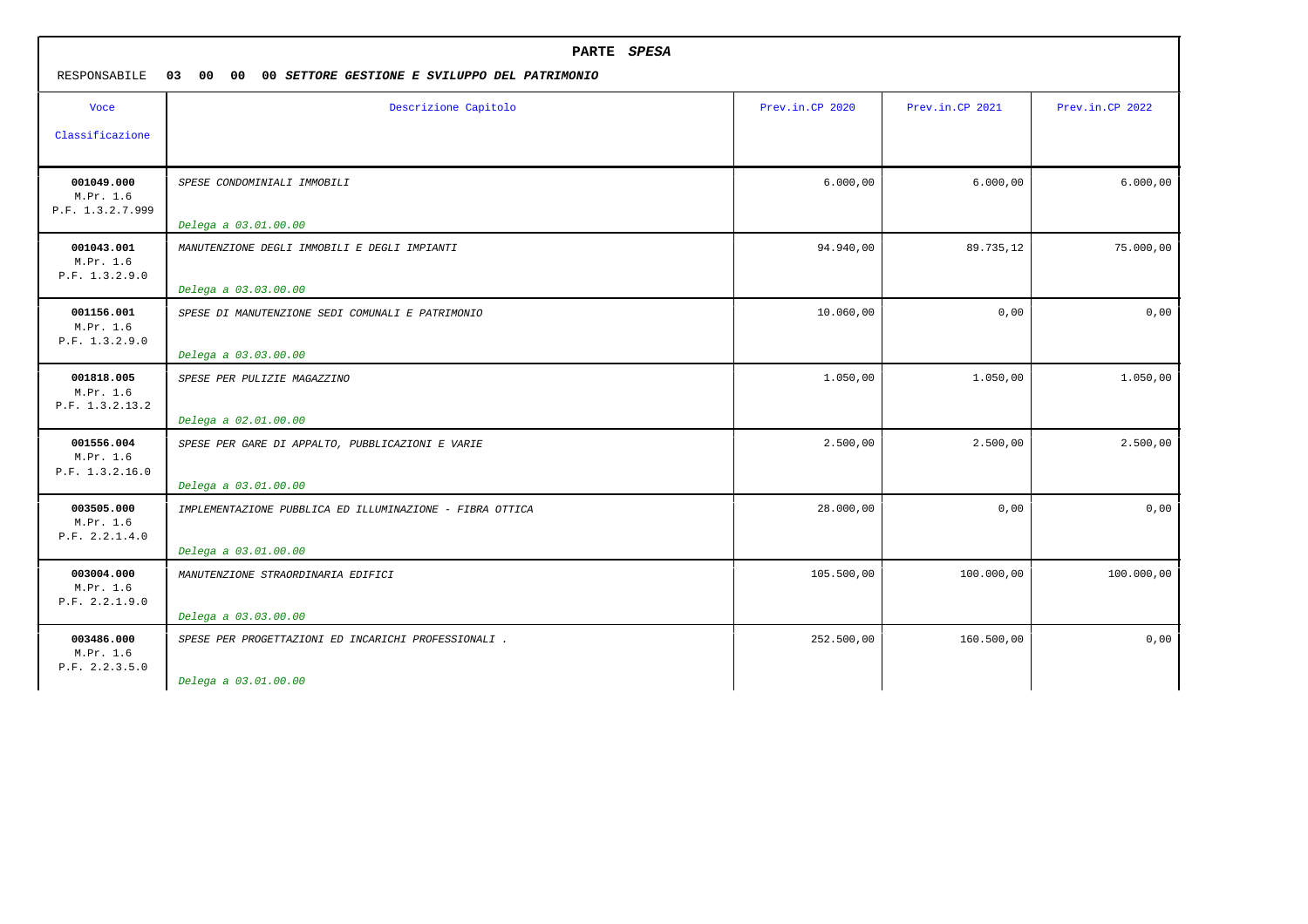| PARTE SPESA<br>RESPONSABILE<br>03<br>00 00<br>00 SETTORE GESTIONE E SVILUPPO DEL PATRIMONIO |                                                                          |                 |                 |                 |
|---------------------------------------------------------------------------------------------|--------------------------------------------------------------------------|-----------------|-----------------|-----------------|
| <b>Voce</b>                                                                                 | Descrizione Capitolo                                                     | Prev.in.CP 2020 | Prev.in.CP 2021 | Prev.in.CP 2022 |
| Classificazione                                                                             |                                                                          |                 |                 |                 |
| 001049.000<br>M.Pr. 1.6<br>P.F. 1.3.2.7.999                                                 | SPESE CONDOMINIALI IMMOBILI                                              | 6.000,00        | 6.000,00        | 6.000,00        |
|                                                                                             | Delega a 03.01.00.00                                                     |                 |                 |                 |
| 001043.001<br>M.Pr. 1.6<br>P.F. 1.3.2.9.0                                                   | MANUTENZIONE DEGLI IMMOBILI E DEGLI IMPIANTI                             | 94.940,00       | 89.735,12       | 75.000,00       |
| 001156.001                                                                                  | Delega a 03.03.00.00                                                     |                 |                 | 0,00            |
| M.Pr. 1.6<br>P.F. 1.3.2.9.0                                                                 | SPESE DI MANUTENZIONE SEDI COMUNALI E PATRIMONIO<br>Delega a 03.03.00.00 | 10.060,00       | 0,00            |                 |
| 001818.005<br>M.Pr. 1.6<br>P.F. 1.3.2.13.2                                                  | SPESE PER PULIZIE MAGAZZINO                                              | 1.050,00        | 1.050,00        | 1.050,00        |
|                                                                                             | Delega a 02.01.00.00                                                     |                 |                 |                 |
| 001556.004<br>M.Pr. 1.6<br>P.F. 1.3.2.16.0                                                  | SPESE PER GARE DI APPALTO, PUBBLICAZIONI E VARIE<br>Delega a 03.01.00.00 | 2.500,00        | 2.500,00        | 2.500,00        |
| 003505.000<br>M.Pr. 1.6<br>P.F. 2.2.1.4.0                                                   | IMPLEMENTAZIONE PUBBLICA ED ILLUMINAZIONE - FIBRA OTTICA                 | 28.000,00       | 0,00            | 0,00            |
|                                                                                             | Delega a 03.01.00.00                                                     |                 |                 |                 |
| 003004.000<br>M.Pr. 1.6<br>P.F. 2.2.1.9.0                                                   | MANUTENZIONE STRAORDINARIA EDIFICI                                       | 105.500,00      | 100.000,00      | 100.000,00      |
|                                                                                             | Delega a 03.03.00.00                                                     |                 |                 |                 |
| 003486.000<br>M.Pr. 1.6<br>P.F. 2.2.3.5.0                                                   | SPESE PER PROGETTAZIONI ED INCARICHI PROFESSIONALI.                      | 252.500,00      | 160.500,00      | 0,00            |
|                                                                                             | Delega a 03.01.00.00                                                     |                 |                 |                 |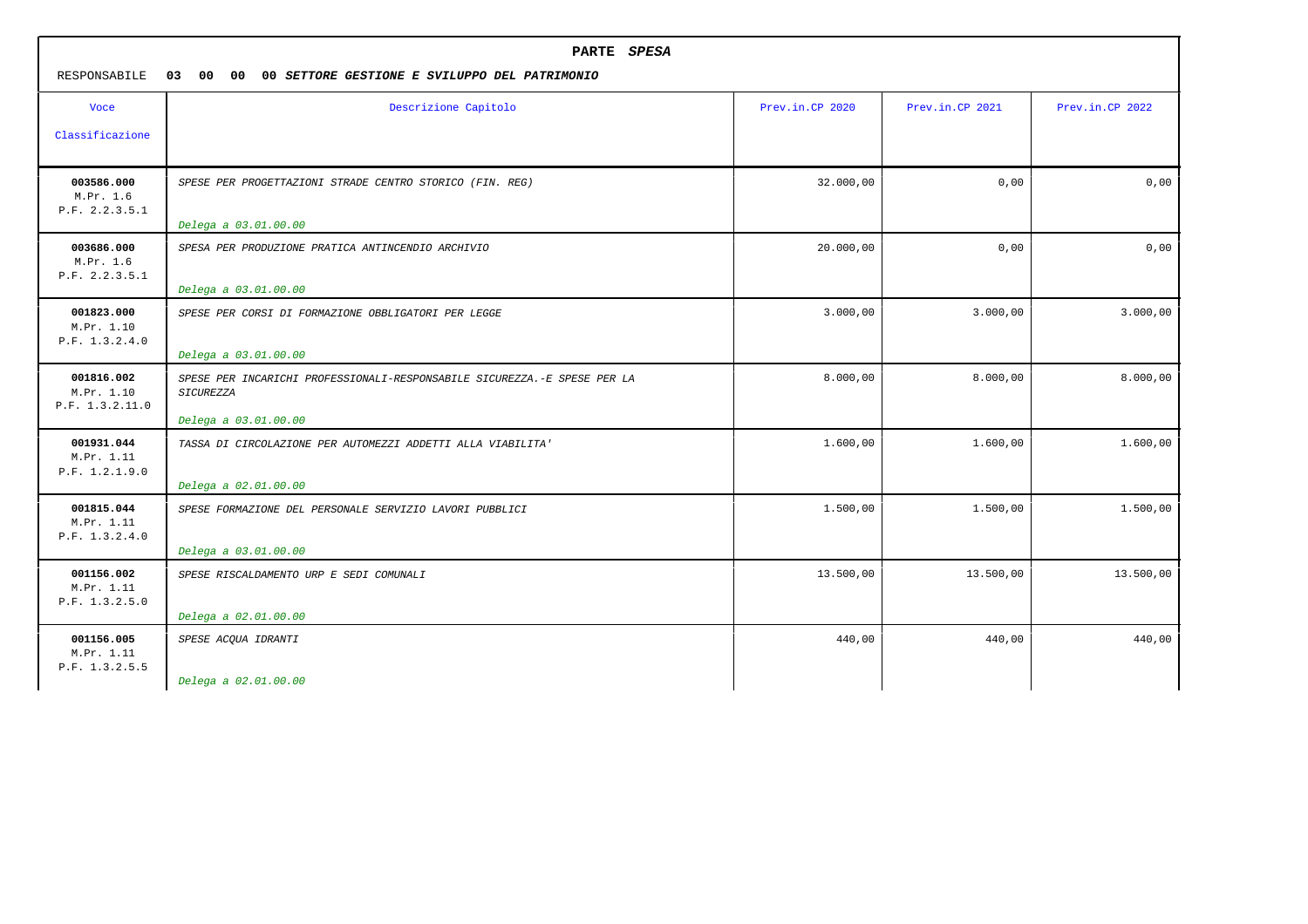| PARTE SPESA<br>RESPONSABILE<br>03 00 00<br>00 SETTORE GESTIONE E SVILUPPO DEL PATRIMONIO |                                                                                                                      |                 |                 |                 |
|------------------------------------------------------------------------------------------|----------------------------------------------------------------------------------------------------------------------|-----------------|-----------------|-----------------|
| <b>Voce</b><br>Classificazione                                                           | Descrizione Capitolo                                                                                                 | Prev.in.CP 2020 | Prev.in.CP 2021 | Prev.in.CP 2022 |
| 003586.000<br>M.Pr. 1.6<br>P.F. 2.2.3.5.1                                                | SPESE PER PROGETTAZIONI STRADE CENTRO STORICO (FIN. REG)<br>Delega a 03.01.00.00                                     | 32.000,00       | 0,00            | 0,00            |
| 003686.000<br>M.Pr. 1.6<br>P.F. 2.2.3.5.1                                                | SPESA PER PRODUZIONE PRATICA ANTINCENDIO ARCHIVIO<br>Delega a 03.01.00.00                                            | 20.000,00       | 0,00            | 0,00            |
| 001823.000<br>M.Pr. 1.10<br>P.F. 1.3.2.4.0                                               | SPESE PER CORSI DI FORMAZIONE OBBLIGATORI PER LEGGE<br>Delega a 03.01.00.00                                          | 3.000,00        | 3.000,00        | 3.000,00        |
| 001816.002<br>M.Pr. 1.10<br>P.F. 1.3.2.11.0                                              | SPESE PER INCARICHI PROFESSIONALI-RESPONSABILE SICUREZZA.-E SPESE PER LA<br><b>SICUREZZA</b><br>Delega a 03.01.00.00 | 8.000,00        | 8.000,00        | 8.000,00        |
| 001931.044<br>M.Pr. 1.11<br>P.F. 1.2.1.9.0                                               | TASSA DI CIRCOLAZIONE PER AUTOMEZZI ADDETTI ALLA VIABILITA'<br>Delega a 02.01.00.00                                  | 1.600,00        | 1.600,00        | 1,600,00        |
| 001815.044<br>M.Pr. 1.11<br>P.F. 1.3.2.4.0                                               | SPESE FORMAZIONE DEL PERSONALE SERVIZIO LAVORI PUBBLICI<br>Delega a 03.01.00.00                                      | 1.500,00        | 1.500,00        | 1.500,00        |
| 001156.002<br>M.Pr. 1.11<br>P.F. 1.3.2.5.0                                               | SPESE RISCALDAMENTO URP E SEDI COMUNALI<br>Delega a 02.01.00.00                                                      | 13.500,00       | 13.500,00       | 13.500,00       |
| 001156.005<br>M.Pr. 1.11<br>P.F. 1.3.2.5.5                                               | SPESE ACQUA IDRANTI<br>Delega a 02.01.00.00                                                                          | 440,00          | 440,00          | 440,00          |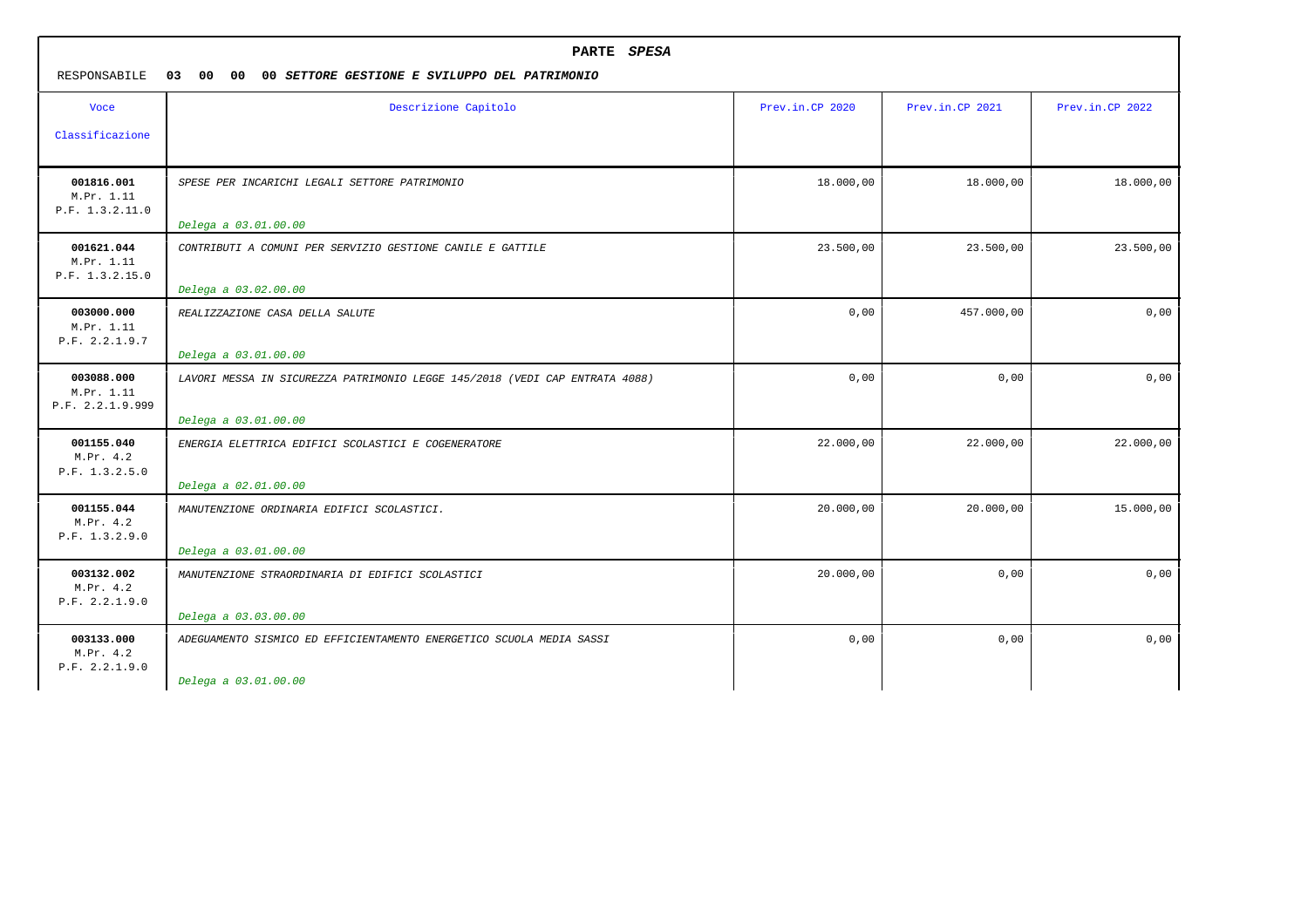| PARTE SPESA<br>RESPONSABILE<br>03<br>00<br>00<br>00 SETTORE GESTIONE E SVILUPPO DEL PATRIMONIO |                                                                                                     |                 |                 |                 |
|------------------------------------------------------------------------------------------------|-----------------------------------------------------------------------------------------------------|-----------------|-----------------|-----------------|
| <b>Voce</b><br>Classificazione                                                                 | Descrizione Capitolo                                                                                | Prev.in.CP 2020 | Prev.in.CP 2021 | Prev.in.CP 2022 |
| 001816.001<br>M.Pr. 1.11<br>P.F. 1.3.2.11.0                                                    | SPESE PER INCARICHI LEGALI SETTORE PATRIMONIO<br>Delega a 03.01.00.00                               | 18.000,00       | 18.000,00       | 18.000,00       |
| 001621.044<br>M.Pr. 1.11<br>P.F. 1.3.2.15.0                                                    | CONTRIBUTI A COMUNI PER SERVIZIO GESTIONE CANILE E GATTILE<br>Delega a 03.02.00.00                  | 23.500,00       | 23.500,00       | 23.500,00       |
| 003000.000<br>M.Pr. 1.11<br>P.F. 2.2.1.9.7                                                     | REALIZZAZIONE CASA DELLA SALUTE<br>Delega a 03.01.00.00                                             | 0,00            | 457.000,00      | 0,00            |
| 003088.000<br>M.Pr. 1.11<br>P.F. 2.2.1.9.999                                                   | LAVORI MESSA IN SICUREZZA PATRIMONIO LEGGE 145/2018 (VEDI CAP ENTRATA 4088)<br>Delega a 03.01.00.00 | 0,00            | 0,00            | 0,00            |
| 001155.040<br>M.Pr. 4.2<br>P.F. 1.3.2.5.0                                                      | ENERGIA ELETTRICA EDIFICI SCOLASTICI E COGENERATORE<br>Delega a 02.01.00.00                         | 22.000,00       | 22.000,00       | 22.000,00       |
| 001155.044<br>M.Pr. 4.2<br>P.F. 1.3.2.9.0                                                      | MANUTENZIONE ORDINARIA EDIFICI SCOLASTICI.<br>Delega a 03.01.00.00                                  | 20.000,00       | 20.000,00       | 15.000,00       |
| 003132.002<br>M.Pr. 4.2<br>P.F. 2.2.1.9.0                                                      | MANUTENZIONE STRAORDINARIA DI EDIFICI SCOLASTICI<br>Delega a 03.03.00.00                            | 20.000,00       | 0,00            | 0,00            |
| 003133.000<br>M.Pr. 4.2<br>P.F. 2.2.1.9.0                                                      | ADEGUAMENTO SISMICO ED EFFICIENTAMENTO ENERGETICO SCUOLA MEDIA SASSI<br>Delega a 03.01.00.00        | 0,00            | 0,00            | 0,00            |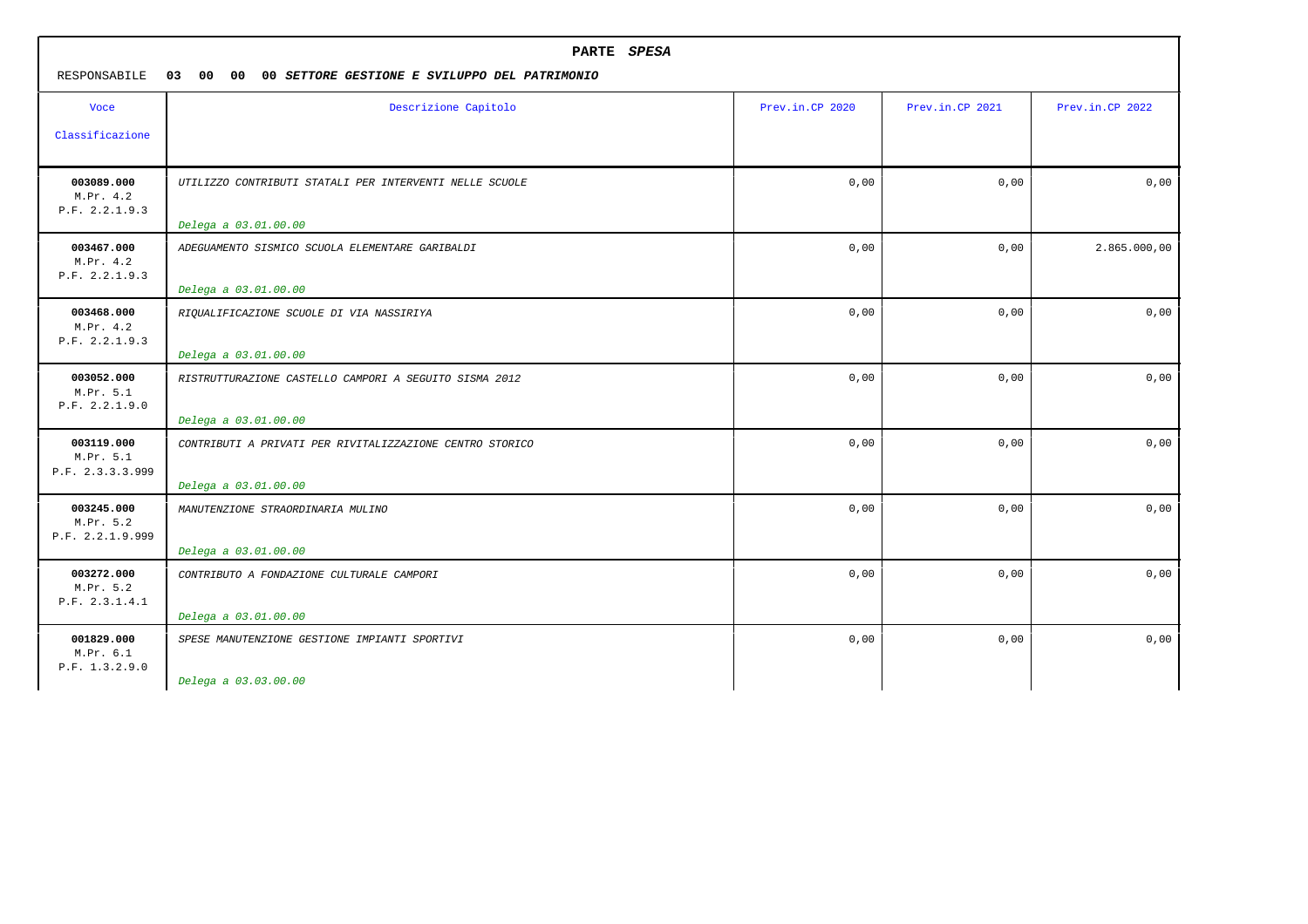| RESPONSABILE                                | PARTE SPESA<br>03 00 00<br>00 SETTORE GESTIONE E SVILUPPO DEL PATRIMONIO |                 |                 |                 |  |
|---------------------------------------------|--------------------------------------------------------------------------|-----------------|-----------------|-----------------|--|
| <b>Voce</b>                                 | Descrizione Capitolo                                                     | Prev.in.CP 2020 | Prev.in.CP 2021 | Prev.in.CP 2022 |  |
| Classificazione                             |                                                                          |                 |                 |                 |  |
| 003089.000<br>M.Pr. 4.2<br>P.F. 2.2.1.9.3   | UTILIZZO CONTRIBUTI STATALI PER INTERVENTI NELLE SCUOLE                  | 0,00            | 0,00            | 0,00            |  |
|                                             | Delega a 03.01.00.00                                                     |                 |                 |                 |  |
| 003467.000<br>M.Pr. 4.2<br>P.F. 2.2.1.9.3   | ADEGUAMENTO SISMICO SCUOLA ELEMENTARE GARIBALDI                          | 0,00            | 0,00            | 2.865.000,00    |  |
|                                             | Delega a 03.01.00.00                                                     |                 |                 |                 |  |
| 003468.000<br>M.Pr. 4.2<br>P.F. 2.2.1.9.3   | RIQUALIFICAZIONE SCUOLE DI VIA NASSIRIYA                                 | 0,00            | 0,00            | 0,00            |  |
|                                             | Delega a 03.01.00.00                                                     |                 |                 |                 |  |
| 003052.000<br>M.Pr. 5.1<br>P.F. 2.2.1.9.0   | RISTRUTTURAZIONE CASTELLO CAMPORI A SEGUITO SISMA 2012                   | 0,00            | 0,00            | 0,00            |  |
|                                             | Delega a 03.01.00.00                                                     |                 |                 |                 |  |
| 003119.000<br>M.Pr. 5.1<br>P.F. 2.3.3.3.999 | CONTRIBUTI A PRIVATI PER RIVITALIZZAZIONE CENTRO STORICO                 | 0,00            | 0,00            | 0,00            |  |
|                                             | Delega a 03.01.00.00                                                     |                 |                 |                 |  |
| 003245.000<br>M.Pr. 5.2<br>P.F. 2.2.1.9.999 | MANUTENZIONE STRAORDINARIA MULINO                                        | 0,00            | 0,00            | 0,00            |  |
|                                             | Delega a 03.01.00.00                                                     |                 |                 |                 |  |
| 003272.000<br>M.Pr. 5.2<br>P.F. 2.3.1.4.1   | CONTRIBUTO A FONDAZIONE CULTURALE CAMPORI                                | 0,00            | 0,00            | 0,00            |  |
|                                             | Delega a 03.01.00.00                                                     |                 |                 |                 |  |
| 001829.000<br>M.Pr. 6.1<br>P.F. 1.3.2.9.0   | SPESE MANUTENZIONE GESTIONE IMPIANTI SPORTIVI                            | 0,00            | 0,00            | 0,00            |  |
|                                             | Delega a 03.03.00.00                                                     |                 |                 |                 |  |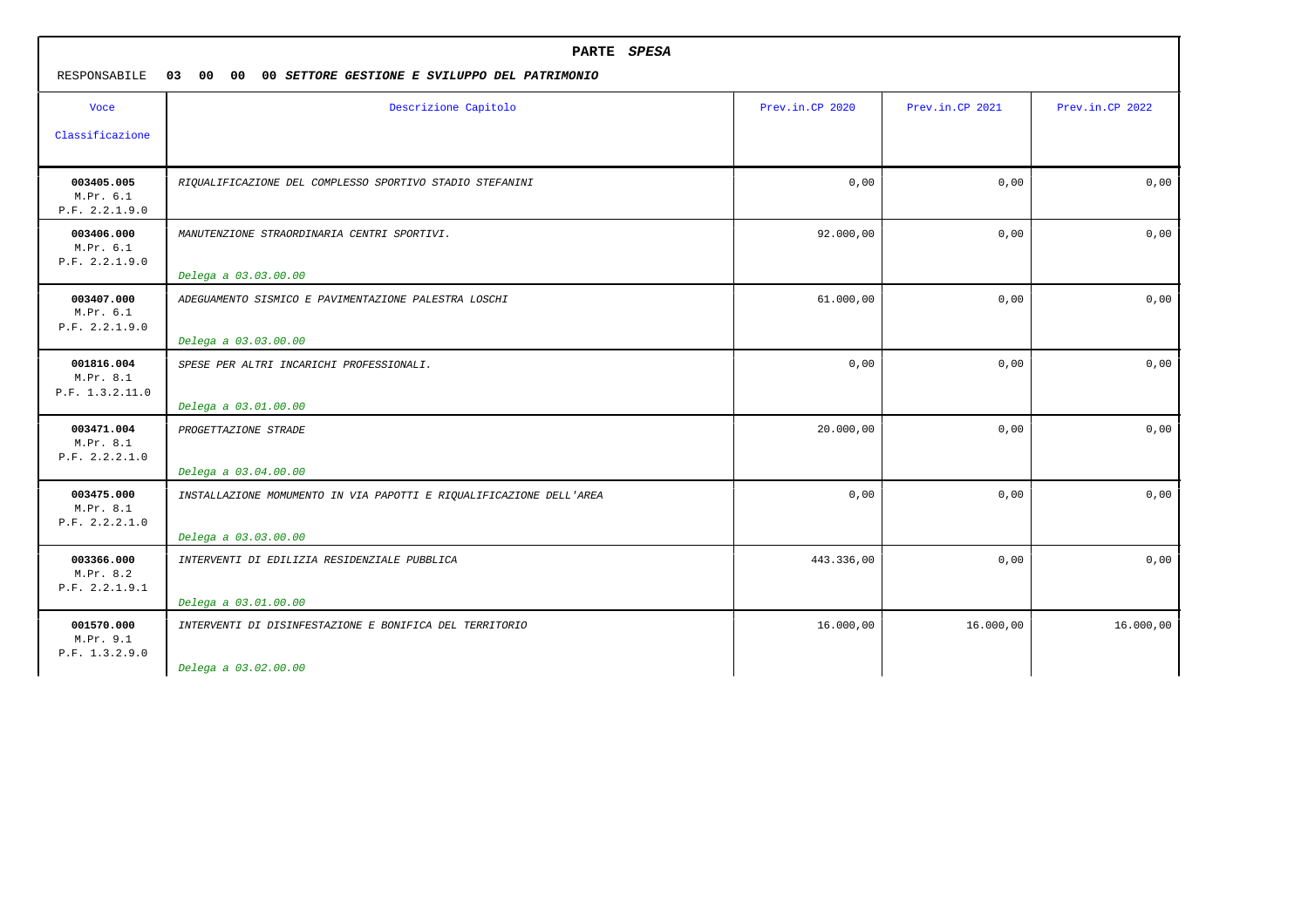| RESPONSABILE                               | PARTE SPESA<br>03 00<br>00<br>00 SETTORE GESTIONE E SVILUPPO DEL PATRIMONIO                 |                 |                 |                 |  |
|--------------------------------------------|---------------------------------------------------------------------------------------------|-----------------|-----------------|-----------------|--|
| <b>Voce</b><br>Classificazione             | Descrizione Capitolo                                                                        | Prev.in.CP 2020 | Prev.in.CP 2021 | Prev.in.CP 2022 |  |
| 003405.005<br>M.Pr. 6.1<br>P.F. 2.2.1.9.0  | RIQUALIFICAZIONE DEL COMPLESSO SPORTIVO STADIO STEFANINI                                    | 0,00            | 0,00            | 0,00            |  |
| 003406.000<br>M.Pr. 6.1<br>P.F. 2.2.1.9.0  | MANUTENZIONE STRAORDINARIA CENTRI SPORTIVI.<br>Delega a 03.03.00.00                         | 92.000,00       | 0,00            | 0,00            |  |
| 003407.000<br>M.Pr. 6.1<br>P.F. 2.2.1.9.0  | ADEGUAMENTO SISMICO E PAVIMENTAZIONE PALESTRA LOSCHI<br>Delega a 03.03.00.00                | 61.000,00       | 0,00            | 0,00            |  |
| 001816.004<br>M.Pr. 8.1<br>P.F. 1.3.2.11.0 | SPESE PER ALTRI INCARICHI PROFESSIONALI.<br>Delega a 03.01.00.00                            | 0,00            | 0,00            | 0,00            |  |
| 003471.004<br>M.Pr. 8.1<br>P.F. 2.2.2.1.0  | PROGETTAZIONE STRADE<br>Delega a 03.04.00.00                                                | 20.000,00       | 0,00            | 0,00            |  |
| 003475.000<br>M.Pr. 8.1<br>P.F. 2.2.2.1.0  | INSTALLAZIONE MOMUMENTO IN VIA PAPOTTI E RIQUALIFICAZIONE DELL'AREA<br>Delega a 03.03.00.00 | 0,00            | 0,00            | 0,00            |  |
| 003366.000<br>M.Pr. 8.2<br>P.F. 2.2.1.9.1  | INTERVENTI DI EDILIZIA RESIDENZIALE PUBBLICA<br>Delega a 03.01.00.00                        | 443.336,00      | 0,00            | 0,00            |  |
| 001570.000<br>M.Pr. 9.1<br>P.F. 1.3.2.9.0  | INTERVENTI DI DISINFESTAZIONE E BONIFICA DEL TERRITORIO<br>Delega a 03.02.00.00             | 16.000,00       | 16.000,00       | 16.000,00       |  |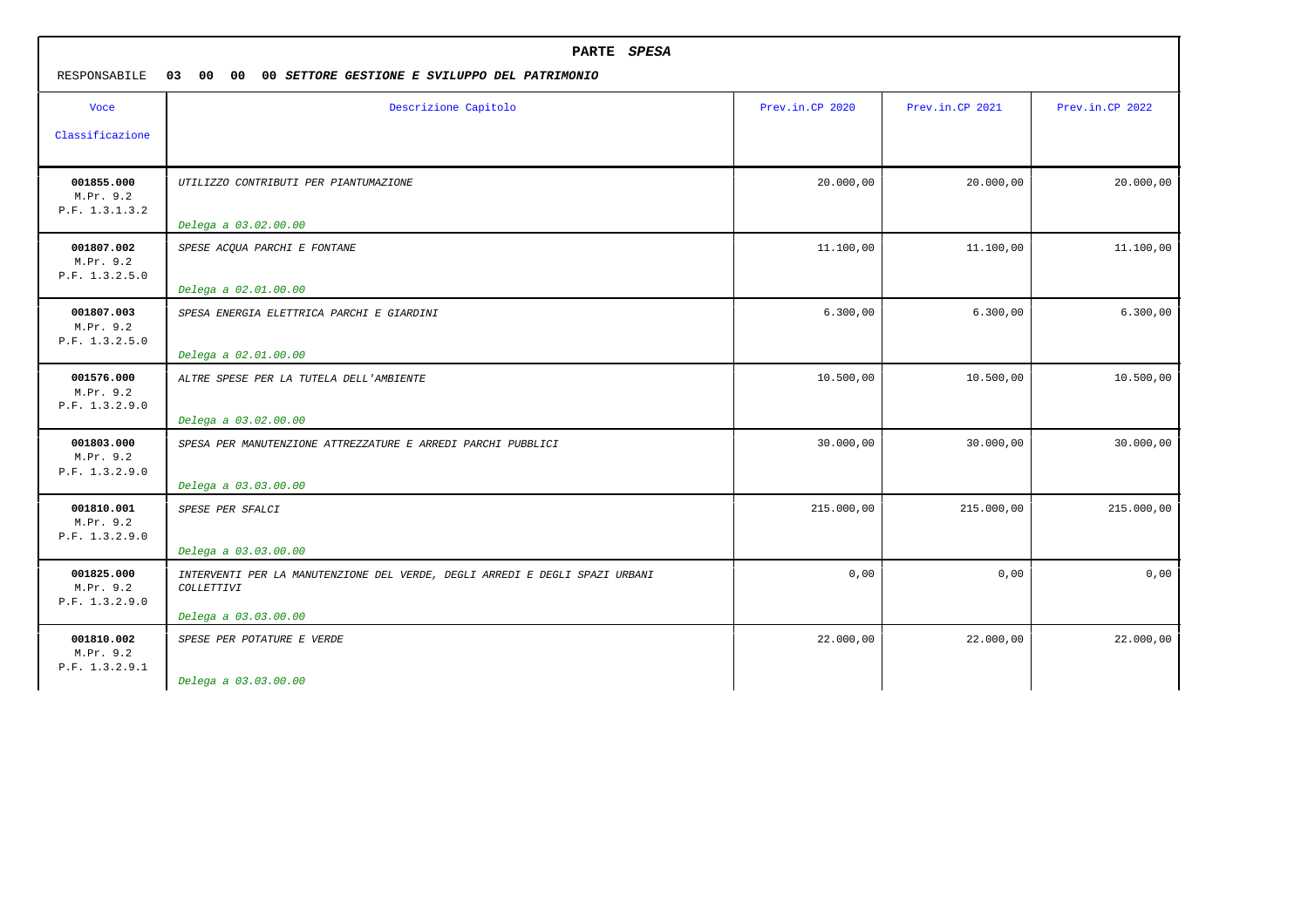| PARTE SPESA<br>RESPONSABILE<br>03<br>00 00<br>00 SETTORE GESTIONE E SVILUPPO DEL PATRIMONIO |                                                                                                                   |                 |                 |                 |  |
|---------------------------------------------------------------------------------------------|-------------------------------------------------------------------------------------------------------------------|-----------------|-----------------|-----------------|--|
| <b>Voce</b><br>Classificazione                                                              | Descrizione Capitolo                                                                                              | Prev.in.CP 2020 | Prev.in.CP 2021 | Prev.in.CP 2022 |  |
| 001855.000<br>M.Pr. 9.2<br>P.F. 1.3.1.3.2                                                   | UTILIZZO CONTRIBUTI PER PIANTUMAZIONE<br>Delega a 03.02.00.00                                                     | 20.000,00       | 20.000,00       | 20.000,00       |  |
| 001807.002<br>M.Pr. 9.2<br>P.F. 1.3.2.5.0                                                   | SPESE ACQUA PARCHI E FONTANE<br>Delega a 02.01.00.00                                                              | 11.100,00       | 11.100,00       | 11.100,00       |  |
| 001807.003<br>M.Pr. 9.2<br>P.F. 1.3.2.5.0                                                   | SPESA ENERGIA ELETTRICA PARCHI E GIARDINI<br>Delega a 02.01.00.00                                                 | 6.300,00        | 6.300,00        | 6.300,00        |  |
| 001576.000<br>M.Pr. 9.2<br>P.F. 1.3.2.9.0                                                   | ALTRE SPESE PER LA TUTELA DELL'AMBIENTE<br>Delega a 03.02.00.00                                                   | 10.500,00       | 10.500,00       | 10.500,00       |  |
| 001803.000<br>M.Pr. 9.2<br>P.F. 1.3.2.9.0                                                   | SPESA PER MANUTENZIONE ATTREZZATURE E ARREDI PARCHI PUBBLICI<br>Delega a 03.03.00.00                              | 30.000,00       | 30.000,00       | 30.000,00       |  |
| 001810.001<br>M.Pr. 9.2<br>P.F. 1.3.2.9.0                                                   | SPESE PER SFALCI<br>Delega a 03.03.00.00                                                                          | 215.000,00      | 215.000,00      | 215.000,00      |  |
| 001825.000<br>M.Pr. 9.2<br>P.F. 1.3.2.9.0                                                   | INTERVENTI PER LA MANUTENZIONE DEL VERDE, DEGLI ARREDI E DEGLI SPAZI URBANI<br>COLLETTIVI<br>Delega a 03.03.00.00 | 0,00            | 0,00            | 0,00            |  |
| 001810.002<br>M.Pr. 9.2<br>P.F. 1.3.2.9.1                                                   | SPESE PER POTATURE E VERDE<br>Delega a 03.03.00.00                                                                | 22.000,00       | 22.000,00       | 22.000,00       |  |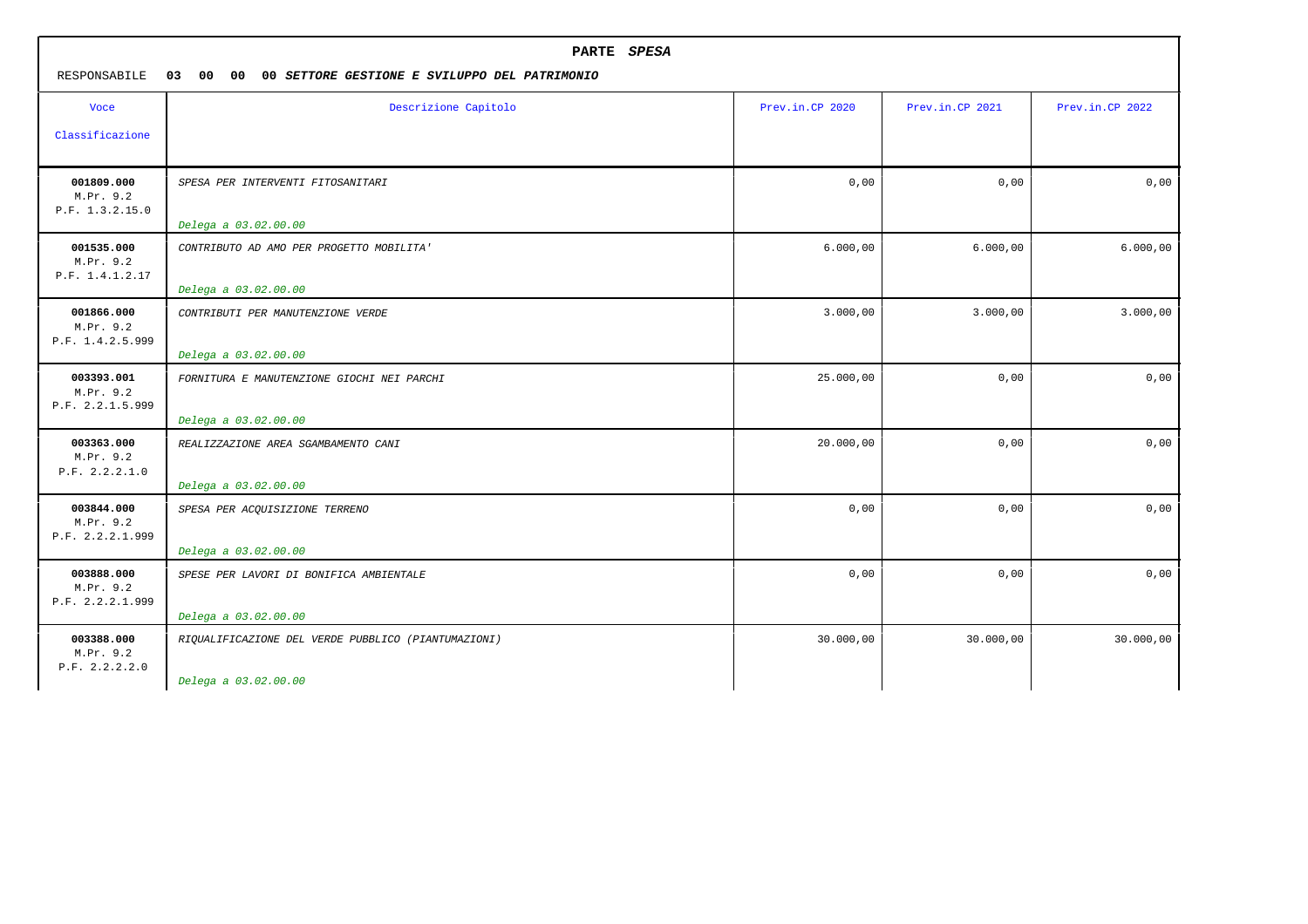| PARTE SPESA<br>RESPONSABILE<br>03<br>00<br>00<br>00 SETTORE GESTIONE E SVILUPPO DEL PATRIMONIO |                                                                    |                 |                 |                 |
|------------------------------------------------------------------------------------------------|--------------------------------------------------------------------|-----------------|-----------------|-----------------|
| <b>Voce</b>                                                                                    | Descrizione Capitolo                                               | Prev.in.CP 2020 | Prev.in.CP 2021 | Prev.in.CP 2022 |
| Classificazione                                                                                |                                                                    |                 |                 |                 |
| 001809.000<br>M.Pr. 9.2<br>P.F. 1.3.2.15.0                                                     | SPESA PER INTERVENTI FITOSANITARI                                  | 0,00            | 0,00            | 0,00            |
|                                                                                                | Delega a 03.02.00.00                                               |                 |                 |                 |
| 001535.000<br>M.Pr. 9.2<br>P.F. 1.4.1.2.17                                                     | CONTRIBUTO AD AMO PER PROGETTO MOBILITA'<br>Delega a 03.02.00.00   | 6.000,00        | 6.000,00        | 6.000,00        |
| 001866.000<br>M.Pr. 9.2<br>P.F. 1.4.2.5.999                                                    | CONTRIBUTI PER MANUTENZIONE VERDE<br>Delega a 03.02.00.00          | 3.000,00        | 3.000,00        | 3.000,00        |
| 003393.001<br>M.Pr. 9.2<br>P.F. 2.2.1.5.999                                                    | FORNITURA E MANUTENZIONE GIOCHI NEI PARCHI<br>Delega a 03.02.00.00 | 25.000,00       | 0,00            | 0,00            |
| 003363.000<br>M.Pr. 9.2<br>P.F. 2.2.2.1.0                                                      | REALIZZAZIONE AREA SGAMBAMENTO CANI<br>Delega a 03.02.00.00        | 20.000,00       | 0,00            | 0,00            |
| 003844.000<br>M.Pr. 9.2<br>P.F. 2.2.2.1.999                                                    | SPESA PER ACQUISIZIONE TERRENO<br>Delega a 03.02.00.00             | 0,00            | 0,00            | 0,00            |
| 003888.000<br>M.Pr. 9.2<br>P.F. 2.2.2.1.999                                                    | SPESE PER LAVORI DI BONIFICA AMBIENTALE<br>Delega a 03.02.00.00    | 0,00            | 0,00            | 0,00            |
| 003388.000<br>M.Pr. 9.2<br>P.F. 2.2.2.2.0                                                      | RIQUALIFICAZIONE DEL VERDE PUBBLICO (PIANTUMAZIONI)                | 30.000,00       | 30.000,00       | 30.000,00       |
|                                                                                                | Delega a 03.02.00.00                                               |                 |                 |                 |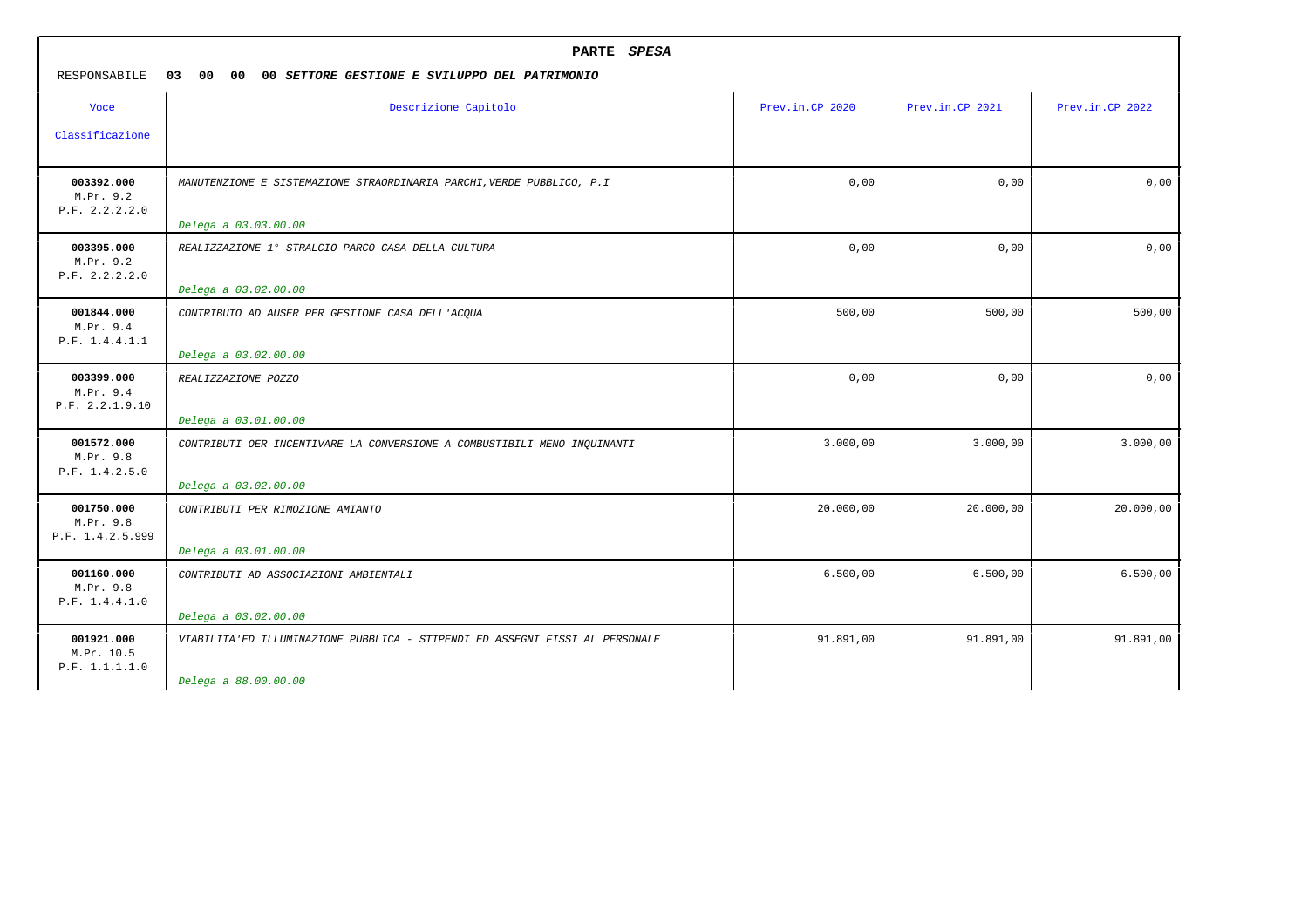| PARTE SPESA<br>RESPONSABILE<br>03<br>00<br>00<br>00 SETTORE GESTIONE E SVILUPPO DEL PATRIMONIO |                                                                              |                 |                 |                 |
|------------------------------------------------------------------------------------------------|------------------------------------------------------------------------------|-----------------|-----------------|-----------------|
| <b>Voce</b><br>Classificazione                                                                 | Descrizione Capitolo                                                         | Prev.in.CP 2020 | Prev.in.CP 2021 | Prev.in.CP 2022 |
|                                                                                                |                                                                              |                 |                 |                 |
| 003392.000<br>M.Pr. 9.2<br>P.F. 2.2.2.2.0                                                      | MANUTENZIONE E SISTEMAZIONE STRAORDINARIA PARCHI, VERDE PUBBLICO, P.I        | 0,00            | 0,00            | 0,00            |
|                                                                                                | Delega a 03.03.00.00                                                         |                 |                 |                 |
| 003395.000<br>M.Pr. 9.2<br>P.F. 2.2.2.2.0                                                      | REALIZZAZIONE 1º STRALCIO PARCO CASA DELLA CULTURA                           | 0,00            | 0,00            | 0,00            |
|                                                                                                | Delega a 03.02.00.00                                                         |                 |                 |                 |
| 001844.000<br>M.Pr. 9.4<br>P.F. 1.4.4.1.1                                                      | CONTRIBUTO AD AUSER PER GESTIONE CASA DELL'ACQUA                             | 500,00          | 500,00          | 500,00          |
|                                                                                                | Delega a 03.02.00.00                                                         |                 |                 |                 |
| 003399.000<br>M.Pr. 9.4<br>P.F. 2.2.1.9.10                                                     | REALIZZAZIONE POZZO                                                          | 0,00            | 0,00            | 0,00            |
|                                                                                                | Delega a 03.01.00.00                                                         |                 |                 |                 |
| 001572.000<br>M.Pr. 9.8<br>P.F. 1.4.2.5.0                                                      | CONTRIBUTI OER INCENTIVARE LA CONVERSIONE A COMBUSTIBILI MENO INQUINANTI     | 3.000,00        | 3.000,00        | 3.000,00        |
|                                                                                                | Delega a 03.02.00.00                                                         |                 |                 |                 |
| 001750.000<br>M.Pr. 9.8<br>P.F. 1.4.2.5.999                                                    | CONTRIBUTI PER RIMOZIONE AMIANTO                                             | 20.000,00       | 20.000,00       | 20.000,00       |
|                                                                                                | Delega a 03.01.00.00                                                         |                 |                 |                 |
| 001160.000<br>M.Pr. 9.8<br>P.F. 1.4.4.1.0                                                      | CONTRIBUTI AD ASSOCIAZIONI AMBIENTALI                                        | 6.500,00        | 6.500,00        | 6.500,00        |
|                                                                                                | Delega a 03.02.00.00                                                         |                 |                 |                 |
| 001921.000<br>M.Pr. 10.5<br>P.F. 1.1.1.1.0                                                     | VIABILITA'ED ILLUMINAZIONE PUBBLICA - STIPENDI ED ASSEGNI FISSI AL PERSONALE | 91.891,00       | 91.891,00       | 91.891,00       |
|                                                                                                | Delega a 88.00.00.00                                                         |                 |                 |                 |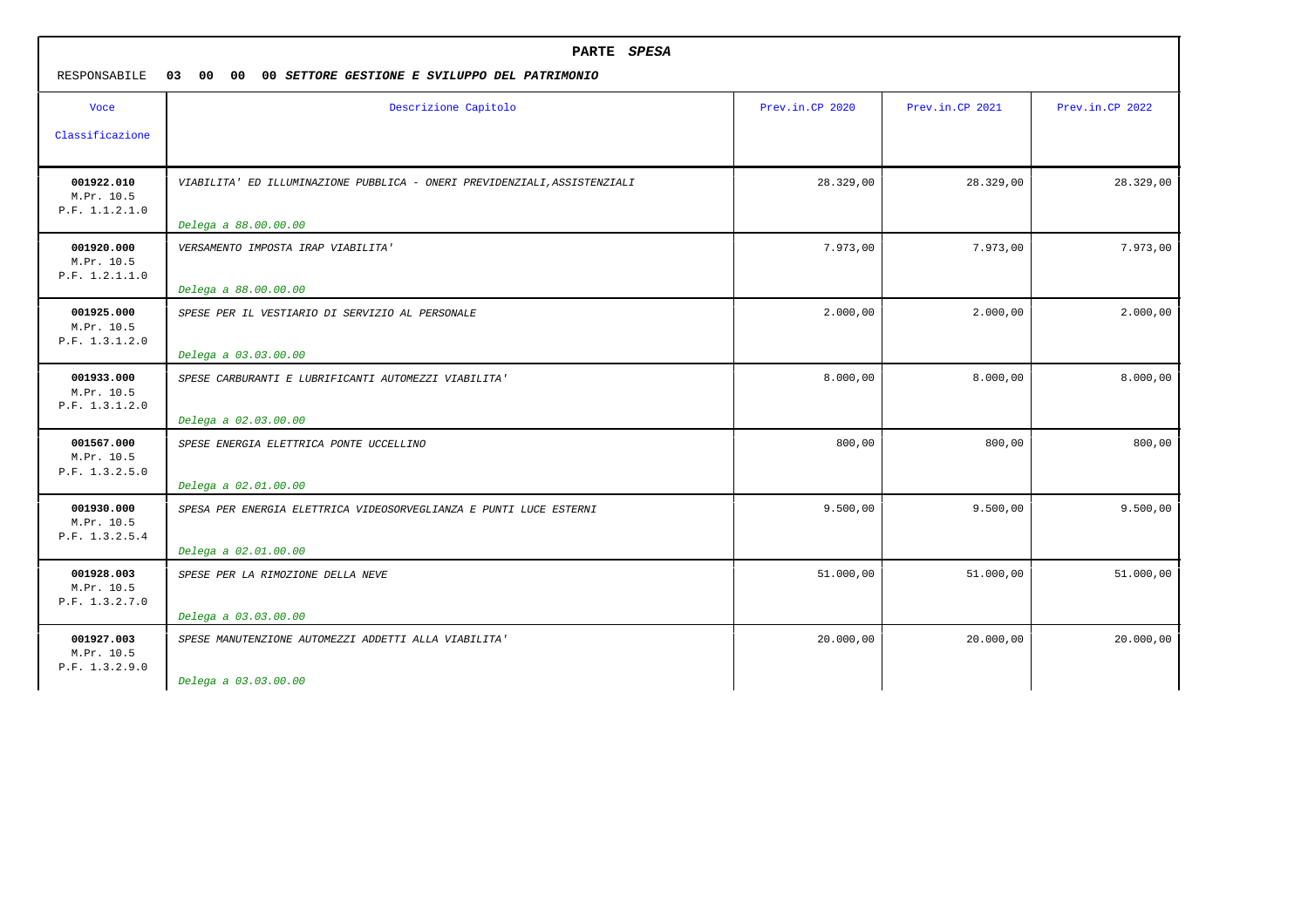| PARTE SPESA<br>RESPONSABILE<br>03<br>00<br>00<br>00 SETTORE GESTIONE E SVILUPPO DEL PATRIMONIO |                                                                                                   |                 |                 |                 |
|------------------------------------------------------------------------------------------------|---------------------------------------------------------------------------------------------------|-----------------|-----------------|-----------------|
| <b>Voce</b><br>Classificazione                                                                 | Descrizione Capitolo                                                                              | Prev.in.CP 2020 | Prev.in.CP 2021 | Prev.in.CP 2022 |
| 001922.010<br>M.Pr. 10.5<br>P.F. 1.1.2.1.0                                                     | VIABILITA' ED ILLUMINAZIONE PUBBLICA - ONERI PREVIDENZIALI, ASSISTENZIALI<br>Delega a 88.00.00.00 | 28.329,00       | 28.329,00       | 28.329,00       |
| 001920.000<br>M.Pr. 10.5<br>P.F. 1.2.1.1.0                                                     | VERSAMENTO IMPOSTA IRAP VIABILITA'<br>Delega a 88.00.00.00                                        | 7.973,00        | 7.973,00        | 7.973,00        |
| 001925.000<br>M.Pr. 10.5<br>P.F. 1.3.1.2.0                                                     | SPESE PER IL VESTIARIO DI SERVIZIO AL PERSONALE<br>Delega a 03.03.00.00                           | 2.000,00        | 2.000,00        | 2.000,00        |
| 001933.000<br>M.Pr. 10.5<br>P.F. 1.3.1.2.0                                                     | SPESE CARBURANTI E LUBRIFICANTI AUTOMEZZI VIABILITA'<br>Delega a 02.03.00.00                      | 8.000,00        | 8.000,00        | 8.000,00        |
| 001567.000<br>M.Pr. 10.5<br>P.F. 1.3.2.5.0                                                     | SPESE ENERGIA ELETTRICA PONTE UCCELLINO<br>Delega a 02.01.00.00                                   | 800,00          | 800,00          | 800,00          |
| 001930.000<br>M.Pr. 10.5<br>P.F. 1.3.2.5.4                                                     | SPESA PER ENERGIA ELETTRICA VIDEOSORVEGLIANZA E PUNTI LUCE ESTERNI<br>Delega a 02.01.00.00        | 9.500,00        | 9.500,00        | 9.500,00        |
| 001928.003<br>M.Pr. 10.5<br>P.F. 1.3.2.7.0                                                     | SPESE PER LA RIMOZIONE DELLA NEVE<br>Delega a 03.03.00.00                                         | 51.000,00       | 51.000,00       | 51.000,00       |
| 001927.003<br>M.Pr. 10.5<br>P.F. 1.3.2.9.0                                                     | SPESE MANUTENZIONE AUTOMEZZI ADDETTI ALLA VIABILITA'<br>Delega a 03.03.00.00                      | 20.000,00       | 20.000,00       | 20.000,00       |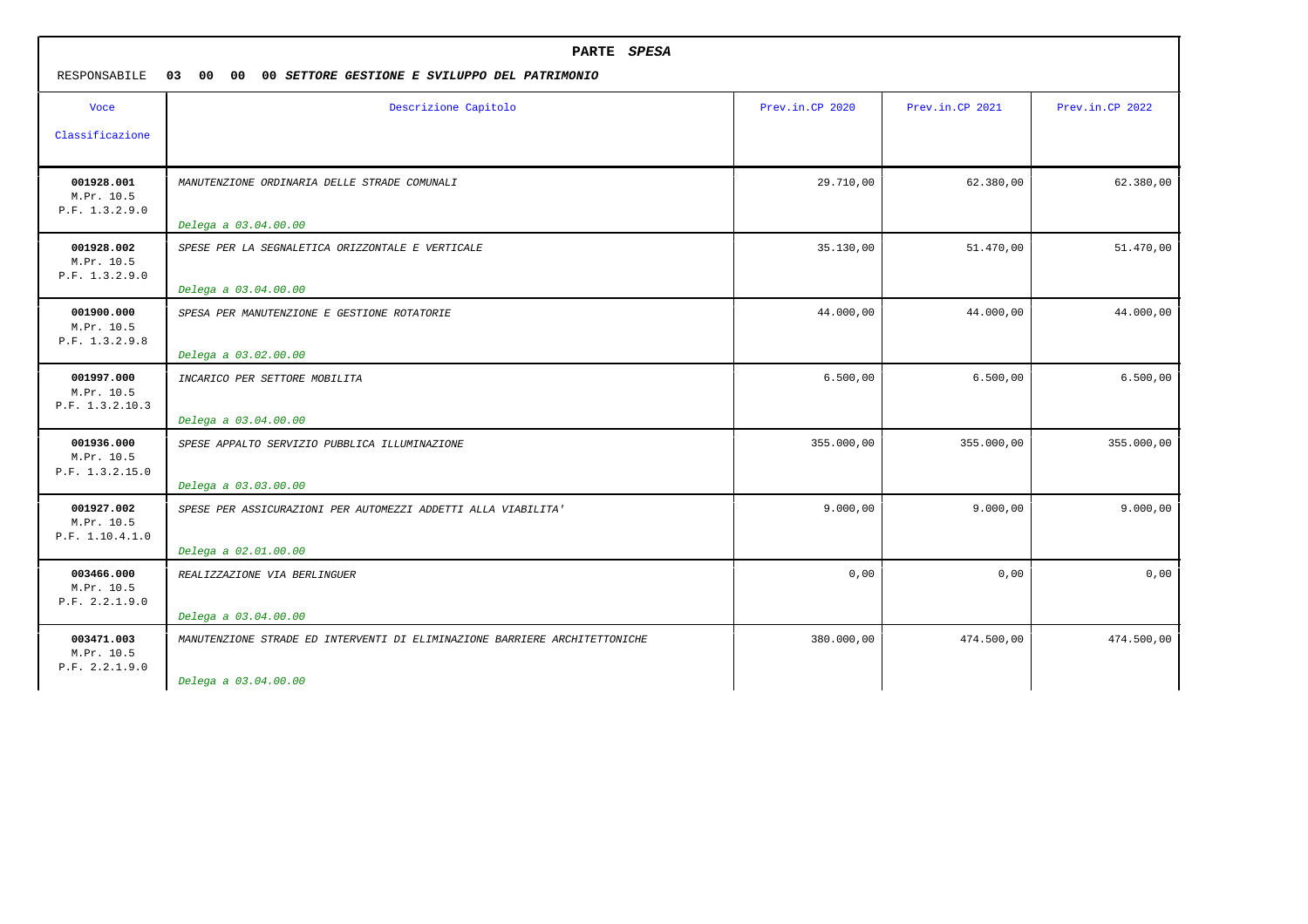| RESPONSABILE                                | PARTE SPESA<br>03<br>00<br>00<br>00 SETTORE GESTIONE E SVILUPPO DEL PATRIMONIO |                 |                 |                 |  |
|---------------------------------------------|--------------------------------------------------------------------------------|-----------------|-----------------|-----------------|--|
| <b>Voce</b>                                 | Descrizione Capitolo                                                           | Prev.in.CP 2020 | Prev.in.CP 2021 | Prev.in.CP 2022 |  |
| Classificazione                             |                                                                                |                 |                 |                 |  |
| 001928.001<br>M.Pr. 10.5<br>P.F. 1.3.2.9.0  | MANUTENZIONE ORDINARIA DELLE STRADE COMUNALI                                   | 29.710,00       | 62.380,00       | 62.380,00       |  |
|                                             | Delega a 03.04.00.00                                                           |                 |                 |                 |  |
| 001928.002<br>M.Pr. 10.5<br>P.F. 1.3.2.9.0  | SPESE PER LA SEGNALETICA ORIZZONTALE E VERTICALE                               | 35.130,00       | 51.470,00       | 51.470,00       |  |
|                                             | Delega a 03.04.00.00                                                           |                 |                 |                 |  |
| 001900.000<br>M.Pr. 10.5<br>P.F. 1.3.2.9.8  | SPESA PER MANUTENZIONE E GESTIONE ROTATORIE<br>Delega a 03.02.00.00            | 44.000,00       | 44.000,00       | 44.000,00       |  |
| 001997.000<br>M.Pr. 10.5<br>P.F. 1.3.2.10.3 | INCARICO PER SETTORE MOBILITA                                                  | 6.500,00        | 6.500,00        | 6.500,00        |  |
|                                             | Delega a 03.04.00.00                                                           |                 |                 |                 |  |
| 001936.000<br>M.Pr. 10.5<br>P.F. 1.3.2.15.0 | SPESE APPALTO SERVIZIO PUBBLICA ILLUMINAZIONE<br>Delega a 03.03.00.00          | 355.000,00      | 355.000,00      | 355.000,00      |  |
| 001927.002<br>M.Pr. 10.5<br>P.F. 1.10.4.1.0 | SPESE PER ASSICURAZIONI PER AUTOMEZZI ADDETTI ALLA VIABILITA'                  | 9.000,00        | 9.000,00        | 9.000,00        |  |
|                                             | Delega a 02.01.00.00                                                           |                 |                 |                 |  |
| 003466.000<br>M.Pr. 10.5<br>P.F. 2.2.1.9.0  | REALIZZAZIONE VIA BERLINGUER                                                   | 0,00            | 0,00            | 0,00            |  |
|                                             | Delega a 03.04.00.00                                                           |                 |                 |                 |  |
| 003471.003<br>M.Pr. 10.5<br>P.F. 2.2.1.9.0  | MANUTENZIONE STRADE ED INTERVENTI DI ELIMINAZIONE BARRIERE ARCHITETTONICHE     | 380.000,00      | 474.500,00      | 474.500,00      |  |
|                                             | Delega a 03.04.00.00                                                           |                 |                 |                 |  |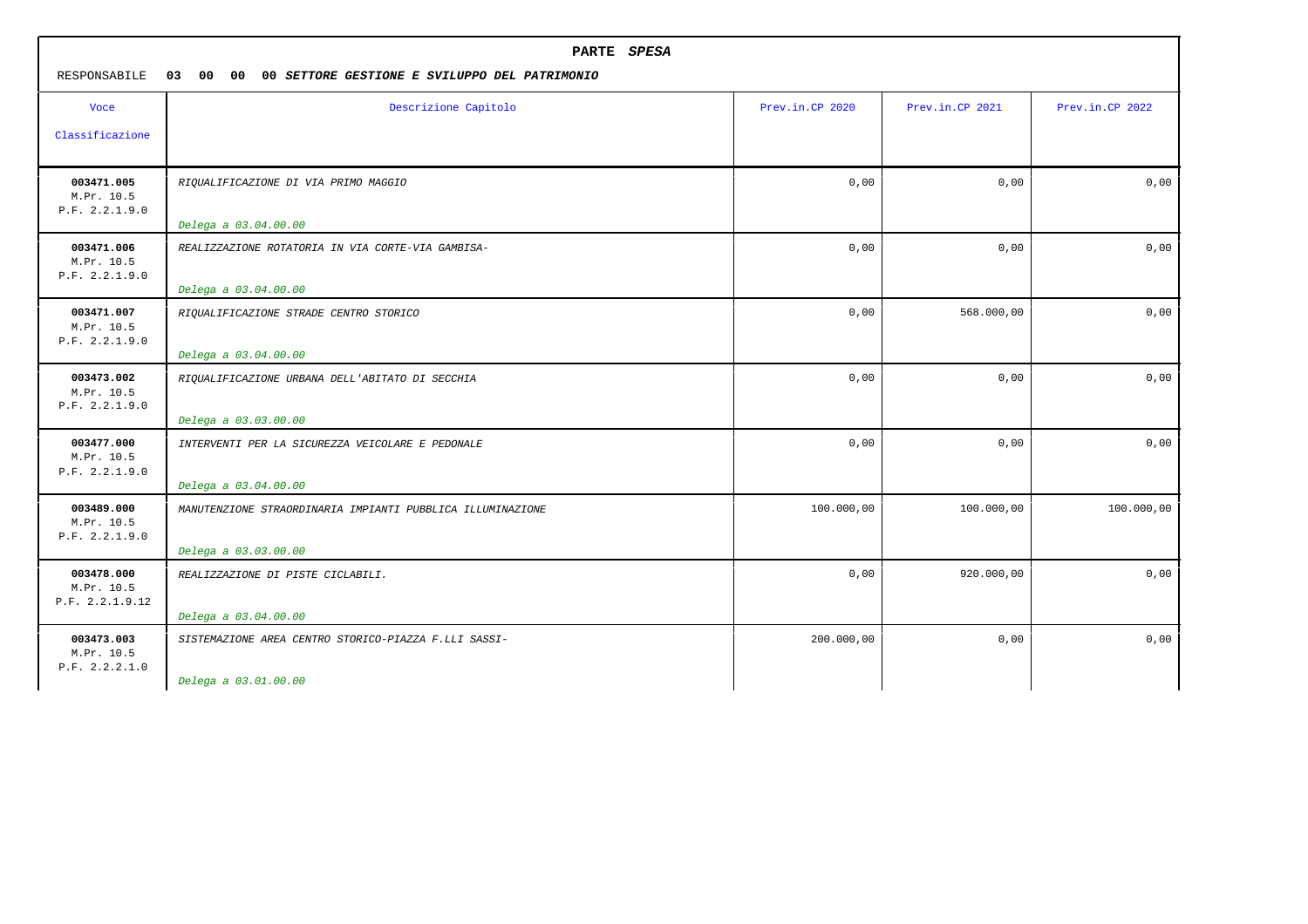| PARTE SPESA<br>RESPONSABILE<br>00<br>00<br>00 SETTORE GESTIONE E SVILUPPO DEL PATRIMONIO<br>03 |                                                                          |                 |                 |                 |
|------------------------------------------------------------------------------------------------|--------------------------------------------------------------------------|-----------------|-----------------|-----------------|
| Voce                                                                                           | Descrizione Capitolo                                                     | Prev.in.CP 2020 | Prev.in.CP 2021 | Prev.in.CP 2022 |
| Classificazione                                                                                |                                                                          |                 |                 |                 |
| 003471.005<br>M.Pr. 10.5<br>P.F. 2.2.1.9.0                                                     | RIQUALIFICAZIONE DI VIA PRIMO MAGGIO                                     | 0,00            | 0,00            | 0,00            |
|                                                                                                | Delega a 03.04.00.00                                                     |                 |                 |                 |
| 003471.006<br>M.Pr. 10.5<br>P.F. 2.2.1.9.0                                                     | REALIZZAZIONE ROTATORIA IN VIA CORTE-VIA GAMBISA-                        | 0,00            | 0,00            | 0,00            |
|                                                                                                | Delega a 03.04.00.00                                                     |                 |                 |                 |
| 003471.007<br>M.Pr. 10.5<br>P.F. 2.2.1.9.0                                                     | RIQUALIFICAZIONE STRADE CENTRO STORICO<br>Delega a 03.04.00.00           | 0,00            | 568.000,00      | 0,00            |
| 003473.002<br>M.Pr. 10.5<br>P.F. 2.2.1.9.0                                                     | RIQUALIFICAZIONE URBANA DELL'ABITATO DI SECCHIA                          | 0,00            | 0,00            | 0,00            |
|                                                                                                | Delega a 03.03.00.00                                                     |                 |                 |                 |
| 003477.000<br>M.Pr. 10.5<br>P.F. 2.2.1.9.0                                                     | INTERVENTI PER LA SICUREZZA VEICOLARE E PEDONALE<br>Delega a 03.04.00.00 | 0,00            | 0,00            | 0,00            |
| 003489.000<br>M.Pr. 10.5<br>P.F. 2.2.1.9.0                                                     | MANUTENZIONE STRAORDINARIA IMPIANTI PUBBLICA ILLUMINAZIONE               | 100.000,00      | 100.000,00      | 100.000,00      |
|                                                                                                | Delega a 03.03.00.00                                                     |                 |                 |                 |
| 003478.000<br>M.Pr. 10.5<br>P.F. 2.2.1.9.12                                                    | REALIZZAZIONE DI PISTE CICLABILI.                                        | 0,00            | 920.000,00      | 0,00            |
|                                                                                                | Delega a 03.04.00.00                                                     |                 |                 |                 |
| 003473.003<br>M.Pr. 10.5<br>P.F. 2.2.2.1.0                                                     | SISTEMAZIONE AREA CENTRO STORICO-PIAZZA F.LLI SASSI-                     | 200.000,00      | 0,00            | 0,00            |
|                                                                                                | Delega a 03.01.00.00                                                     |                 |                 |                 |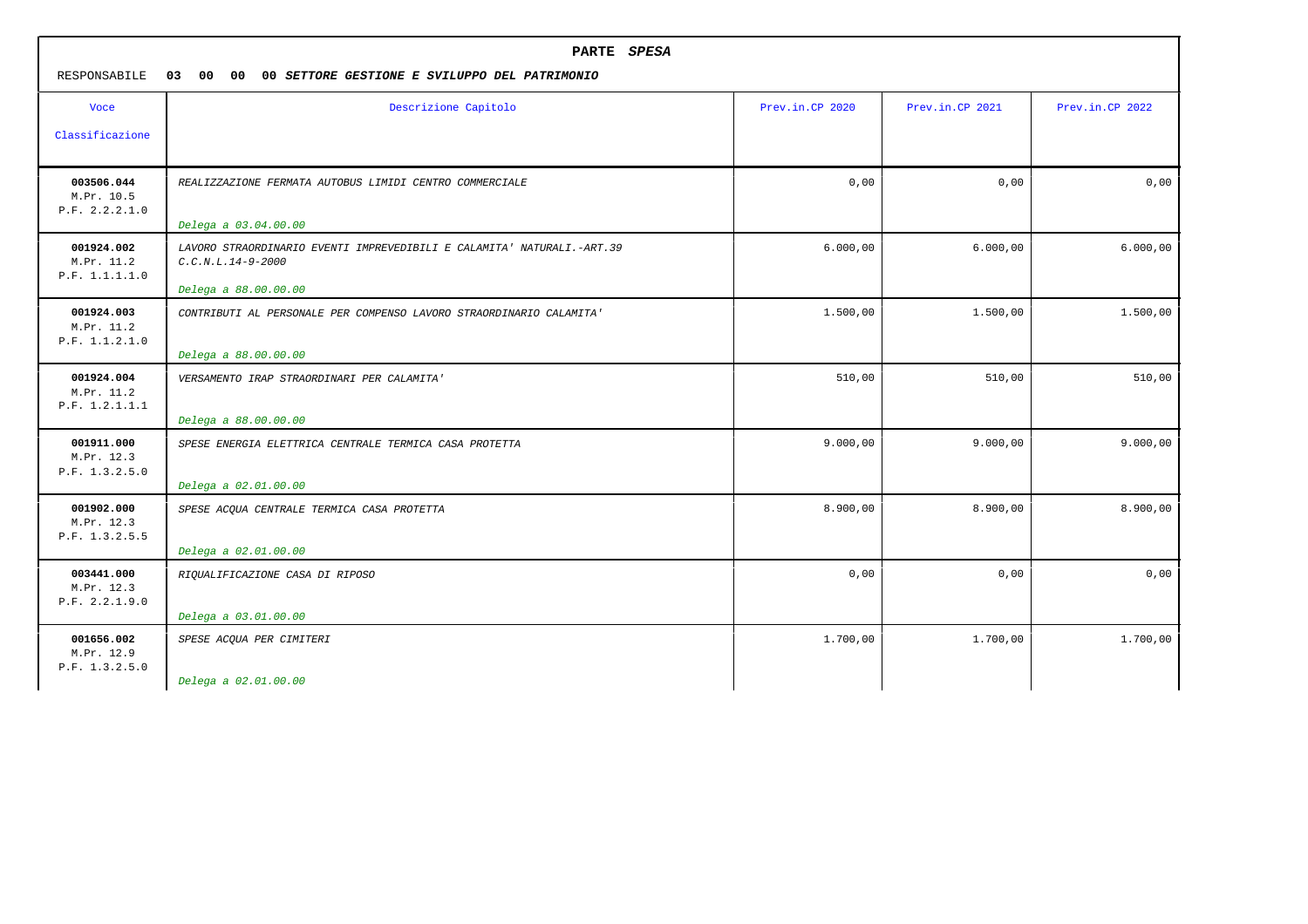| RESPONSABILE                               | PARTE SPESA<br>03 00<br>00 <sub>o</sub><br>00 SETTORE GESTIONE E SVILUPPO DEL PATRIMONIO                                                      |                 |                 |                 |  |
|--------------------------------------------|-----------------------------------------------------------------------------------------------------------------------------------------------|-----------------|-----------------|-----------------|--|
| <b>Voce</b><br>Classificazione             | Descrizione Capitolo                                                                                                                          | Prev.in.CP 2020 | Prev.in.CP 2021 | Prev.in.CP 2022 |  |
| 003506.044<br>M.Pr. 10.5<br>P.F. 2.2.2.1.0 | REALIZZAZIONE FERMATA AUTOBUS LIMIDI CENTRO COMMERCIALE                                                                                       | 0,00            | 0,00            | 0,00            |  |
| 001924.002<br>M.Pr. 11.2<br>P.F. 1.1.1.1.0 | Delega a 03.04.00.00<br>LAVORO STRAORDINARIO EVENTI IMPREVEDIBILI E CALAMITA' NATURALI.-ART.39<br>$C.C.N.L.14-9-2000$<br>Delega a 88.00.00.00 | 6.000,00        | 6.000,00        | 6.000,00        |  |
| 001924.003<br>M.Pr. 11.2<br>P.F. 1.1.2.1.0 | CONTRIBUTI AL PERSONALE PER COMPENSO LAVORO STRAORDINARIO CALAMITA'<br>Delega a 88.00.00.00                                                   | 1.500,00        | 1.500,00        | 1.500,00        |  |
| 001924.004<br>M.Pr. 11.2<br>P.F. 1.2.1.1.1 | VERSAMENTO IRAP STRAORDINARI PER CALAMITA'<br>Delega a 88.00.00.00                                                                            | 510,00          | 510,00          | 510,00          |  |
| 001911.000<br>M.Pr. 12.3<br>P.F. 1.3.2.5.0 | SPESE ENERGIA ELETTRICA CENTRALE TERMICA CASA PROTETTA<br>Delega a 02.01.00.00                                                                | 9.000,00        | 9.000,00        | 9.000,00        |  |
| 001902.000<br>M.Pr. 12.3<br>P.F. 1.3.2.5.5 | SPESE ACQUA CENTRALE TERMICA CASA PROTETTA<br>Delega a 02.01.00.00                                                                            | 8.900,00        | 8.900,00        | 8.900,00        |  |
| 003441.000<br>M.Pr. 12.3<br>P.F. 2.2.1.9.0 | RIQUALIFICAZIONE CASA DI RIPOSO<br>Delega a 03.01.00.00                                                                                       | 0,00            | 0,00            | 0,00            |  |
| 001656.002<br>M.Pr. 12.9<br>P.F. 1.3.2.5.0 | SPESE ACQUA PER CIMITERI<br>Delega a 02.01.00.00                                                                                              | 1.700,00        | 1.700,00        | 1.700,00        |  |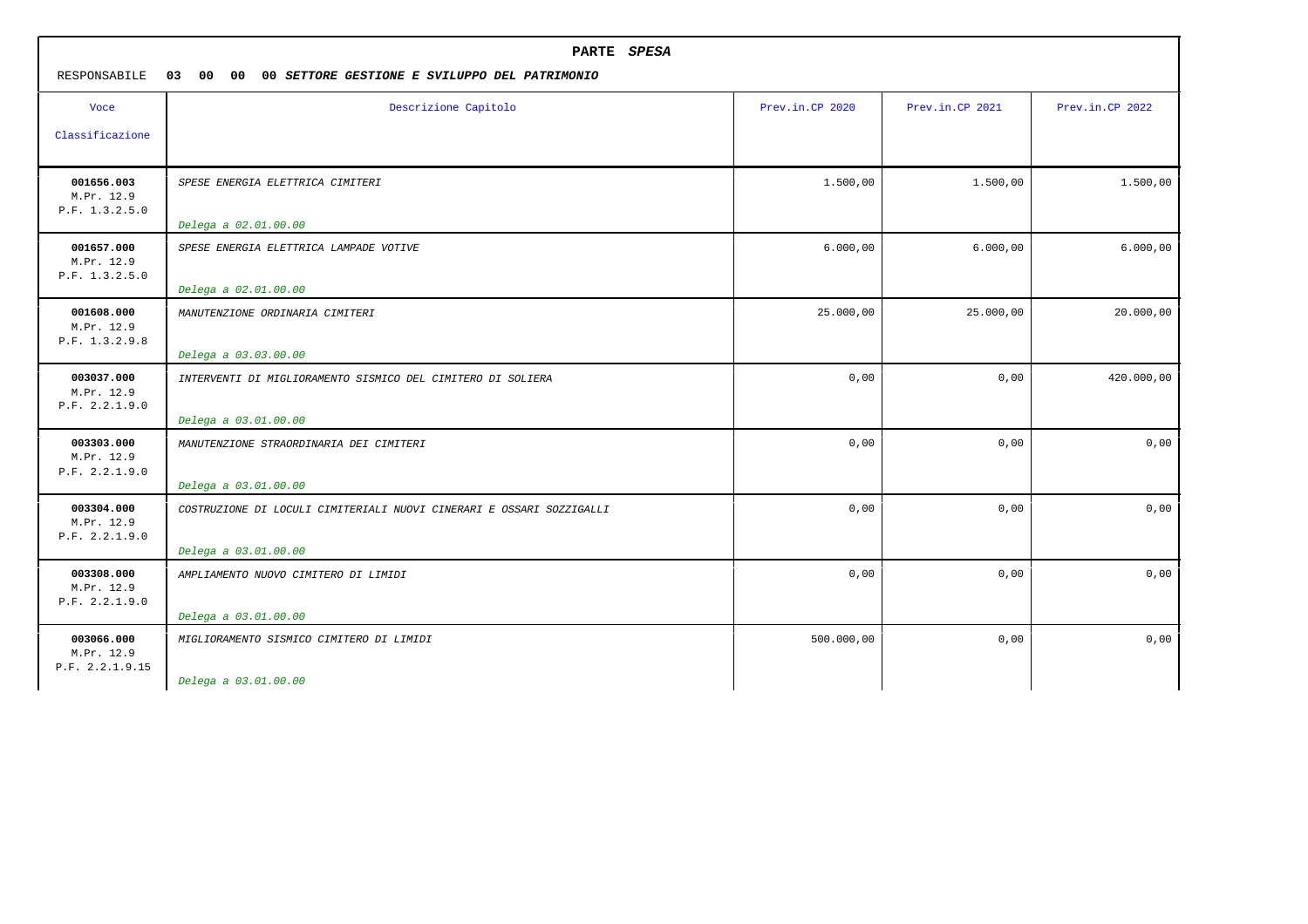| PARTE SPESA<br>RESPONSABILE<br>03<br>00<br>00<br>00 SETTORE GESTIONE E SVILUPPO DEL PATRIMONIO |                                                                                              |                 |                 |                 |
|------------------------------------------------------------------------------------------------|----------------------------------------------------------------------------------------------|-----------------|-----------------|-----------------|
| <b>Voce</b>                                                                                    | Descrizione Capitolo                                                                         | Prev.in.CP 2020 | Prev.in.CP 2021 | Prev.in.CP 2022 |
| Classificazione                                                                                |                                                                                              |                 |                 |                 |
| 001656.003<br>M.Pr. 12.9<br>P.F. 1.3.2.5.0                                                     | SPESE ENERGIA ELETTRICA CIMITERI<br>Delega a 02.01.00.00                                     | 1.500,00        | 1,500,00        | 1.500,00        |
| 001657.000<br>M.Pr. 12.9<br>P.F. 1.3.2.5.0                                                     | SPESE ENERGIA ELETTRICA LAMPADE VOTIVE<br>Delega a 02.01.00.00                               | 6.000,00        | 6.000,00        | 6.000,00        |
| 001608.000<br>M.Pr. 12.9<br>P.F. 1.3.2.9.8                                                     | MANUTENZIONE ORDINARIA CIMITERI<br>Delega a 03.03.00.00                                      | 25.000,00       | 25.000,00       | 20.000,00       |
| 003037.000<br>M.Pr. 12.9<br>P.F. 2.2.1.9.0                                                     | INTERVENTI DI MIGLIORAMENTO SISMICO DEL CIMITERO DI SOLIERA<br>Delega a 03.01.00.00          | 0,00            | 0,00            | 420.000,00      |
| 003303.000<br>M.Pr. 12.9<br>P.F. 2.2.1.9.0                                                     | MANUTENZIONE STRAORDINARIA DEI CIMITERI<br>Delega a 03.01.00.00                              | 0,00            | 0,00            | 0,00            |
| 003304.000<br>M.Pr. 12.9<br>P.F. 2.2.1.9.0                                                     | COSTRUZIONE DI LOCULI CIMITERIALI NUOVI CINERARI E OSSARI SOZZIGALLI<br>Delega a 03.01.00.00 | 0,00            | 0,00            | 0,00            |
| 003308.000<br>M.Pr. 12.9<br>P.F. 2.2.1.9.0                                                     | AMPLIAMENTO NUOVO CIMITERO DI LIMIDI<br>Delega a 03.01.00.00                                 | 0,00            | 0,00            | 0,00            |
| 003066.000<br>M.Pr. 12.9<br>P.F. 2.2.1.9.15                                                    | MIGLIORAMENTO SISMICO CIMITERO DI LIMIDI<br>Delega a 03.01.00.00                             | 500.000,00      | 0,00            | 0,00            |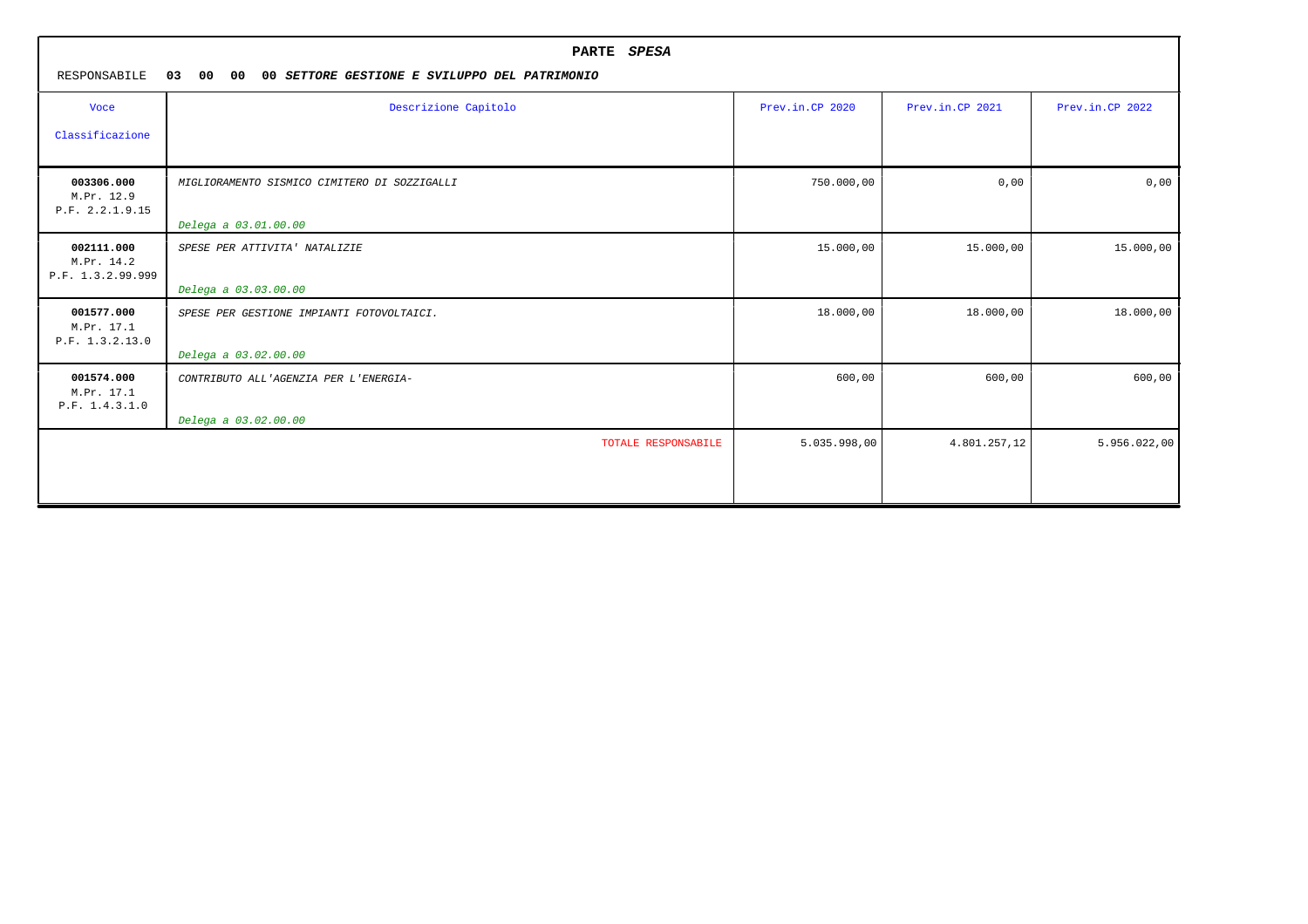|                                               | PARTE SPESA                                                     |                 |                 |                 |  |
|-----------------------------------------------|-----------------------------------------------------------------|-----------------|-----------------|-----------------|--|
| RESPONSABILE                                  | 03<br>00<br>00<br>00 SETTORE GESTIONE E SVILUPPO DEL PATRIMONIO |                 |                 |                 |  |
| <b>Voce</b>                                   | Descrizione Capitolo                                            | Prev.in.CP 2020 | Prev.in.CP 2021 | Prev.in.CP 2022 |  |
| Classificazione                               |                                                                 |                 |                 |                 |  |
| 003306.000<br>M.Pr. 12.9<br>P.F. 2.2.1.9.15   | MIGLIORAMENTO SISMICO CIMITERO DI SOZZIGALLI                    | 750.000,00      | 0,00            | 0,00            |  |
|                                               | Delega a 03.01.00.00                                            |                 |                 |                 |  |
| 002111.000<br>M.Pr. 14.2<br>P.F. 1.3.2.99.999 | SPESE PER ATTIVITA' NATALIZIE                                   | 15.000,00       | 15.000,00       | 15.000,00       |  |
|                                               | Delega a 03.03.00.00                                            |                 |                 |                 |  |
| 001577.000<br>M.Pr. 17.1<br>P.F. 1.3.2.13.0   | SPESE PER GESTIONE IMPIANTI FOTOVOLTAICI.                       | 18.000,00       | 18.000,00       | 18.000,00       |  |
|                                               | Delega a 03.02.00.00                                            |                 |                 |                 |  |
| 001574.000<br>M.Pr. 17.1<br>P.F. 1.4.3.1.0    | CONTRIBUTO ALL'AGENZIA PER L'ENERGIA-                           | 600,00          | 600,00          | 600,00          |  |
|                                               | Delega a 03.02.00.00                                            |                 |                 |                 |  |
|                                               | TOTALE RESPONSABILE                                             | 5.035.998,00    | 4.801.257,12    | 5.956.022,00    |  |
|                                               |                                                                 |                 |                 |                 |  |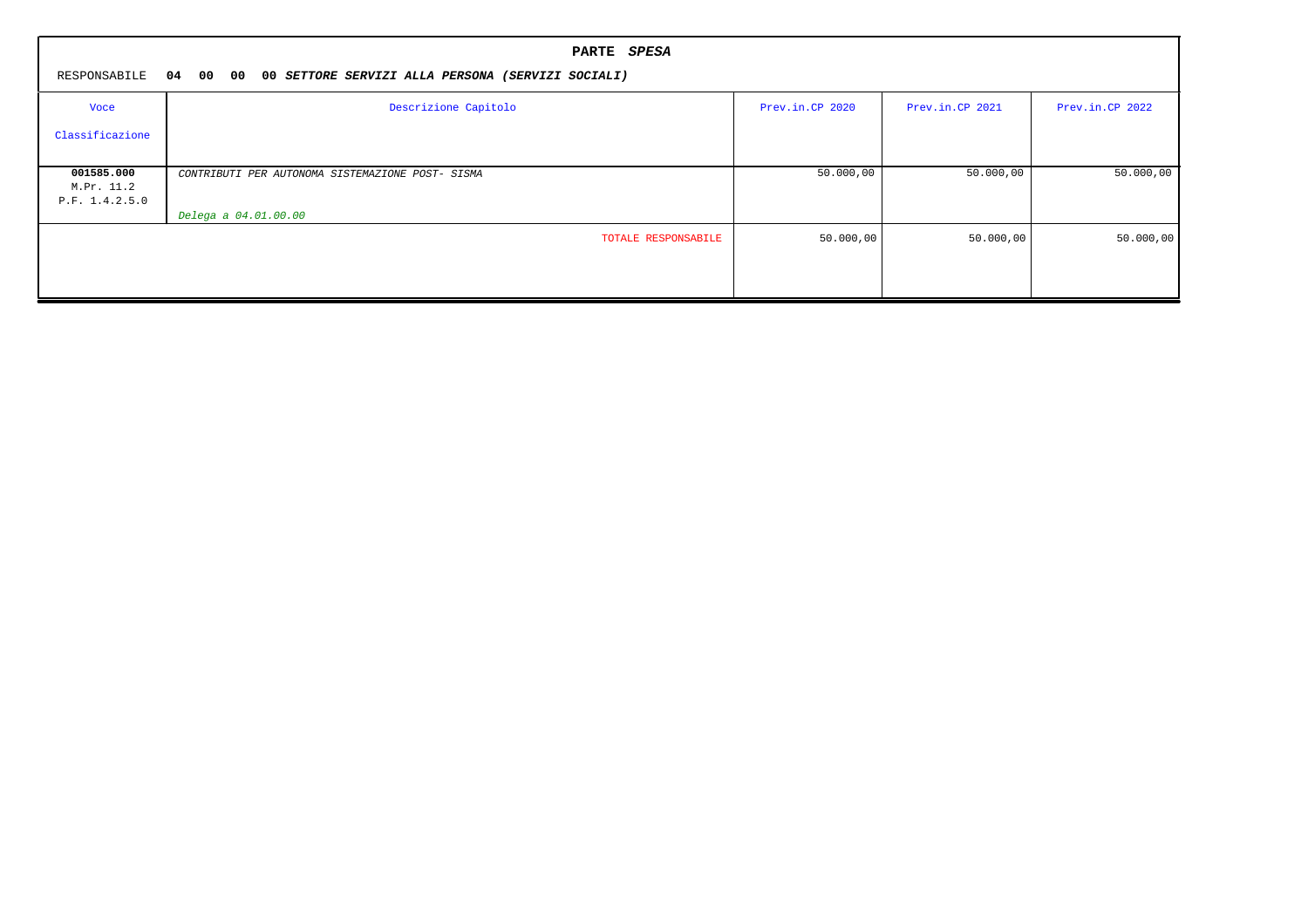|                 | PARTE SPESA                                                   |                 |                 |                 |  |
|-----------------|---------------------------------------------------------------|-----------------|-----------------|-----------------|--|
| RESPONSABILE    | 04 00 00<br>00 SETTORE SERVIZI ALLA PERSONA (SERVIZI SOCIALI) |                 |                 |                 |  |
| Voce            | Descrizione Capitolo                                          | Prev.in.CP 2020 | Prev.in.CP 2021 | Prev.in.CP 2022 |  |
| Classificazione |                                                               |                 |                 |                 |  |
|                 |                                                               |                 |                 |                 |  |
| 001585.000      | CONTRIBUTI PER AUTONOMA SISTEMAZIONE POST- SISMA              | 50.000,00       | 50.000,00       | 50.000,00       |  |
| M.Pr. 11.2      |                                                               |                 |                 |                 |  |
| P.F. 1.4.2.5.0  |                                                               |                 |                 |                 |  |
|                 | Delega a 04.01.00.00                                          |                 |                 |                 |  |
|                 | TOTALE RESPONSABILE                                           | 50.000,00       | 50.000,00       | 50.000,00       |  |
|                 |                                                               |                 |                 |                 |  |
|                 |                                                               |                 |                 |                 |  |
|                 |                                                               |                 |                 |                 |  |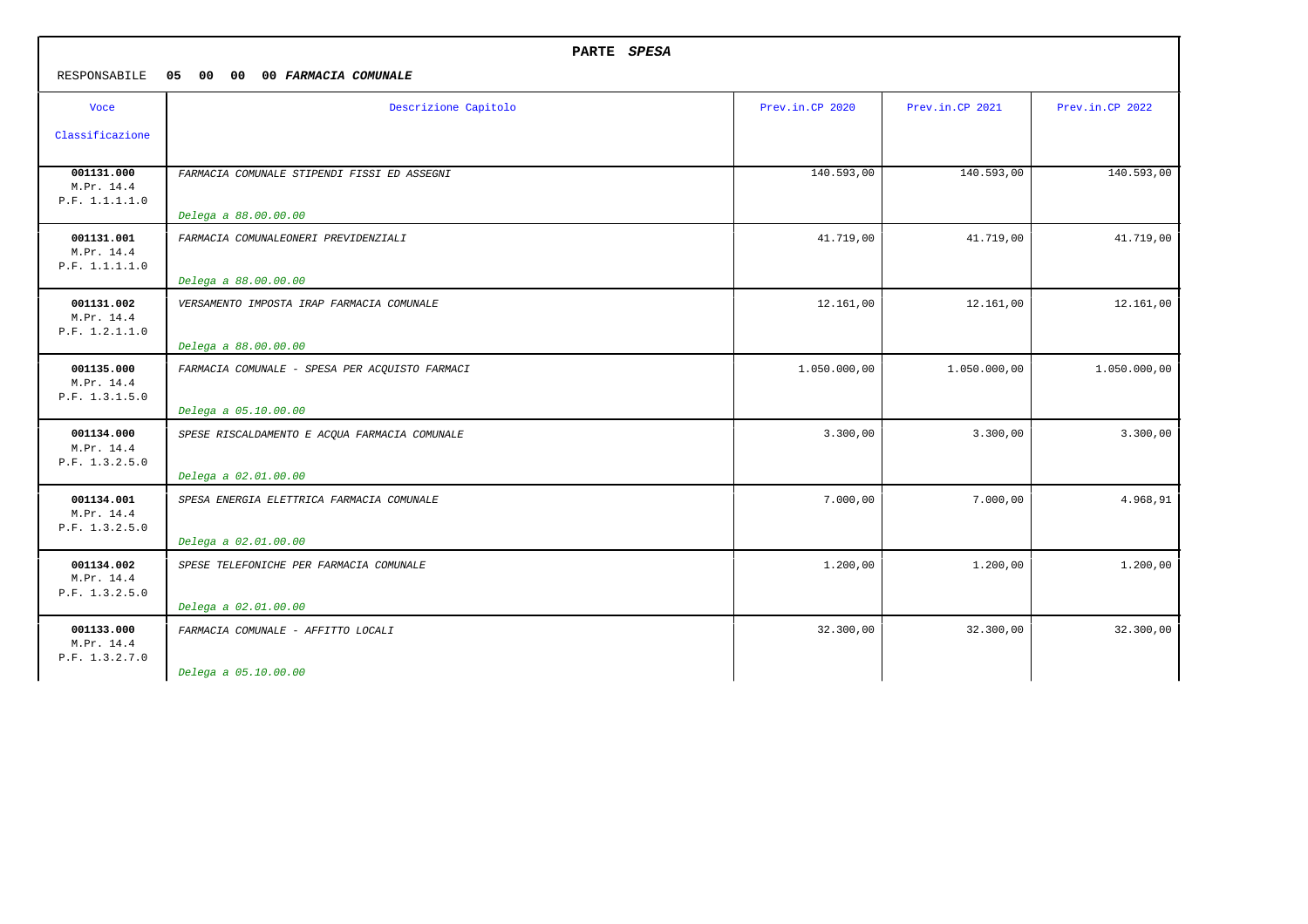| PARTE SPESA                                |                                                |                 |                 |                 |
|--------------------------------------------|------------------------------------------------|-----------------|-----------------|-----------------|
| RESPONSABILE                               | 05 00<br>$00\,$<br>00 FARMACIA COMUNALE        |                 |                 |                 |
| Voce                                       | Descrizione Capitolo                           | Prev.in.CP 2020 | Prev.in.CP 2021 | Prev.in.CP 2022 |
| Classificazione                            |                                                |                 |                 |                 |
| 001131.000<br>M.Pr. 14.4<br>P.F. 1.1.1.1.0 | FARMACIA COMUNALE STIPENDI FISSI ED ASSEGNI    | 140.593,00      | 140.593,00      | 140.593,00      |
|                                            | Delega a 88.00.00.00                           |                 |                 |                 |
| 001131.001<br>M.Pr. 14.4<br>P.F. 1.1.1.1.0 | FARMACIA COMUNALEONERI PREVIDENZIALI           | 41.719,00       | 41.719,00       | 41.719,00       |
|                                            | Delega a 88.00.00.00                           |                 |                 |                 |
| 001131.002<br>M.Pr. 14.4<br>P.F. 1.2.1.1.0 | VERSAMENTO IMPOSTA IRAP FARMACIA COMUNALE      | 12.161,00       | 12.161,00       | 12.161,00       |
|                                            | Delega a 88.00.00.00                           |                 |                 |                 |
| 001135.000<br>M.Pr. 14.4<br>P.F. 1.3.1.5.0 | FARMACIA COMUNALE - SPESA PER ACQUISTO FARMACI | 1.050.000,00    | 1.050.000,00    | 1.050.000,00    |
|                                            | Delega a 05.10.00.00                           |                 |                 |                 |
| 001134.000<br>M.Pr. 14.4<br>P.F. 1.3.2.5.0 | SPESE RISCALDAMENTO E ACQUA FARMACIA COMUNALE  | 3.300,00        | 3.300,00        | 3.300,00        |
|                                            | Delega a 02.01.00.00                           |                 |                 |                 |
| 001134.001<br>M.Pr. 14.4<br>P.F. 1.3.2.5.0 | SPESA ENERGIA ELETTRICA FARMACIA COMUNALE      | 7.000,00        | 7.000,00        | 4.968,91        |
|                                            | Delega a 02.01.00.00                           |                 |                 |                 |
| 001134.002<br>M.Pr. 14.4<br>P.F. 1.3.2.5.0 | SPESE TELEFONICHE PER FARMACIA COMUNALE        | 1.200,00        | 1.200,00        | 1.200,00        |
|                                            | Delega a 02.01.00.00                           |                 |                 |                 |
| 001133.000<br>M.Pr. 14.4<br>P.F. 1.3.2.7.0 | FARMACIA COMUNALE - AFFITTO LOCALI             | 32.300,00       | 32.300,00       | 32.300,00       |
|                                            | Delega a 05.10.00.00                           |                 |                 |                 |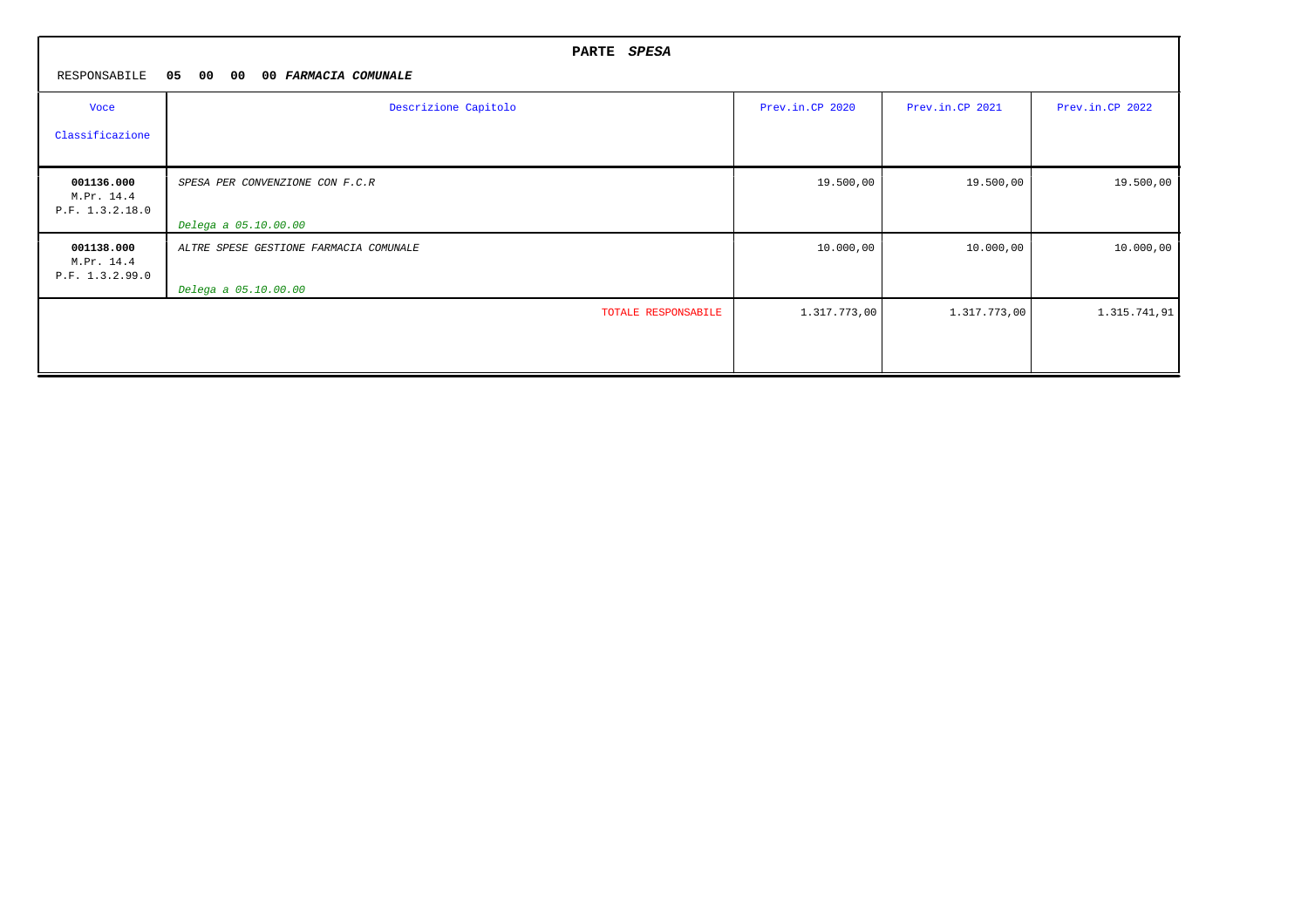|                                             | PARTE SPESA                            |                 |                 |                 |
|---------------------------------------------|----------------------------------------|-----------------|-----------------|-----------------|
| RESPONSABILE                                | 05<br>00<br>00<br>00 FARMACIA COMUNALE |                 |                 |                 |
| Voce                                        | Descrizione Capitolo                   | Prev.in.CP 2020 | Prev.in.CP 2021 | Prev.in.CP 2022 |
| Classificazione                             |                                        |                 |                 |                 |
| 001136.000<br>M.Pr. 14.4<br>P.F. 1.3.2.18.0 | SPESA PER CONVENZIONE CON F.C.R        | 19.500,00       | 19.500,00       | 19.500,00       |
|                                             | Delega a 05.10.00.00                   |                 |                 |                 |
| 001138.000<br>M.Pr. 14.4<br>P.F. 1.3.2.99.0 | ALTRE SPESE GESTIONE FARMACIA COMUNALE | 10.000,00       | 10.000,00       | 10.000,00       |
|                                             | Delega a 05.10.00.00                   |                 |                 |                 |
|                                             | TOTALE RESPONSABILE                    | 1.317.773,00    | 1.317.773,00    | 1.315.741,91    |
|                                             |                                        |                 |                 |                 |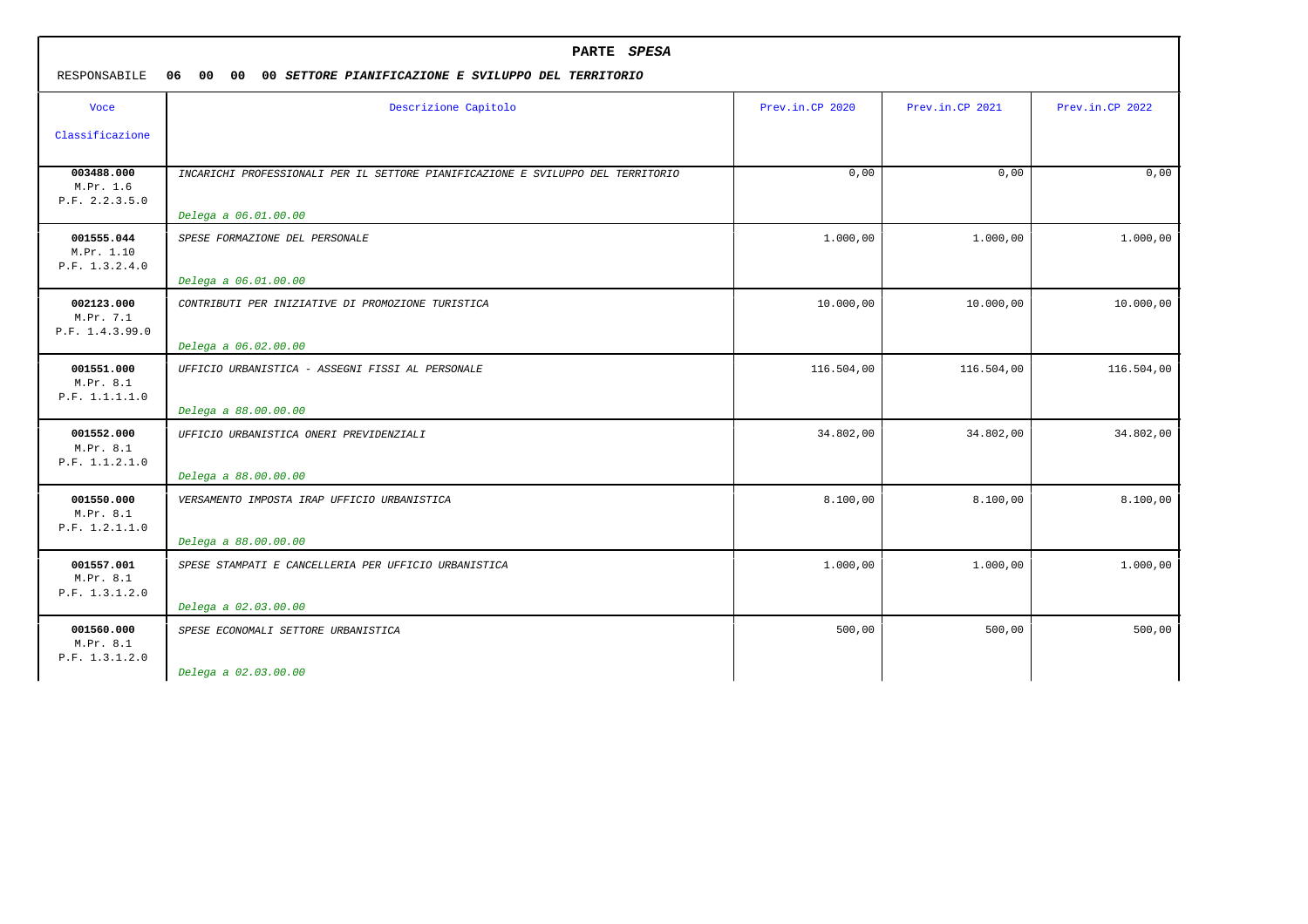| RESPONSABILE                               | PARTE SPESA<br>06 00<br>00 <sub>o</sub><br>00 SETTORE PIANIFICAZIONE E SVILUPPO DEL TERRITORIO |                 |                 |                 |  |
|--------------------------------------------|------------------------------------------------------------------------------------------------|-----------------|-----------------|-----------------|--|
| <b>Voce</b>                                | Descrizione Capitolo                                                                           | Prev.in.CP 2020 | Prev.in.CP 2021 | Prev.in.CP 2022 |  |
| Classificazione                            |                                                                                                |                 |                 |                 |  |
| 003488.000<br>M.Pr. 1.6<br>P.F. 2.2.3.5.0  | INCARICHI PROFESSIONALI PER IL SETTORE PIANIFICAZIONE E SVILUPPO DEL TERRITORIO                | 0,00            | 0,00            | 0.00            |  |
|                                            | Delega a 06.01.00.00                                                                           |                 |                 |                 |  |
| 001555.044<br>M.Pr. 1.10<br>P.F. 1.3.2.4.0 | SPESE FORMAZIONE DEL PERSONALE                                                                 | 1.000,00        | 1.000,00        | 1.000,00        |  |
|                                            | Delega a 06.01.00.00                                                                           |                 |                 |                 |  |
| 002123.000<br>M.Pr. 7.1<br>P.F. 1.4.3.99.0 | CONTRIBUTI PER INIZIATIVE DI PROMOZIONE TURISTICA                                              | 10.000,00       | 10.000,00       | 10.000,00       |  |
|                                            | Delega a 06.02.00.00                                                                           |                 |                 |                 |  |
| 001551.000<br>M.Pr. 8.1<br>P.F. 1.1.1.1.0  | UFFICIO URBANISTICA - ASSEGNI FISSI AL PERSONALE                                               | 116.504,00      | 116.504,00      | 116.504,00      |  |
|                                            | Delega a 88.00.00.00                                                                           |                 |                 |                 |  |
| 001552.000<br>M.Pr. 8.1<br>P.F. 1.1.2.1.0  | UFFICIO URBANISTICA ONERI PREVIDENZIALI                                                        | 34.802,00       | 34.802,00       | 34.802,00       |  |
|                                            | Delega a 88.00.00.00                                                                           |                 |                 |                 |  |
| 001550.000<br>M.Pr. 8.1<br>P.F. 1.2.1.1.0  | VERSAMENTO IMPOSTA IRAP UFFICIO URBANISTICA                                                    | 8.100,00        | 8.100,00        | 8.100,00        |  |
|                                            | Delega a 88.00.00.00                                                                           |                 |                 |                 |  |
| 001557.001<br>M.Pr. 8.1<br>P.F. 1.3.1.2.0  | SPESE STAMPATI E CANCELLERIA PER UFFICIO URBANISTICA                                           | 1.000,00        | 1.000,00        | 1.000,00        |  |
|                                            | Delega a 02.03.00.00                                                                           |                 |                 |                 |  |
| 001560.000<br>M.Pr. 8.1<br>P.F. 1.3.1.2.0  | SPESE ECONOMALI SETTORE URBANISTICA                                                            | 500,00          | 500,00          | 500,00          |  |
|                                            | Delega a 02.03.00.00                                                                           |                 |                 |                 |  |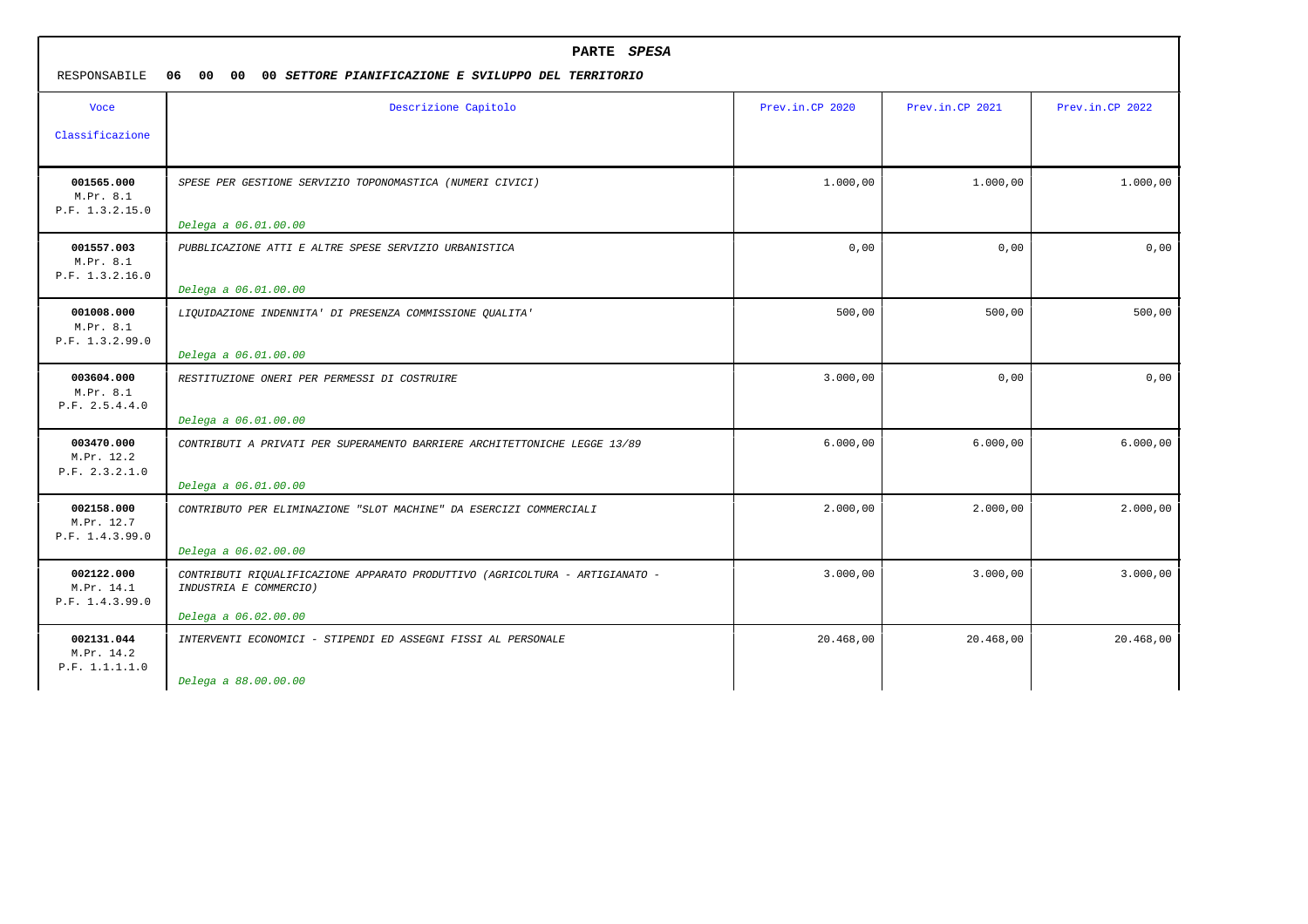| PARTE SPESA<br>06<br>00<br>00<br>RESPONSABILE<br>00 SETTORE PIANIFICAZIONE E SVILUPPO DEL TERRITORIO |                                                                                                        |                 |                 |                 |
|------------------------------------------------------------------------------------------------------|--------------------------------------------------------------------------------------------------------|-----------------|-----------------|-----------------|
| <b>Voce</b>                                                                                          | Descrizione Capitolo                                                                                   | Prev.in.CP 2020 | Prev.in.CP 2021 | Prev.in.CP 2022 |
| Classificazione                                                                                      |                                                                                                        |                 |                 |                 |
| 001565.000<br>M.Pr. 8.1<br>P.F. 1.3.2.15.0                                                           | SPESE PER GESTIONE SERVIZIO TOPONOMASTICA (NUMERI CIVICI)                                              | 1.000,00        | 1,000,00        | 1,000,00        |
|                                                                                                      | Delega a 06.01.00.00                                                                                   |                 |                 |                 |
| 001557.003<br>M.Pr. 8.1<br>P.F. 1.3.2.16.0                                                           | PUBBLICAZIONE ATTI E ALTRE SPESE SERVIZIO URBANISTICA                                                  | 0,00            | 0,00            | 0,00            |
|                                                                                                      | Delega a 06.01.00.00                                                                                   |                 |                 |                 |
| 001008.000<br>M.Pr. 8.1<br>P.F. 1.3.2.99.0                                                           | LIQUIDAZIONE INDENNITA' DI PRESENZA COMMISSIONE QUALITA'                                               | 500,00          | 500,00          | 500,00          |
|                                                                                                      | Delega a 06.01.00.00                                                                                   |                 |                 |                 |
| 003604.000<br>M.Pr. 8.1<br>P.F. 2.5.4.4.0                                                            | RESTITUZIONE ONERI PER PERMESSI DI COSTRUIRE                                                           | 3.000,00        | 0,00            | 0,00            |
|                                                                                                      | Delega a 06.01.00.00                                                                                   |                 |                 |                 |
| 003470.000<br>M.Pr. 12.2<br>P.F. 2.3.2.1.0                                                           | CONTRIBUTI A PRIVATI PER SUPERAMENTO BARRIERE ARCHITETTONICHE LEGGE 13/89                              | 6.000,00        | 6.000,00        | 6.000,00        |
|                                                                                                      | Delega a 06.01.00.00                                                                                   |                 |                 |                 |
| 002158.000<br>M.Pr. 12.7<br>P.F. 1.4.3.99.0                                                          | CONTRIBUTO PER ELIMINAZIONE "SLOT MACHINE" DA ESERCIZI COMMERCIALI                                     | 2.000,00        | 2,000,00        | 2.000,00        |
|                                                                                                      | Delega a 06.02.00.00                                                                                   |                 |                 |                 |
| 002122.000<br>M.Pr. 14.1<br>P.F. 1.4.3.99.0                                                          | CONTRIBUTI RIQUALIFICAZIONE APPARATO PRODUTTIVO (AGRICOLTURA - ARTIGIANATO -<br>INDUSTRIA E COMMERCIO) | 3.000,00        | 3.000,00        | 3.000,00        |
|                                                                                                      | Delega a 06.02.00.00                                                                                   |                 |                 |                 |
| 002131.044<br>M.Pr. 14.2<br>P.F. 1.1.1.1.0                                                           | INTERVENTI ECONOMICI - STIPENDI ED ASSEGNI FISSI AL PERSONALE                                          | 20.468,00       | 20.468,00       | 20.468,00       |
|                                                                                                      | Delega a 88.00.00.00                                                                                   |                 |                 |                 |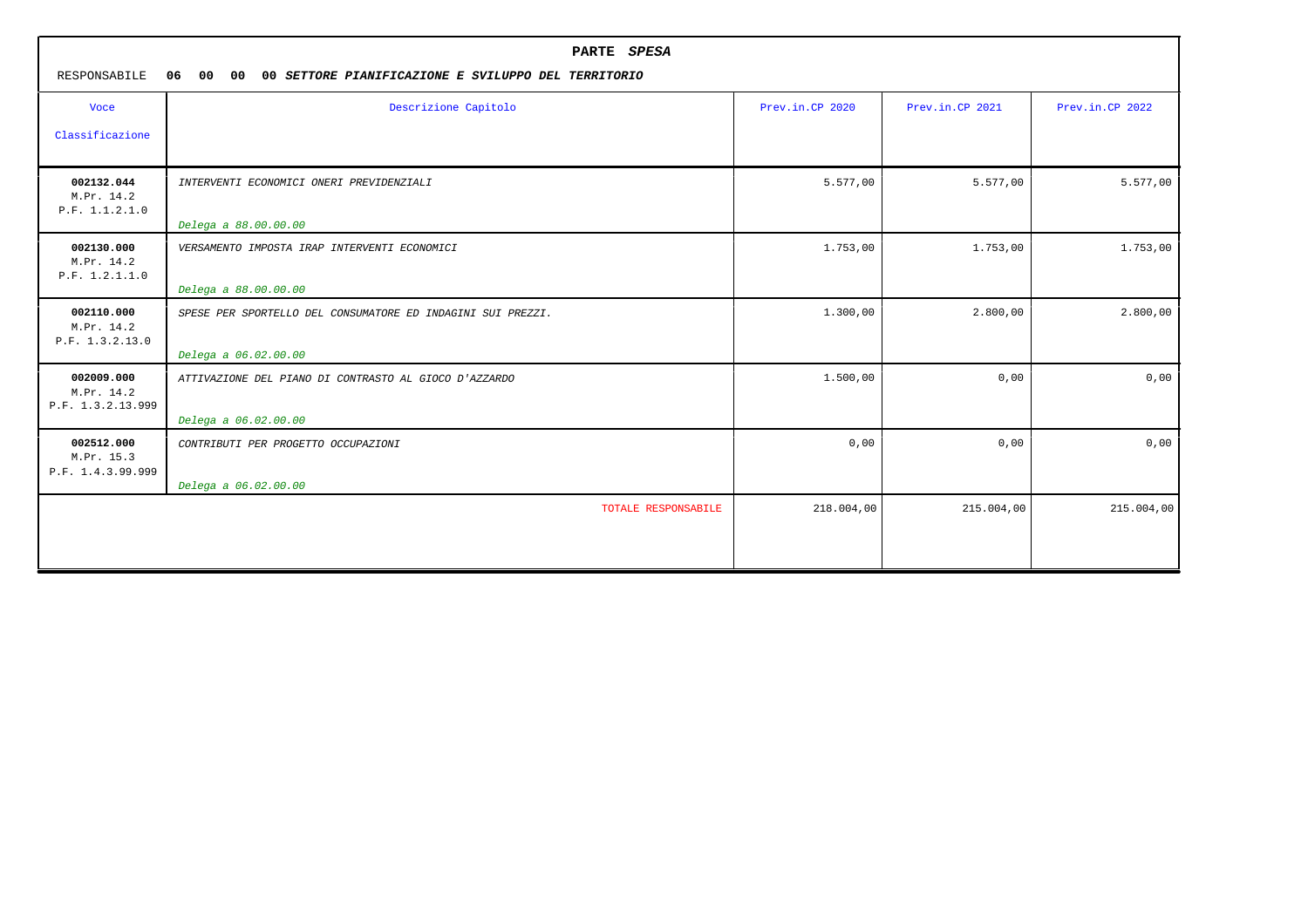| RESPONSABILE                                  | PARTE SPESA<br>00<br>06<br>00<br>00 SETTORE PIANIFICAZIONE E SVILUPPO DEL TERRITORIO |                 |                 |                 |  |
|-----------------------------------------------|--------------------------------------------------------------------------------------|-----------------|-----------------|-----------------|--|
| <b>Voce</b><br>Classificazione                | Descrizione Capitolo                                                                 | Prev.in.CP 2020 | Prev.in.CP 2021 | Prev.in.CP 2022 |  |
| 002132.044<br>M.Pr. 14.2<br>P.F. 1.1.2.1.0    | INTERVENTI ECONOMICI ONERI PREVIDENZIALI<br>Delega a 88.00.00.00                     | 5.577,00        | 5.577,00        | 5.577,00        |  |
| 002130.000<br>M.Pr. 14.2<br>P.F. 1.2.1.1.0    | VERSAMENTO IMPOSTA IRAP INTERVENTI ECONOMICI<br>Delega a 88.00.00.00                 | 1.753,00        | 1.753,00        | 1.753,00        |  |
| 002110.000<br>M.Pr. 14.2<br>P.F. 1.3.2.13.0   | SPESE PER SPORTELLO DEL CONSUMATORE ED INDAGINI SUI PREZZI.<br>Delega a 06.02.00.00  | 1.300,00        | 2.800,00        | 2.800,00        |  |
| 002009.000<br>M.Pr. 14.2<br>P.F. 1.3.2.13.999 | ATTIVAZIONE DEL PIANO DI CONTRASTO AL GIOCO D'AZZARDO<br>Delega a 06.02.00.00        | 1.500,00        | 0,00            | 0,00            |  |
| 002512.000<br>M.Pr. 15.3<br>P.F. 1.4.3.99.999 | CONTRIBUTI PER PROGETTO OCCUPAZIONI<br>Delega a 06.02.00.00                          | 0,00            | 0,00            | 0,00            |  |
|                                               | TOTALE RESPONSABILE                                                                  | 218.004,00      | 215.004,00      | 215.004,00      |  |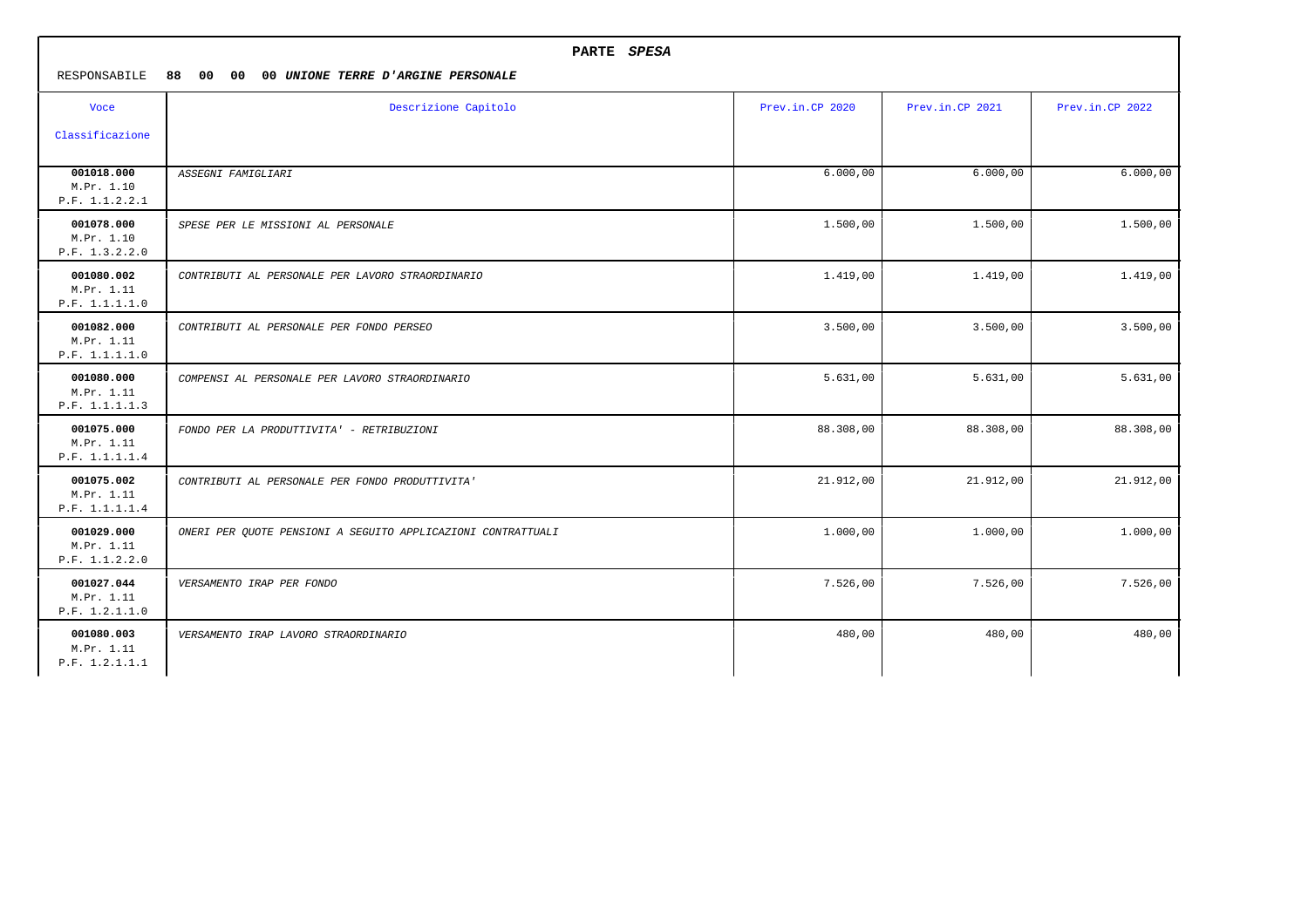|                                            | PARTE SPESA                                                  |                 |                 |                 |
|--------------------------------------------|--------------------------------------------------------------|-----------------|-----------------|-----------------|
| RESPONSABILE                               | 88 00 00<br>00 UNIONE TERRE D'ARGINE PERSONALE               |                 |                 |                 |
| <b>Voce</b>                                | Descrizione Capitolo                                         | Prev.in.CP 2020 | Prev.in.CP 2021 | Prev.in.CP 2022 |
| Classificazione                            |                                                              |                 |                 |                 |
| 001018.000<br>M.Pr. 1.10<br>P.F. 1.1.2.2.1 | ASSEGNI FAMIGLIARI                                           | 6.000,00        | 6.000,00        | 6.000,00        |
| 001078.000<br>M.Pr. 1.10<br>P.F. 1.3.2.2.0 | SPESE PER LE MISSIONI AL PERSONALE                           | 1.500,00        | 1.500,00        | 1.500,00        |
| 001080.002<br>M.Pr. 1.11<br>P.F. 1.1.1.1.0 | CONTRIBUTI AL PERSONALE PER LAVORO STRAORDINARIO             | 1.419,00        | 1.419,00        | 1.419,00        |
| 001082.000<br>M.Pr. 1.11<br>P.F. 1.1.1.1.0 | CONTRIBUTI AL PERSONALE PER FONDO PERSEO                     | 3.500,00        | 3.500,00        | 3.500,00        |
| 001080.000<br>M.Pr. 1.11<br>P.F. 1.1.1.1.3 | COMPENSI AL PERSONALE PER LAVORO STRAORDINARIO               | 5.631,00        | 5.631,00        | 5.631,00        |
| 001075.000<br>M.Pr. 1.11<br>P.F. 1.1.1.1.4 | FONDO PER LA PRODUTTIVITA' - RETRIBUZIONI                    | 88.308,00       | 88.308,00       | 88.308,00       |
| 001075.002<br>M.Pr. 1.11<br>P.F. 1.1.1.1.4 | CONTRIBUTI AL PERSONALE PER FONDO PRODUTTIVITA'              | 21.912,00       | 21.912,00       | 21.912,00       |
| 001029.000<br>M.Pr. 1.11<br>P.F. 1.1.2.2.0 | ONERI PER QUOTE PENSIONI A SEGUITO APPLICAZIONI CONTRATTUALI | 1.000,00        | 1.000,00        | 1.000,00        |
| 001027.044<br>M.Pr. 1.11<br>P.F. 1.2.1.1.0 | VERSAMENTO IRAP PER FONDO                                    | 7.526,00        | 7.526,00        | 7.526,00        |
| 001080.003<br>M.Pr. 1.11<br>P.F. 1.2.1.1.1 | VERSAMENTO IRAP LAVORO STRAORDINARIO                         | 480,00          | 480,00          | 480,00          |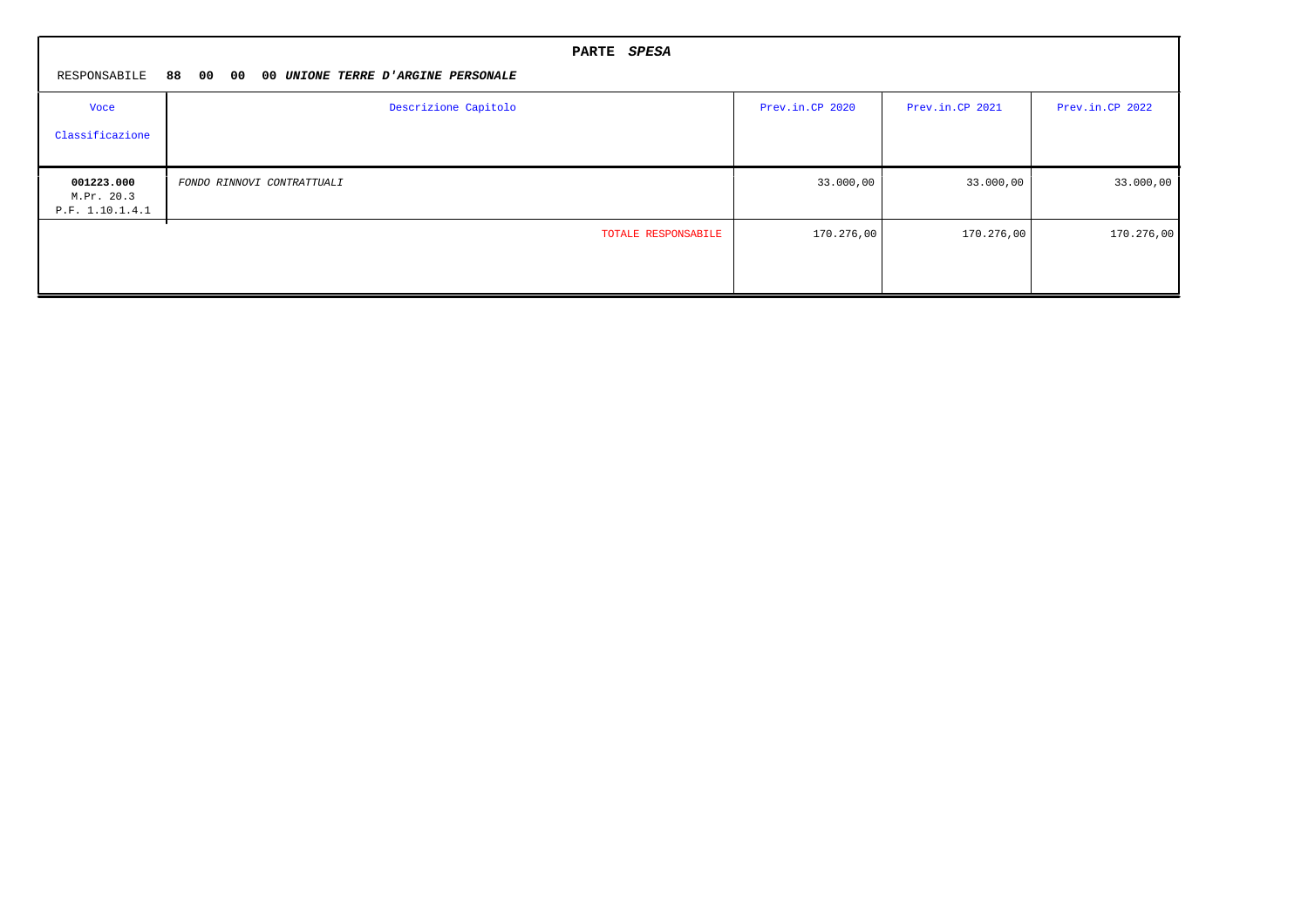|                                             | PARTE SPESA                        |                 |                 |                 |
|---------------------------------------------|------------------------------------|-----------------|-----------------|-----------------|
| RESPONSABILE 88 00 00                       | 00 UNIONE TERRE D'ARGINE PERSONALE |                 |                 |                 |
| Voce                                        | Descrizione Capitolo               | Prev.in.CP 2020 | Prev.in.CP 2021 | Prev.in.CP 2022 |
| Classificazione                             |                                    |                 |                 |                 |
| 001223.000<br>M.Pr. 20.3<br>P.F. 1.10.1.4.1 | FONDO RINNOVI CONTRATTUALI         | 33.000,00       | 33.000,00       | 33.000,00       |
|                                             | TOTALE RESPONSABILE                | 170.276,00      | 170.276,00      | 170.276,00      |
|                                             |                                    |                 |                 |                 |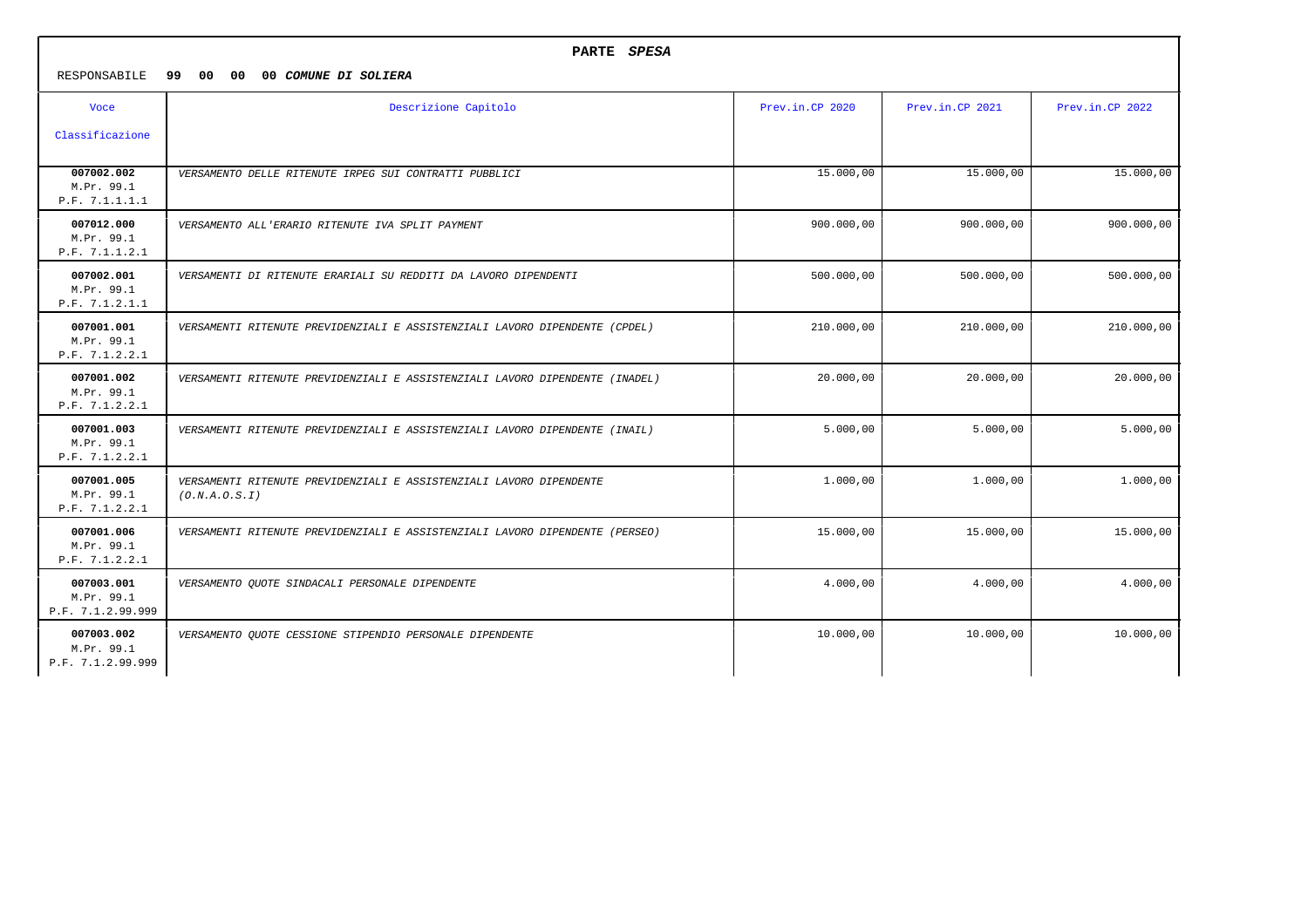| RESPONSABILE                                  | PARTE SPESA<br>99 00 00<br>00 COMUNE DI SOLIERA                                      |                 |                 |                 |  |  |  |
|-----------------------------------------------|--------------------------------------------------------------------------------------|-----------------|-----------------|-----------------|--|--|--|
| <b>Voce</b>                                   | Descrizione Capitolo                                                                 | Prev.in.CP 2020 | Prev.in.CP 2021 | Prev.in.CP 2022 |  |  |  |
| Classificazione                               |                                                                                      |                 |                 |                 |  |  |  |
| 007002.002<br>M.Pr. 99.1<br>P.F. 7.1.1.1.1    | VERSAMENTO DELLE RITENUTE IRPEG SUI CONTRATTI PUBBLICI                               | 15.000,00       | 15.000,00       | 15.000,00       |  |  |  |
| 007012.000<br>M.Pr. 99.1<br>P.F. 7.1.1.2.1    | VERSAMENTO ALL'ERARIO RITENUTE IVA SPLIT PAYMENT                                     | 900.000,00      | 900.000,00      | 900.000,00      |  |  |  |
| 007002.001<br>M.Pr. 99.1<br>P.F. 7.1.2.1.1    | VERSAMENTI DI RITENUTE ERARIALI SU REDDITI DA LAVORO DIPENDENTI                      | 500.000,00      | 500.000,00      | 500.000,00      |  |  |  |
| 007001.001<br>M.Pr. 99.1<br>P.F. 7.1.2.2.1    | VERSAMENTI RITENUTE PREVIDENZIALI E ASSISTENZIALI LAVORO DIPENDENTE (CPDEL)          | 210.000,00      | 210.000,00      | 210.000,00      |  |  |  |
| 007001.002<br>M.Pr. 99.1<br>P.F. 7.1.2.2.1    | VERSAMENTI RITENUTE PREVIDENZIALI E ASSISTENZIALI LAVORO DIPENDENTE (INADEL)         | 20.000,00       | 20.000,00       | 20.000,00       |  |  |  |
| 007001.003<br>M.Pr. 99.1<br>P.F. 7.1.2.2.1    | VERSAMENTI RITENUTE PREVIDENZIALI E ASSISTENZIALI LAVORO DIPENDENTE (INAIL)          | 5.000,00        | 5.000,00        | 5.000,00        |  |  |  |
| 007001.005<br>M.Pr. 99.1<br>P.F. 7.1.2.2.1    | VERSAMENTI RITENUTE PREVIDENZIALI E ASSISTENZIALI LAVORO DIPENDENTE<br>(0.N.A.0.S.I) | 1.000,00        | 1,000,00        | 1,000,00        |  |  |  |
| 007001.006<br>M.Pr. 99.1<br>P.F. 7.1.2.2.1    | VERSAMENTI RITENUTE PREVIDENZIALI E ASSISTENZIALI LAVORO DIPENDENTE (PERSEO)         | 15.000,00       | 15.000,00       | 15.000,00       |  |  |  |
| 007003.001<br>M.Pr. 99.1<br>P.F. 7.1.2.99.999 | VERSAMENTO QUOTE SINDACALI PERSONALE DIPENDENTE                                      | 4.000,00        | 4.000,00        | 4.000,00        |  |  |  |
| 007003.002<br>M.Pr. 99.1<br>P.F. 7.1.2.99.999 | VERSAMENTO QUOTE CESSIONE STIPENDIO PERSONALE DIPENDENTE                             | 10.000,00       | 10.000,00       | 10.000,00       |  |  |  |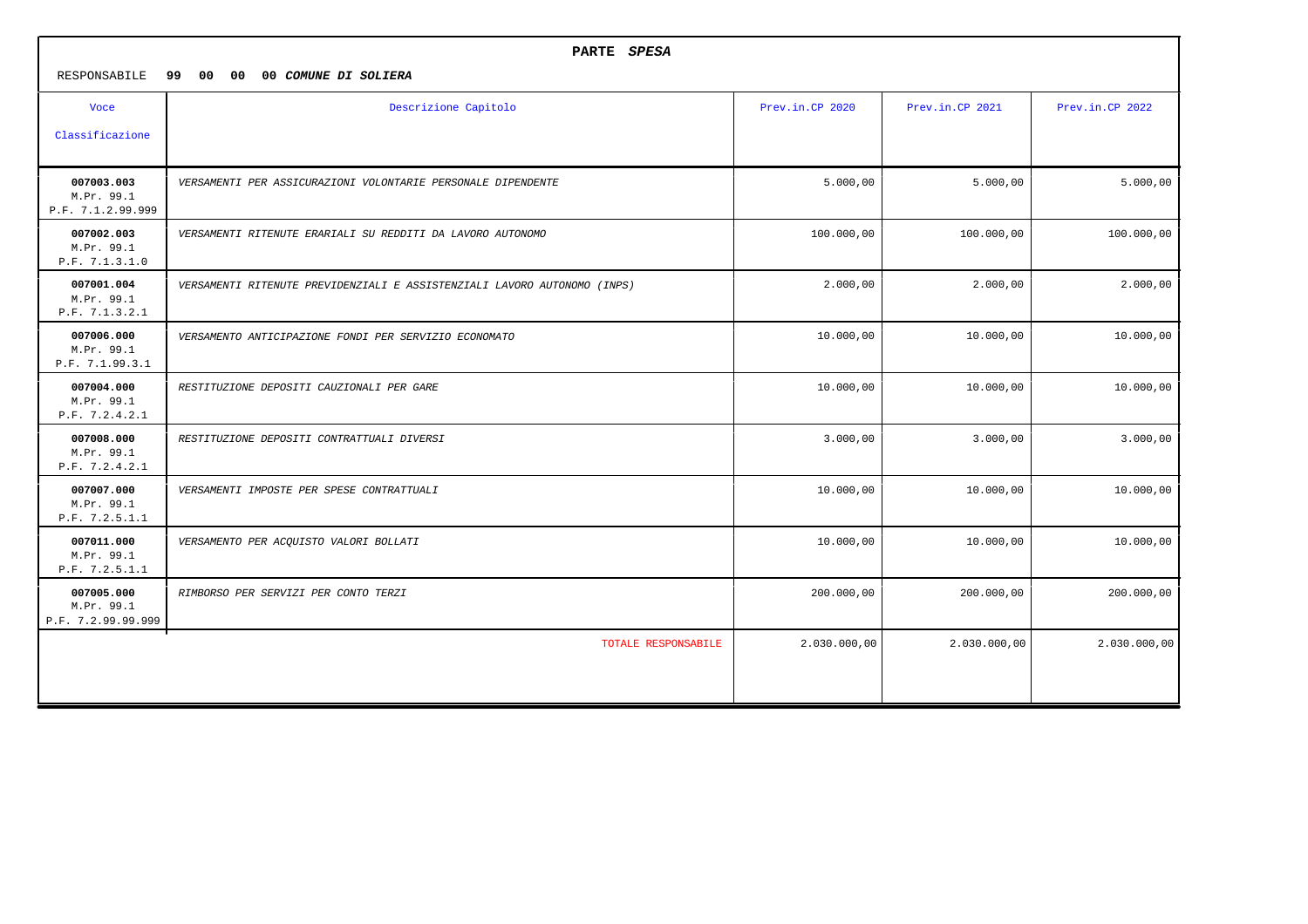|                                                | PARTE SPESA                                                              |                 |                 |                 |
|------------------------------------------------|--------------------------------------------------------------------------|-----------------|-----------------|-----------------|
| RESPONSABILE                                   | 99<br>00<br>00<br>00 COMUNE DI SOLIERA                                   |                 |                 |                 |
| <b>Voce</b>                                    | Descrizione Capitolo                                                     | Prev.in.CP 2020 | Prev.in.CP 2021 | Prev.in.CP 2022 |
| Classificazione                                |                                                                          |                 |                 |                 |
| 007003.003<br>M.Pr. 99.1<br>P.F. 7.1.2.99.999  | VERSAMENTI PER ASSICURAZIONI VOLONTARIE PERSONALE DIPENDENTE             | 5.000,00        | 5.000,00        | 5.000,00        |
| 007002.003<br>M.Pr. 99.1<br>P.F. 7.1.3.1.0     | VERSAMENTI RITENUTE ERARIALI SU REDDITI DA LAVORO AUTONOMO               | 100.000,00      | 100.000,00      | 100.000,00      |
| 007001.004<br>M.Pr. 99.1<br>P.F. 7.1.3.2.1     | VERSAMENTI RITENUTE PREVIDENZIALI E ASSISTENZIALI LAVORO AUTONOMO (INPS) | 2.000,00        | 2,000,00        | 2.000,00        |
| 007006.000<br>M.Pr. 99.1<br>P.F. 7.1.99.3.1    | VERSAMENTO ANTICIPAZIONE FONDI PER SERVIZIO ECONOMATO                    | 10.000,00       | 10.000,00       | 10.000,00       |
| 007004.000<br>M.Pr. 99.1<br>P.F. 7.2.4.2.1     | RESTITUZIONE DEPOSITI CAUZIONALI PER GARE                                | 10.000,00       | 10.000,00       | 10.000,00       |
| 007008.000<br>M.Pr. 99.1<br>P.F. 7.2.4.2.1     | RESTITUZIONE DEPOSITI CONTRATTUALI DIVERSI                               | 3.000,00        | 3.000,00        | 3.000,00        |
| 007007.000<br>M.Pr. 99.1<br>P.F. 7.2.5.1.1     | VERSAMENTI IMPOSTE PER SPESE CONTRATTUALI                                | 10.000,00       | 10.000,00       | 10.000,00       |
| 007011.000<br>M.Pr. 99.1<br>P.F. 7.2.5.1.1     | VERSAMENTO PER ACQUISTO VALORI BOLLATI                                   | 10.000,00       | 10.000,00       | 10.000,00       |
| 007005.000<br>M.Pr. 99.1<br>P.F. 7.2.99.99.999 | RIMBORSO PER SERVIZI PER CONTO TERZI                                     | 200.000,00      | 200.000,00      | 200.000,00      |
|                                                | TOTALE RESPONSABILE                                                      | 2.030.000,00    | 2.030.000,00    | 2.030.000,00    |